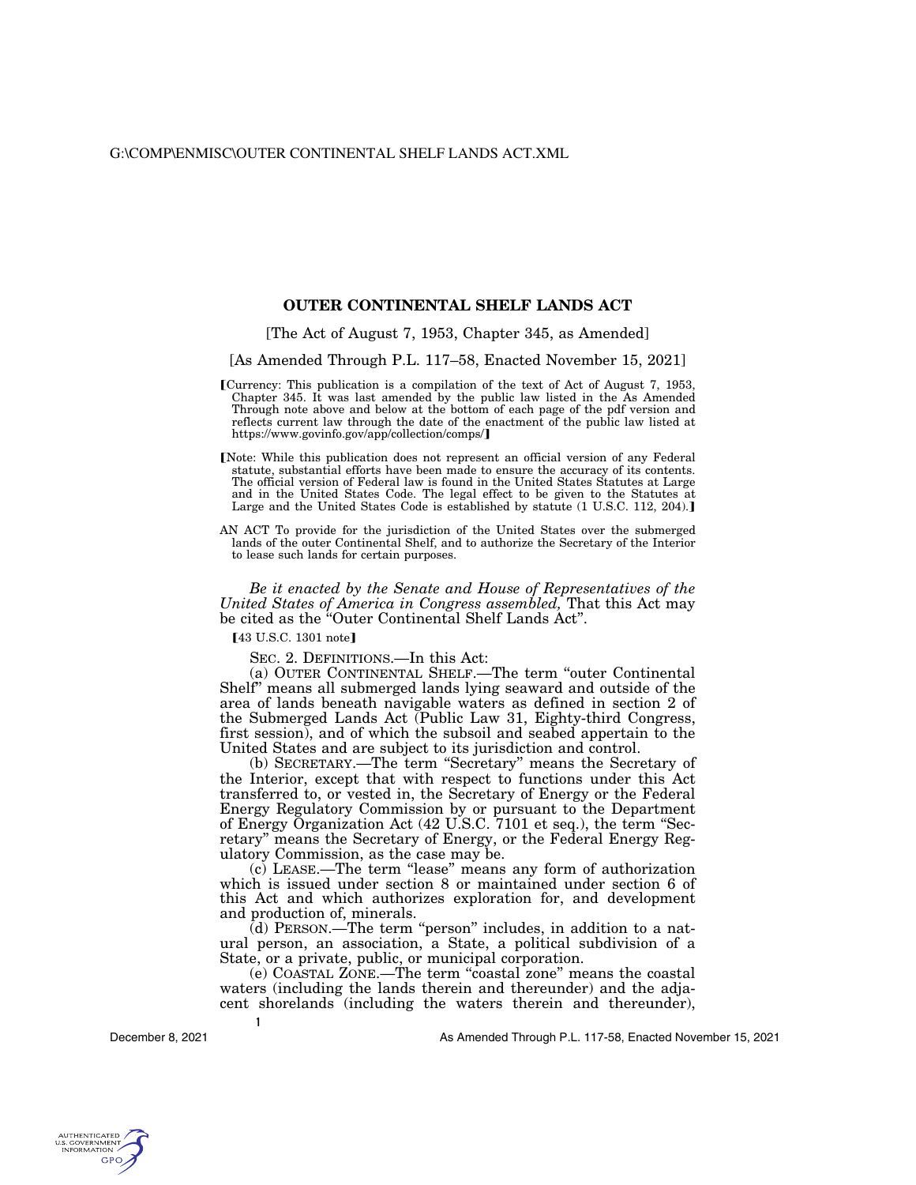# **OUTER CONTINENTAL SHELF LANDS ACT**

[The Act of August 7, 1953, Chapter 345, as Amended]

[As Amended Through P.L. 117–58, Enacted November 15, 2021]

- øCurrency: This publication is a compilation of the text of Act of August 7, 1953, Chapter 345. It was last amended by the public law listed in the As Amended Through note above and below at the bottom of each page of the pdf version and reflects current law through the date of the enactment of the public law listed at https://www.govinfo.gov/app/collection/comps/
- [Note: While this publication does not represent an official version of any Federal statute, substantial efforts have been made to ensure the accuracy of its contents. The official version of Federal law is found in the United States Statutes at Large and in the United States Code. The legal effect to be given to the Statutes at Large and the United States Code is established by statute (1 U.S.C. 112, 204).
- AN ACT To provide for the jurisdiction of the United States over the submerged lands of the outer Continental Shelf, and to authorize the Secretary of the Interior to lease such lands for certain purposes.

*Be it enacted by the Senate and House of Representatives of the United States of America in Congress assembled,* That this Act may be cited as the ''Outer Continental Shelf Lands Act''.

**[43 U.S.C. 1301 note]** 

SEC. 2. DEFINITIONS.—In this Act:

(a) OUTER CONTINENTAL SHELF.—The term ''outer Continental Shelf'' means all submerged lands lying seaward and outside of the area of lands beneath navigable waters as defined in section 2 of the Submerged Lands Act (Public Law 31, Eighty-third Congress, first session), and of which the subsoil and seabed appertain to the United States and are subject to its jurisdiction and control.

(b) SECRETARY.—The term ''Secretary'' means the Secretary of the Interior, except that with respect to functions under this Act transferred to, or vested in, the Secretary of Energy or the Federal Energy Regulatory Commission by or pursuant to the Department of Energy Organization Act (42 U.S.C. 7101 et seq.), the term ''Secretary'' means the Secretary of Energy, or the Federal Energy Regulatory Commission, as the case may be.

(c) LEASE.—The term ''lease'' means any form of authorization which is issued under section 8 or maintained under section 6 of this Act and which authorizes exploration for, and development and production of, minerals.

(d) PERSON.—The term ''person'' includes, in addition to a natural person, an association, a State, a political subdivision of a State, or a private, public, or municipal corporation.

(e) COASTAL ZONE.—The term ''coastal zone'' means the coastal waters (including the lands therein and thereunder) and the adjacent shorelands (including the waters therein and thereunder),

December 8, 2021

**1** 

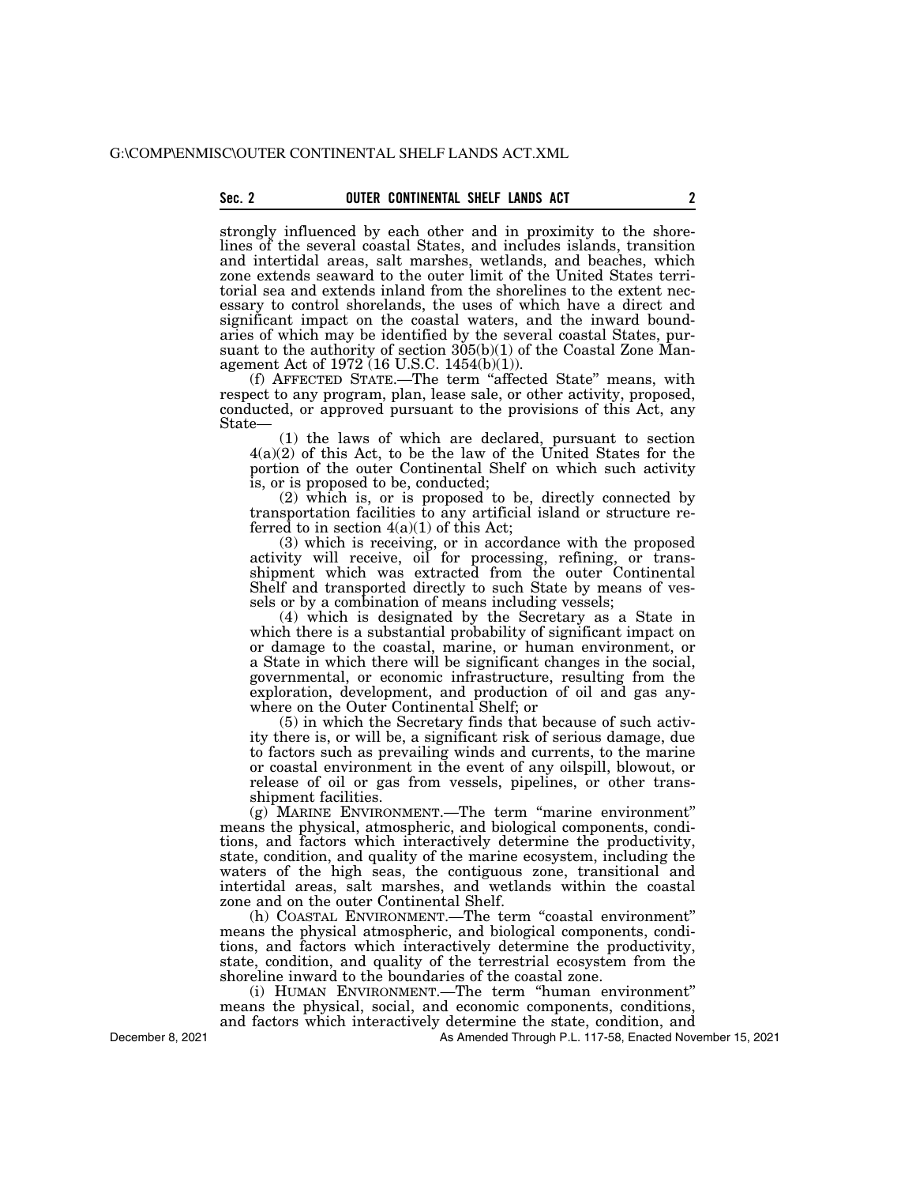### **Sec. 2 OUTER CONTINENTAL SHELF LANDS ACT 2**

strongly influenced by each other and in proximity to the shorelines of the several coastal States, and includes islands, transition and intertidal areas, salt marshes, wetlands, and beaches, which zone extends seaward to the outer limit of the United States territorial sea and extends inland from the shorelines to the extent necessary to control shorelands, the uses of which have a direct and significant impact on the coastal waters, and the inward boundaries of which may be identified by the several coastal States, pursuant to the authority of section 305(b)(1) of the Coastal Zone Management Act of  $1972$  (16 U.S.C. 1454(b)(1)).

(f) AFFECTED STATE.—The term ''affected State'' means, with respect to any program, plan, lease sale, or other activity, proposed, conducted, or approved pursuant to the provisions of this Act, any State—

(1) the laws of which are declared, pursuant to section 4(a)(2) of this Act, to be the law of the United States for the portion of the outer Continental Shelf on which such activity is, or is proposed to be, conducted;

(2) which is, or is proposed to be, directly connected by transportation facilities to any artificial island or structure referred to in section  $4(a)(1)$  of this Act;

(3) which is receiving, or in accordance with the proposed activity will receive, oil for processing, refining, or transshipment which was extracted from the outer Continental Shelf and transported directly to such State by means of vessels or by a combination of means including vessels;

(4) which is designated by the Secretary as a State in which there is a substantial probability of significant impact on or damage to the coastal, marine, or human environment, or a State in which there will be significant changes in the social, governmental, or economic infrastructure, resulting from the exploration, development, and production of oil and gas anywhere on the Outer Continental Shelf; or

(5) in which the Secretary finds that because of such activity there is, or will be, a significant risk of serious damage, due to factors such as prevailing winds and currents, to the marine or coastal environment in the event of any oilspill, blowout, or release of oil or gas from vessels, pipelines, or other transshipment facilities.

(g) MARINE ENVIRONMENT.—The term ''marine environment'' means the physical, atmospheric, and biological components, conditions, and factors which interactively determine the productivity, state, condition, and quality of the marine ecosystem, including the waters of the high seas, the contiguous zone, transitional and intertidal areas, salt marshes, and wetlands within the coastal zone and on the outer Continental Shelf.

(h) COASTAL ENVIRONMENT.—The term ''coastal environment'' means the physical atmospheric, and biological components, conditions, and factors which interactively determine the productivity, state, condition, and quality of the terrestrial ecosystem from the shoreline inward to the boundaries of the coastal zone.

(i) HUMAN ENVIRONMENT.—The term ''human environment'' means the physical, social, and economic components, conditions,

and factors which interactively determine the state, condition, and

As Amended Through P.L. 117-58, Enacted November 15, 2021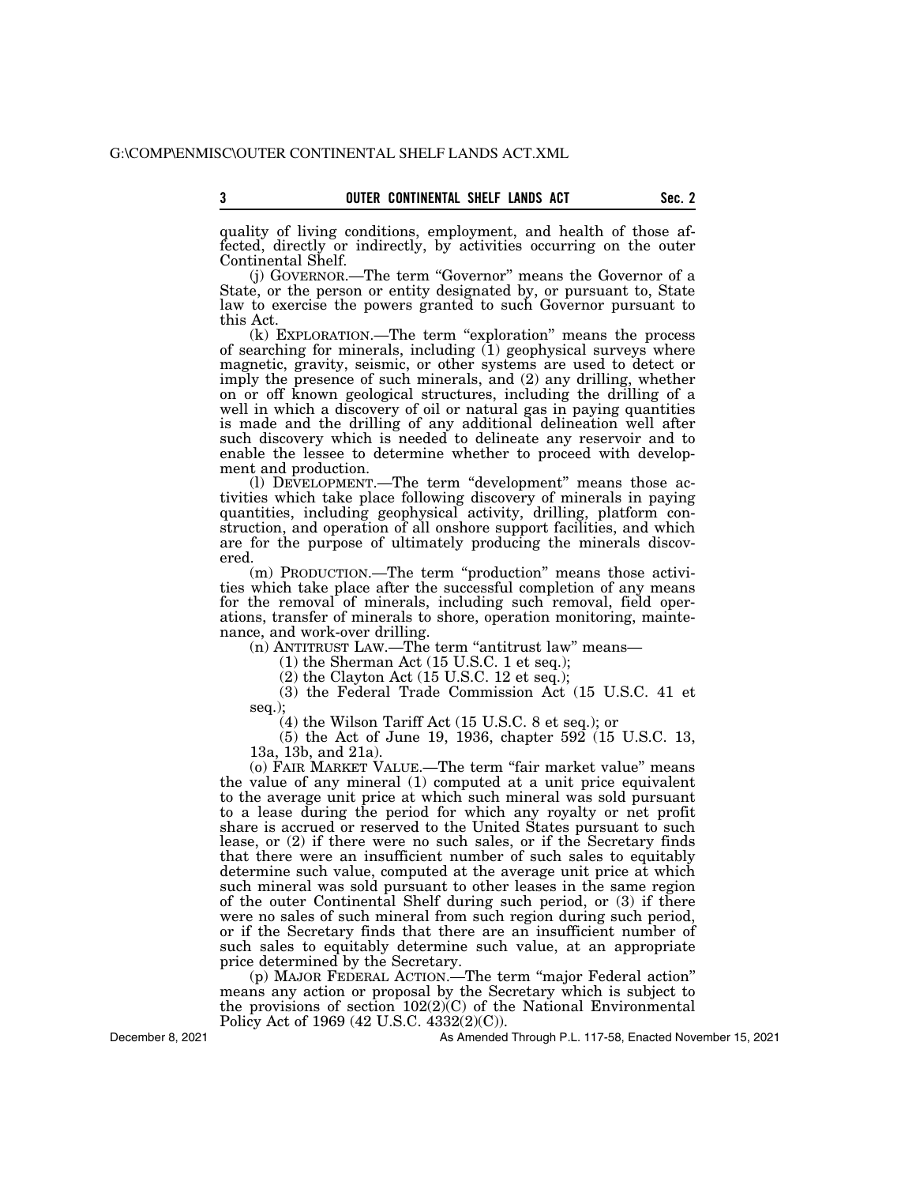quality of living conditions, employment, and health of those affected, directly or indirectly, by activities occurring on the outer Continental Shelf.

(j) GOVERNOR.—The term ''Governor'' means the Governor of a State, or the person or entity designated by, or pursuant to, State law to exercise the powers granted to such Governor pursuant to this Act.

(k) EXPLORATION.—The term "exploration" means the process of searching for minerals, including (1) geophysical surveys where magnetic, gravity, seismic, or other systems are used to detect or imply the presence of such minerals, and (2) any drilling, whether on or off known geological structures, including the drilling of a well in which a discovery of oil or natural gas in paying quantities is made and the drilling of any additional delineation well after such discovery which is needed to delineate any reservoir and to enable the lessee to determine whether to proceed with development and production.

(I) DEVELOPMENT.—The term "development" means those activities which take place following discovery of minerals in paying quantities, including geophysical activity, drilling, platform construction, and operation of all onshore support facilities, and which are for the purpose of ultimately producing the minerals discovered.

(m) PRODUCTION.—The term ''production'' means those activities which take place after the successful completion of any means for the removal of minerals, including such removal, field operations, transfer of minerals to shore, operation monitoring, maintenance, and work-over drilling.

(n) ANTITRUST LAW.—The term "antitrust law" means—

(1) the Sherman Act (15 U.S.C. 1 et seq.);

 $(2)$  the Clayton Act  $(15 \text{ U.S.C. } 12 \text{ et seq.});$ 

(3) the Federal Trade Commission Act (15 U.S.C. 41 et seq.);

(4) the Wilson Tariff Act (15 U.S.C. 8 et seq.); or

(5) the Act of June 19, 1936, chapter 592 (15 U.S.C. 13, 13a, 13b, and 21a).

(o) FAIR MARKET VALUE.—The term ''fair market value'' means the value of any mineral (1) computed at a unit price equivalent to the average unit price at which such mineral was sold pursuant to a lease during the period for which any royalty or net profit share is accrued or reserved to the United States pursuant to such lease, or (2) if there were no such sales, or if the Secretary finds that there were an insufficient number of such sales to equitably determine such value, computed at the average unit price at which such mineral was sold pursuant to other leases in the same region of the outer Continental Shelf during such period, or (3) if there were no sales of such mineral from such region during such period, or if the Secretary finds that there are an insufficient number of such sales to equitably determine such value, at an appropriate price determined by the Secretary.

(p) MAJOR FEDERAL ACTION.—The term ''major Federal action'' means any action or proposal by the Secretary which is subject to the provisions of section  $102(2)$ (C) of the National Environmental Policy Act of 1969 (42 U.S.C. 4332(2)(C)).

December 8, 2021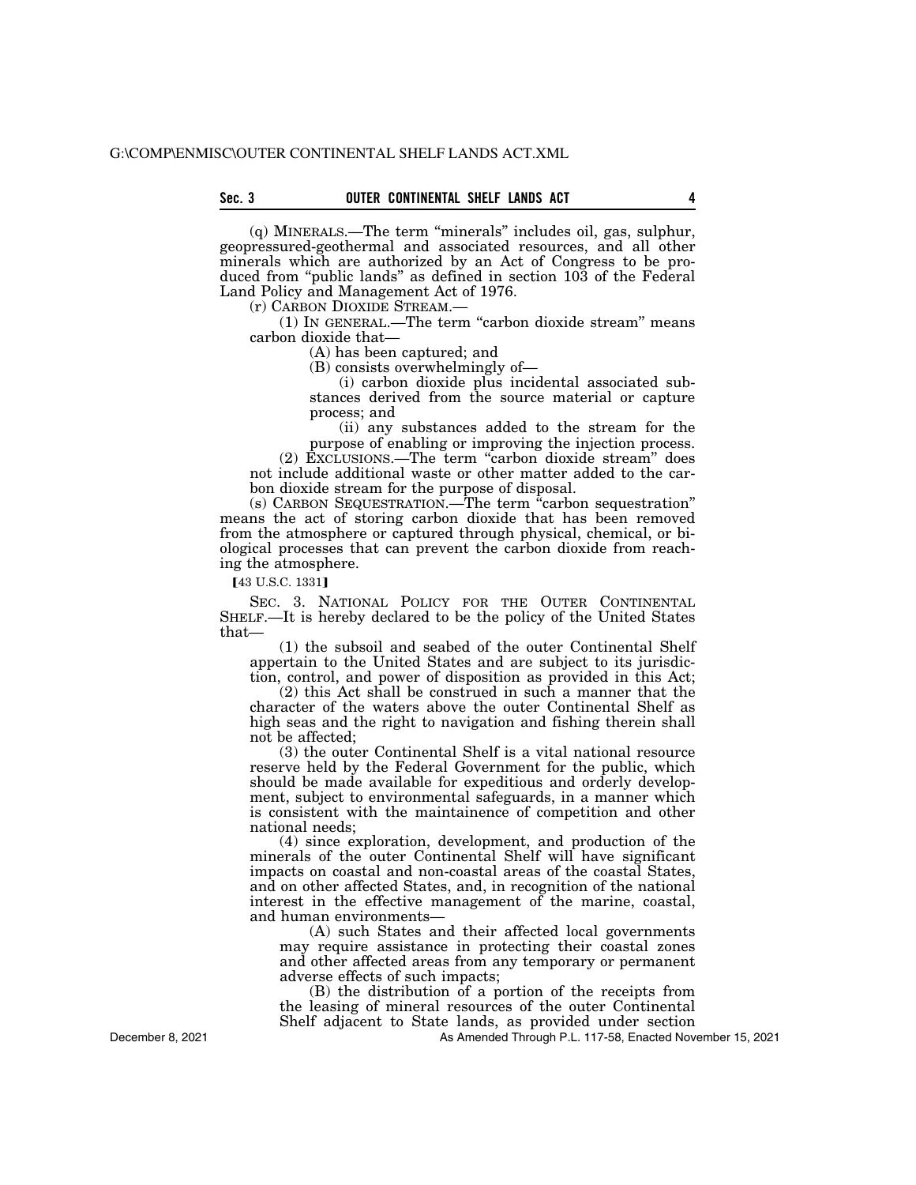### **Sec. 3 OUTER CONTINENTAL SHELF LANDS ACT 4**

(q) MINERALS.—The term ''minerals'' includes oil, gas, sulphur, geopressured-geothermal and associated resources, and all other minerals which are authorized by an Act of Congress to be produced from "public lands" as defined in section 103 of the Federal Land Policy and Management Act of 1976.

(r) CARBON DIOXIDE STREAM.—

(1) IN GENERAL.—The term ''carbon dioxide stream'' means carbon dioxide that—

(A) has been captured; and

(B) consists overwhelmingly of—

(i) carbon dioxide plus incidental associated substances derived from the source material or capture process; and

(ii) any substances added to the stream for the purpose of enabling or improving the injection process.

(2) EXCLUSIONS.—The term "carbon dioxide stream" does not include additional waste or other matter added to the carbon dioxide stream for the purpose of disposal.

(s) CARBON SEQUESTRATION.—The term ''carbon sequestration'' means the act of storing carbon dioxide that has been removed from the atmosphere or captured through physical, chemical, or biological processes that can prevent the carbon dioxide from reaching the atmosphere.

[43 U.S.C. 1331]

SEC. 3. NATIONAL POLICY FOR THE OUTER CONTINENTAL SHELF.—It is hereby declared to be the policy of the United States that—

(1) the subsoil and seabed of the outer Continental Shelf appertain to the United States and are subject to its jurisdiction, control, and power of disposition as provided in this Act;

(2) this Act shall be construed in such a manner that the character of the waters above the outer Continental Shelf as high seas and the right to navigation and fishing therein shall not be affected;

(3) the outer Continental Shelf is a vital national resource reserve held by the Federal Government for the public, which should be made available for expeditious and orderly development, subject to environmental safeguards, in a manner which is consistent with the maintainence of competition and other national needs;

(4) since exploration, development, and production of the minerals of the outer Continental Shelf will have significant impacts on coastal and non-coastal areas of the coastal States, and on other affected States, and, in recognition of the national interest in the effective management of the marine, coastal, and human environments—

(A) such States and their affected local governments may require assistance in protecting their coastal zones and other affected areas from any temporary or permanent adverse effects of such impacts;

(B) the distribution of a portion of the receipts from the leasing of mineral resources of the outer Continental Shelf adjacent to State lands, as provided under section

As Amended Through P.L. 117-58, Enacted November 15, 2021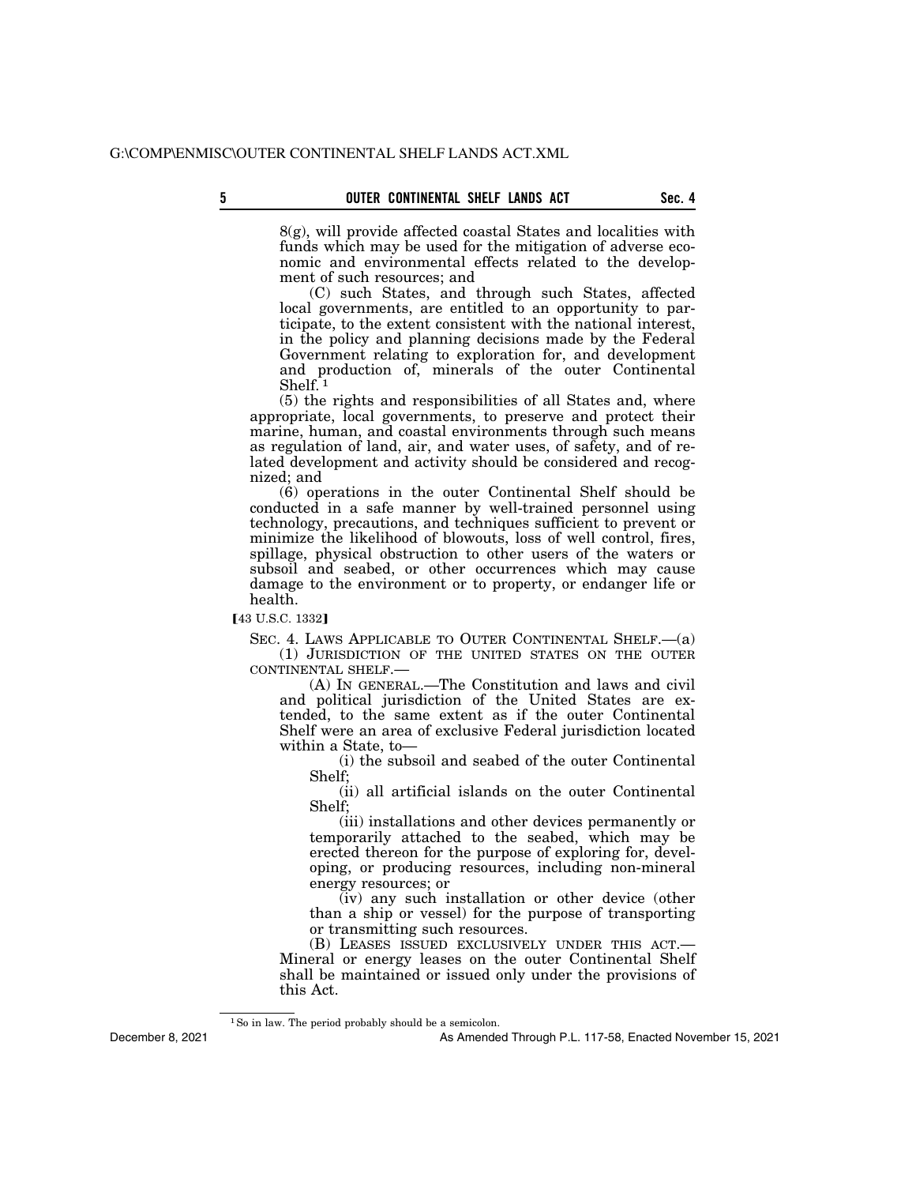8(g), will provide affected coastal States and localities with funds which may be used for the mitigation of adverse economic and environmental effects related to the development of such resources; and

(C) such States, and through such States, affected local governments, are entitled to an opportunity to participate, to the extent consistent with the national interest, in the policy and planning decisions made by the Federal Government relating to exploration for, and development and production of, minerals of the outer Continental Shelf.<sup>1</sup>

(5) the rights and responsibilities of all States and, where appropriate, local governments, to preserve and protect their marine, human, and coastal environments through such means as regulation of land, air, and water uses, of safety, and of related development and activity should be considered and recognized; and

(6) operations in the outer Continental Shelf should be conducted in a safe manner by well-trained personnel using technology, precautions, and techniques sufficient to prevent or minimize the likelihood of blowouts, loss of well control, fires, spillage, physical obstruction to other users of the waters or subsoil and seabed, or other occurrences which may cause damage to the environment or to property, or endanger life or health.

[43 U.S.C. 1332]

SEC. 4. LAWS APPLICABLE TO OUTER CONTINENTAL SHELF.—(a) (1) JURISDICTION OF THE UNITED STATES ON THE OUTER CONTINENTAL SHELF.—

(A) IN GENERAL.—The Constitution and laws and civil and political jurisdiction of the United States are extended, to the same extent as if the outer Continental Shelf were an area of exclusive Federal jurisdiction located within a State, to—

(i) the subsoil and seabed of the outer Continental Shelf;

(ii) all artificial islands on the outer Continental Shelf;

(iii) installations and other devices permanently or temporarily attached to the seabed, which may be erected thereon for the purpose of exploring for, developing, or producing resources, including non-mineral energy resources; or

(iv) any such installation or other device (other than a ship or vessel) for the purpose of transporting or transmitting such resources.

(B) LEASES ISSUED EXCLUSIVELY UNDER THIS ACT.— Mineral or energy leases on the outer Continental Shelf shall be maintained or issued only under the provisions of this Act.

December 8, 2021

<sup>1</sup>So in law. The period probably should be a semicolon.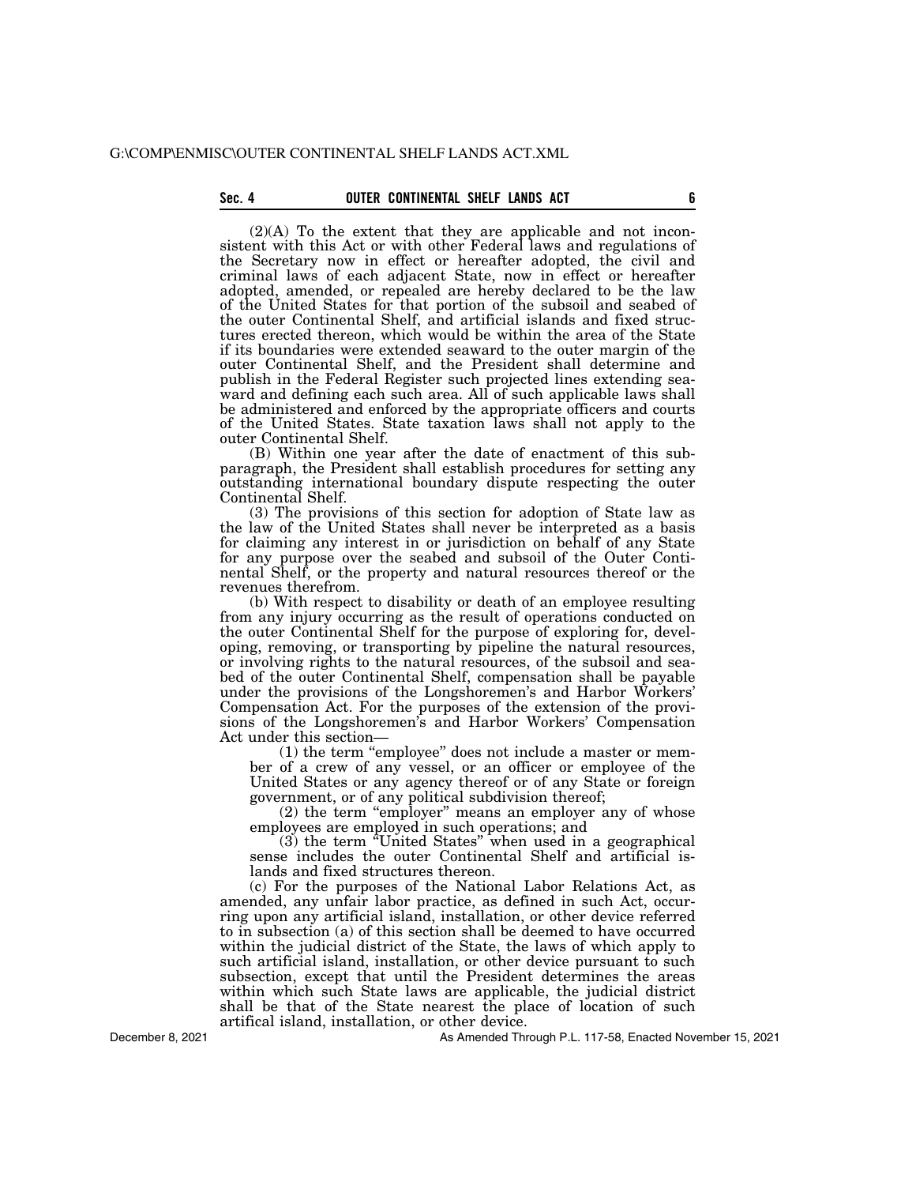### **Sec. 4 OUTER CONTINENTAL SHELF LANDS ACT 6**

(2)(A) To the extent that they are applicable and not inconsistent with this Act or with other Federal laws and regulations of the Secretary now in effect or hereafter adopted, the civil and criminal laws of each adjacent State, now in effect or hereafter adopted, amended, or repealed are hereby declared to be the law of the United States for that portion of the subsoil and seabed of the outer Continental Shelf, and artificial islands and fixed structures erected thereon, which would be within the area of the State if its boundaries were extended seaward to the outer margin of the outer Continental Shelf, and the President shall determine and publish in the Federal Register such projected lines extending seaward and defining each such area. All of such applicable laws shall be administered and enforced by the appropriate officers and courts of the United States. State taxation laws shall not apply to the outer Continental Shelf.

(B) Within one year after the date of enactment of this subparagraph, the President shall establish procedures for setting any outstanding international boundary dispute respecting the outer Continental Shelf.

(3) The provisions of this section for adoption of State law as the law of the United States shall never be interpreted as a basis for claiming any interest in or jurisdiction on behalf of any State for any purpose over the seabed and subsoil of the Outer Continental Shelf, or the property and natural resources thereof or the revenues therefrom.

(b) With respect to disability or death of an employee resulting from any injury occurring as the result of operations conducted on the outer Continental Shelf for the purpose of exploring for, developing, removing, or transporting by pipeline the natural resources, or involving rights to the natural resources, of the subsoil and seabed of the outer Continental Shelf, compensation shall be payable under the provisions of the Longshoremen's and Harbor Workers' Compensation Act. For the purposes of the extension of the provisions of the Longshoremen's and Harbor Workers' Compensation Act under this section—

(1) the term ''employee'' does not include a master or member of a crew of any vessel, or an officer or employee of the United States or any agency thereof or of any State or foreign government, or of any political subdivision thereof;

(2) the term "employer" means an employer any of whose employees are employed in such operations; and

 $(3)$  the term  $\text{"United States" when used in a geographical}$ sense includes the outer Continental Shelf and artificial islands and fixed structures thereon.

(c) For the purposes of the National Labor Relations Act, as amended, any unfair labor practice, as defined in such Act, occurring upon any artificial island, installation, or other device referred to in subsection (a) of this section shall be deemed to have occurred within the judicial district of the State, the laws of which apply to such artificial island, installation, or other device pursuant to such subsection, except that until the President determines the areas within which such State laws are applicable, the judicial district shall be that of the State nearest the place of location of such artifical island, installation, or other device.

December 8, 2021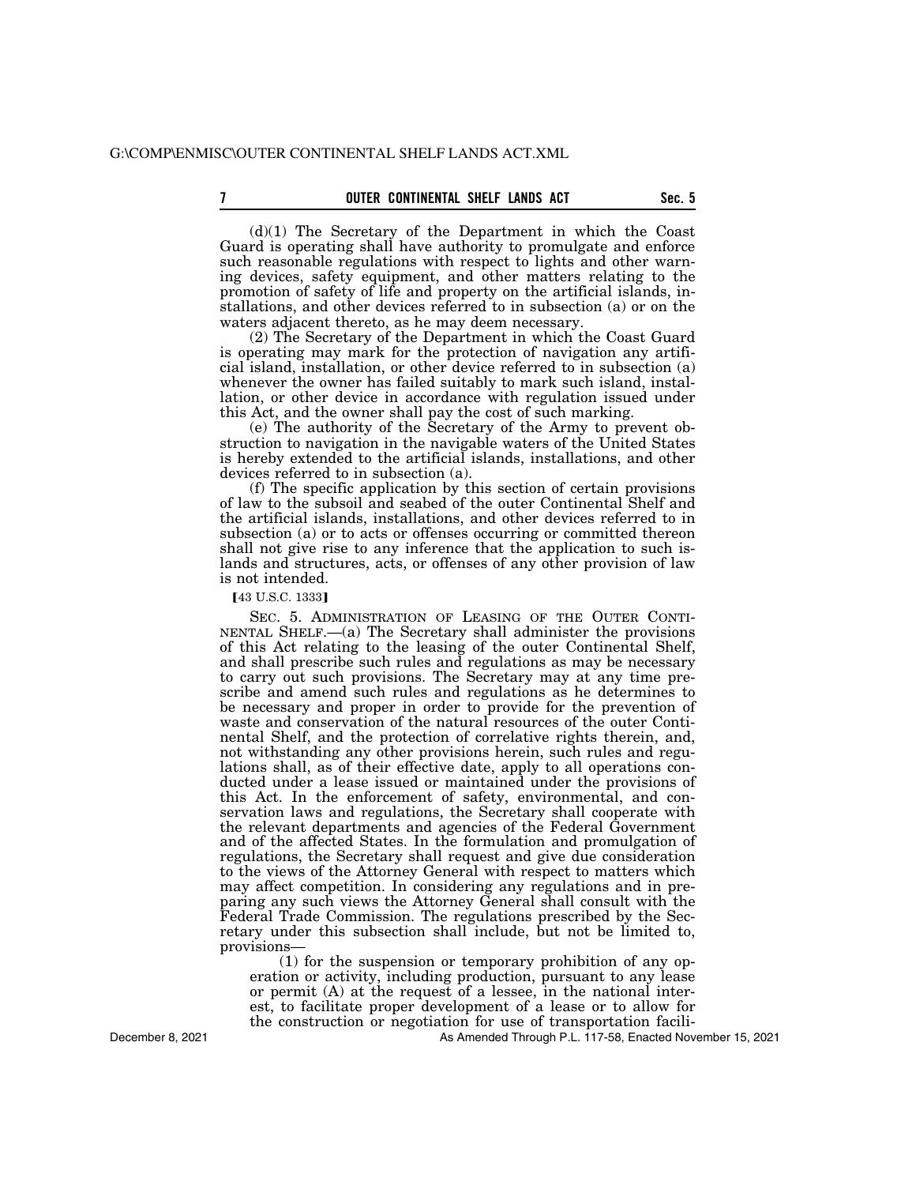(d)(1) The Secretary of the Department in which the Coast Guard is operating shall have authority to promulgate and enforce such reasonable regulations with respect to lights and other warning devices, safety equipment, and other matters relating to the promotion of safety of life and property on the artificial islands, installations, and other devices referred to in subsection (a) or on the waters adjacent thereto, as he may deem necessary.

(2) The Secretary of the Department in which the Coast Guard is operating may mark for the protection of navigation any artificial island, installation, or other device referred to in subsection (a) whenever the owner has failed suitably to mark such island, installation, or other device in accordance with regulation issued under this Act, and the owner shall pay the cost of such marking.

(e) The authority of the Secretary of the Army to prevent obstruction to navigation in the navigable waters of the United States is hereby extended to the artificial islands, installations, and other devices referred to in subsection (a).

(f) The specific application by this section of certain provisions of law to the subsoil and seabed of the outer Continental Shelf and the artificial islands, installations, and other devices referred to in subsection (a) or to acts or offenses occurring or committed thereon shall not give rise to any inference that the application to such islands and structures, acts, or offenses of any other provision of law is not intended.

**[43 U.S.C. 1333]** 

SEC. 5. ADMINISTRATION OF LEASING OF THE OUTER CONTI-NENTAL SHELF.—(a) The Secretary shall administer the provisions of this Act relating to the leasing of the outer Continental Shelf, and shall prescribe such rules and regulations as may be necessary to carry out such provisions. The Secretary may at any time prescribe and amend such rules and regulations as he determines to be necessary and proper in order to provide for the prevention of waste and conservation of the natural resources of the outer Continental Shelf, and the protection of correlative rights therein, and, not withstanding any other provisions herein, such rules and regulations shall, as of their effective date, apply to all operations conducted under a lease issued or maintained under the provisions of this Act. In the enforcement of safety, environmental, and conservation laws and regulations, the Secretary shall cooperate with the relevant departments and agencies of the Federal Government and of the affected States. In the formulation and promulgation of regulations, the Secretary shall request and give due consideration to the views of the Attorney General with respect to matters which may affect competition. In considering any regulations and in preparing any such views the Attorney General shall consult with the Federal Trade Commission. The regulations prescribed by the Secretary under this subsection shall include, but not be limited to, provisions—

(1) for the suspension or temporary prohibition of any operation or activity, including production, pursuant to any lease or permit (A) at the request of a lessee, in the national interest, to facilitate proper development of a lease or to allow for the construction or negotiation for use of transportation facili-

As Amended Through P.L. 117-58, Enacted November 15, 2021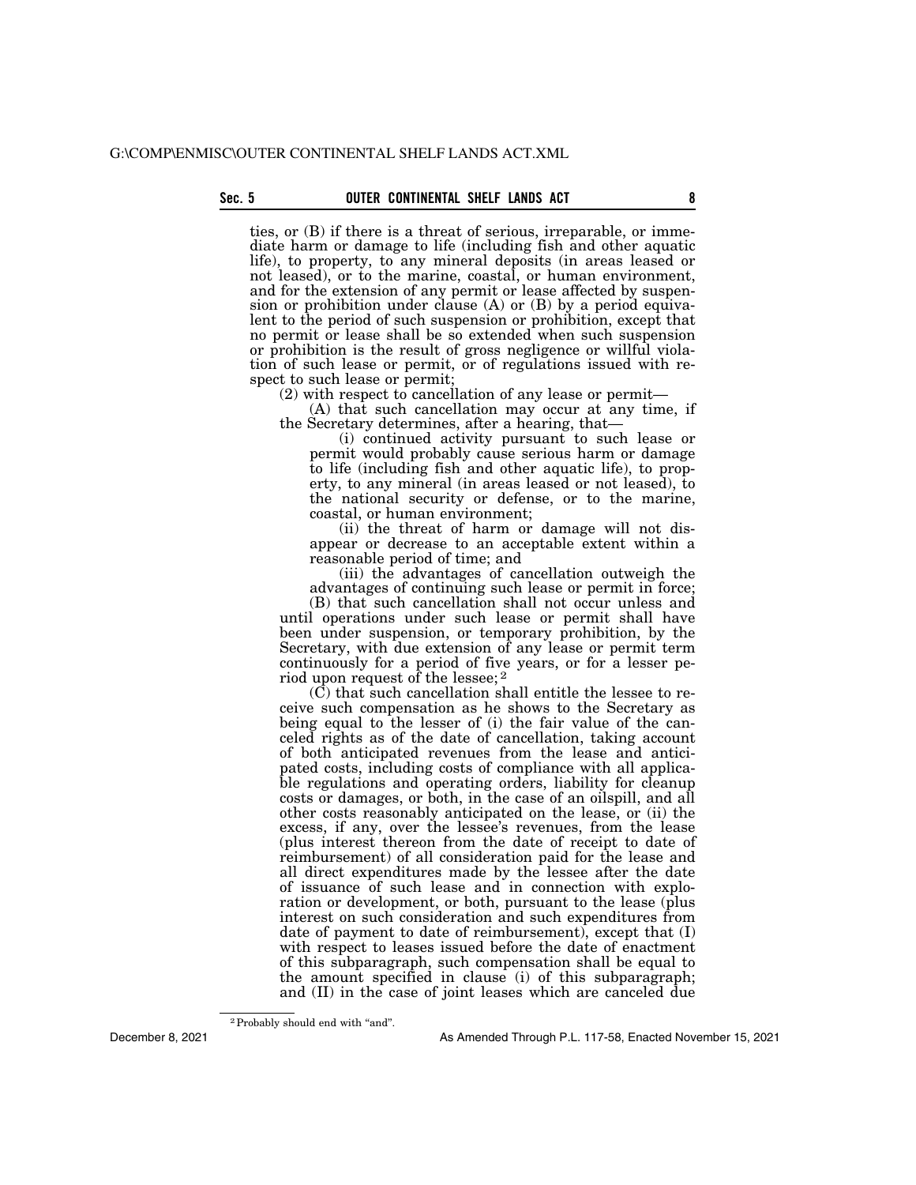ties, or (B) if there is a threat of serious, irreparable, or immediate harm or damage to life (including fish and other aquatic life), to property, to any mineral deposits (in areas leased or not leased), or to the marine, coastal, or human environment, and for the extension of any permit or lease affected by suspension or prohibition under clause  $(A)$  or  $(B)$  by a period equivalent to the period of such suspension or prohibition, except that no permit or lease shall be so extended when such suspension or prohibition is the result of gross negligence or willful violation of such lease or permit, or of regulations issued with respect to such lease or permit;

(2) with respect to cancellation of any lease or permit—

(A) that such cancellation may occur at any time, if the Secretary determines, after a hearing, that—

(i) continued activity pursuant to such lease or permit would probably cause serious harm or damage to life (including fish and other aquatic life), to property, to any mineral (in areas leased or not leased), to the national security or defense, or to the marine, coastal, or human environment;

(ii) the threat of harm or damage will not disappear or decrease to an acceptable extent within a reasonable period of time; and

(iii) the advantages of cancellation outweigh the advantages of continuing such lease or permit in force;

(B) that such cancellation shall not occur unless and until operations under such lease or permit shall have been under suspension, or temporary prohibition, by the Secretary, with due extension of any lease or permit term continuously for a period of five years, or for a lesser period upon request of the lessee; 2

(C) that such cancellation shall entitle the lessee to receive such compensation as he shows to the Secretary as being equal to the lesser of (i) the fair value of the canceled rights as of the date of cancellation, taking account of both anticipated revenues from the lease and anticipated costs, including costs of compliance with all applicable regulations and operating orders, liability for cleanup costs or damages, or both, in the case of an oilspill, and all other costs reasonably anticipated on the lease, or (ii) the excess, if any, over the lessee's revenues, from the lease (plus interest thereon from the date of receipt to date of reimbursement) of all consideration paid for the lease and all direct expenditures made by the lessee after the date of issuance of such lease and in connection with exploration or development, or both, pursuant to the lease (plus interest on such consideration and such expenditures from date of payment to date of reimbursement), except that (I) with respect to leases issued before the date of enactment of this subparagraph, such compensation shall be equal to the amount specified in clause (i) of this subparagraph; and (II) in the case of joint leases which are canceled due

<sup>&</sup>lt;sup>2</sup>Probably should end with "and".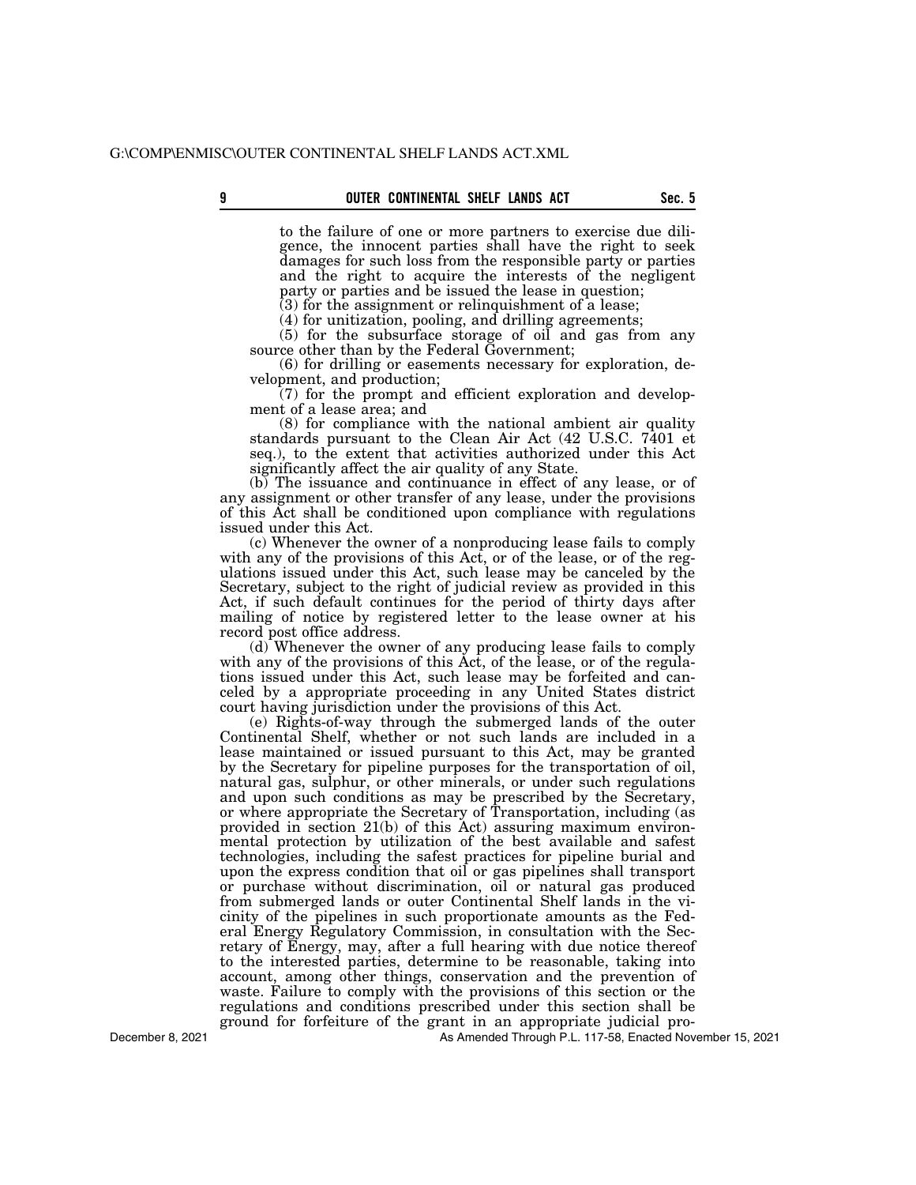to the failure of one or more partners to exercise due diligence, the innocent parties shall have the right to seek damages for such loss from the responsible party or parties and the right to acquire the interests of the negligent party or parties and be issued the lease in question;

(3) for the assignment or relinquishment of a lease;

(4) for unitization, pooling, and drilling agreements;

(5) for the subsurface storage of oil and gas from any source other than by the Federal Government;

(6) for drilling or easements necessary for exploration, development, and production;

(7) for the prompt and efficient exploration and development of a lease area; and

(8) for compliance with the national ambient air quality standards pursuant to the Clean Air Act (42 U.S.C. 7401 et seq.), to the extent that activities authorized under this Act significantly affect the air quality of any State.

(b) The issuance and continuance in effect of any lease, or of any assignment or other transfer of any lease, under the provisions of this Act shall be conditioned upon compliance with regulations issued under this Act.

(c) Whenever the owner of a nonproducing lease fails to comply with any of the provisions of this Act, or of the lease, or of the regulations issued under this Act, such lease may be canceled by the Secretary, subject to the right of judicial review as provided in this Act, if such default continues for the period of thirty days after mailing of notice by registered letter to the lease owner at his record post office address.

(d) Whenever the owner of any producing lease fails to comply with any of the provisions of this Act, of the lease, or of the regulations issued under this Act, such lease may be forfeited and canceled by a appropriate proceeding in any United States district court having jurisdiction under the provisions of this Act.

(e) Rights-of-way through the submerged lands of the outer Continental Shelf, whether or not such lands are included in a lease maintained or issued pursuant to this Act, may be granted by the Secretary for pipeline purposes for the transportation of oil, natural gas, sulphur, or other minerals, or under such regulations and upon such conditions as may be prescribed by the Secretary, or where appropriate the Secretary of Transportation, including (as provided in section 21(b) of this Act) assuring maximum environmental protection by utilization of the best available and safest technologies, including the safest practices for pipeline burial and upon the express condition that oil or gas pipelines shall transport or purchase without discrimination, oil or natural gas produced from submerged lands or outer Continental Shelf lands in the vicinity of the pipelines in such proportionate amounts as the Federal Energy Regulatory Commission, in consultation with the Secretary of Energy, may, after a full hearing with due notice thereof to the interested parties, determine to be reasonable, taking into account, among other things, conservation and the prevention of waste. Failure to comply with the provisions of this section or the regulations and conditions prescribed under this section shall be ground for forfeiture of the grant in an appropriate judicial pro-

December 8, 2021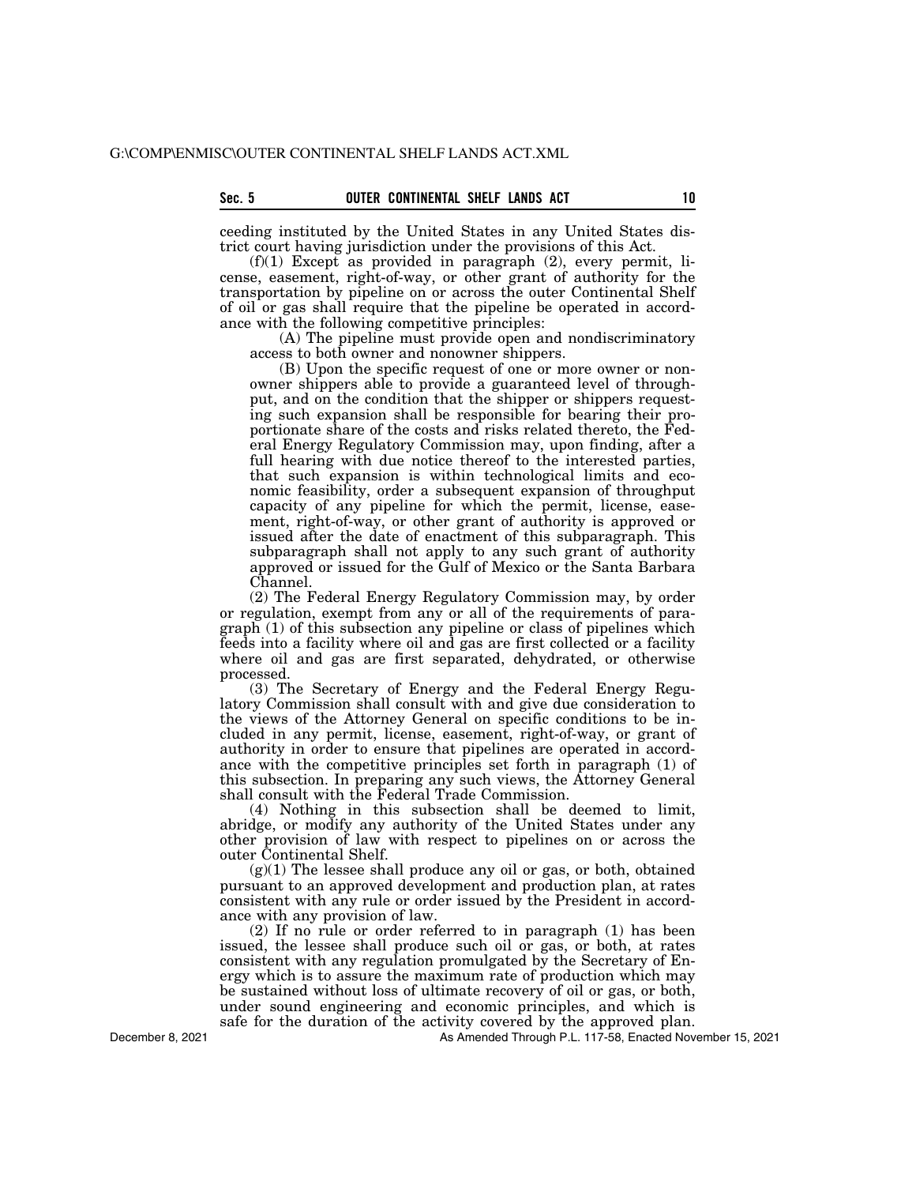ceeding instituted by the United States in any United States district court having jurisdiction under the provisions of this Act.

(f)(1) Except as provided in paragraph (2), every permit, license, easement, right-of-way, or other grant of authority for the transportation by pipeline on or across the outer Continental Shelf of oil or gas shall require that the pipeline be operated in accordance with the following competitive principles:

(A) The pipeline must provide open and nondiscriminatory access to both owner and nonowner shippers.

(B) Upon the specific request of one or more owner or nonowner shippers able to provide a guaranteed level of throughput, and on the condition that the shipper or shippers requesting such expansion shall be responsible for bearing their proportionate share of the costs and risks related thereto, the Federal Energy Regulatory Commission may, upon finding, after a full hearing with due notice thereof to the interested parties, that such expansion is within technological limits and economic feasibility, order a subsequent expansion of throughput capacity of any pipeline for which the permit, license, easement, right-of-way, or other grant of authority is approved or issued after the date of enactment of this subparagraph. This subparagraph shall not apply to any such grant of authority approved or issued for the Gulf of Mexico or the Santa Barbara Channel.

(2) The Federal Energy Regulatory Commission may, by order or regulation, exempt from any or all of the requirements of paragraph (1) of this subsection any pipeline or class of pipelines which feeds into a facility where oil and gas are first collected or a facility where oil and gas are first separated, dehydrated, or otherwise processed.

(3) The Secretary of Energy and the Federal Energy Regulatory Commission shall consult with and give due consideration to the views of the Attorney General on specific conditions to be included in any permit, license, easement, right-of-way, or grant of authority in order to ensure that pipelines are operated in accordance with the competitive principles set forth in paragraph (1) of this subsection. In preparing any such views, the Attorney General shall consult with the Federal Trade Commission.

(4) Nothing in this subsection shall be deemed to limit, abridge, or modify any authority of the United States under any other provision of law with respect to pipelines on or across the outer Continental Shelf.

 $(g)(1)$  The lessee shall produce any oil or gas, or both, obtained pursuant to an approved development and production plan, at rates consistent with any rule or order issued by the President in accordance with any provision of law.

(2) If no rule or order referred to in paragraph (1) has been issued, the lessee shall produce such oil or gas, or both, at rates consistent with any regulation promulgated by the Secretary of Energy which is to assure the maximum rate of production which may be sustained without loss of ultimate recovery of oil or gas, or both, under sound engineering and economic principles, and which is safe for the duration of the activity covered by the approved plan.

As Amended Through P.L. 117-58, Enacted November 15, 2021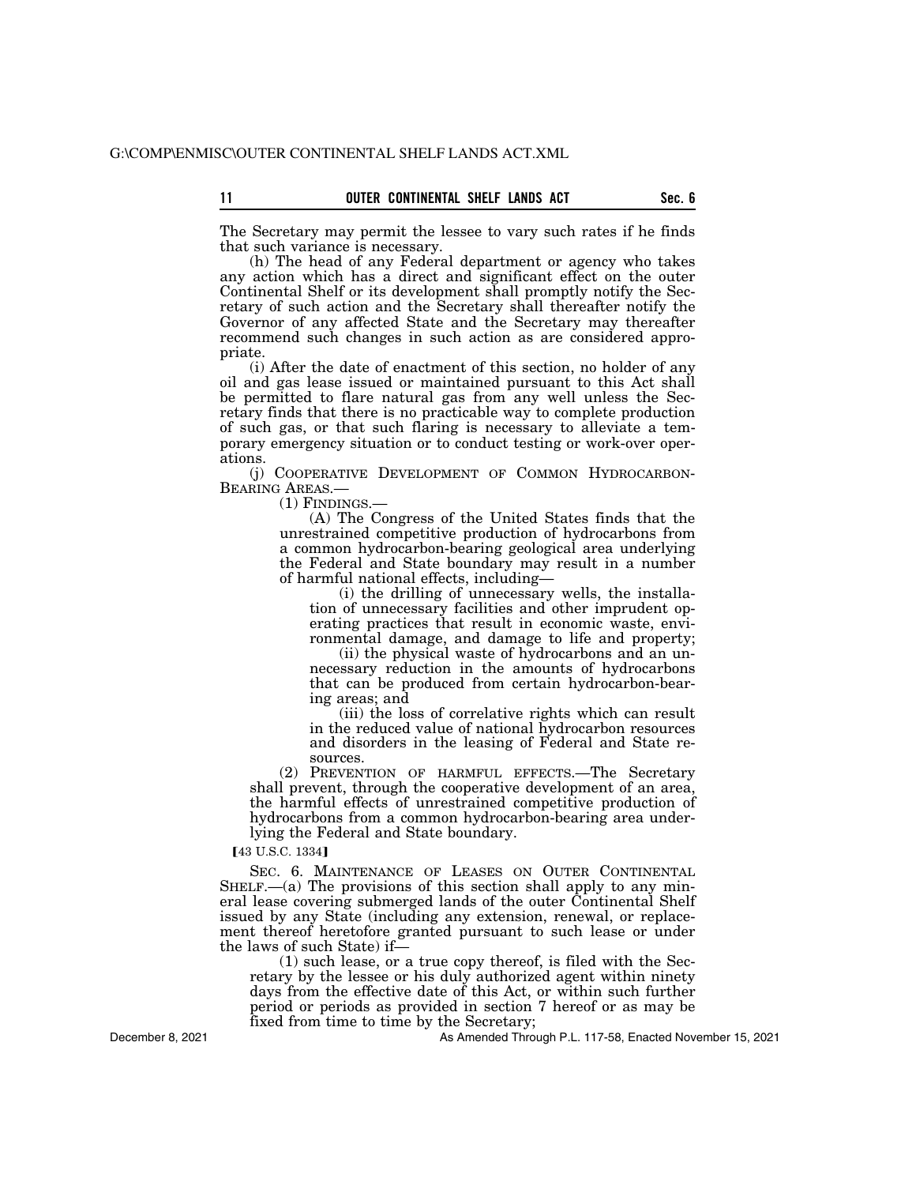The Secretary may permit the lessee to vary such rates if he finds that such variance is necessary.

(h) The head of any Federal department or agency who takes any action which has a direct and significant effect on the outer Continental Shelf or its development shall promptly notify the Secretary of such action and the Secretary shall thereafter notify the Governor of any affected State and the Secretary may thereafter recommend such changes in such action as are considered appropriate.

(i) After the date of enactment of this section, no holder of any oil and gas lease issued or maintained pursuant to this Act shall be permitted to flare natural gas from any well unless the Secretary finds that there is no practicable way to complete production of such gas, or that such flaring is necessary to alleviate a temporary emergency situation or to conduct testing or work-over operations.

(j) COOPERATIVE DEVELOPMENT OF COMMON HYDROCARBON-BEARING AREAS.—

(1) FINDINGS.—

(A) The Congress of the United States finds that the unrestrained competitive production of hydrocarbons from a common hydrocarbon-bearing geological area underlying the Federal and State boundary may result in a number of harmful national effects, including—

(i) the drilling of unnecessary wells, the installation of unnecessary facilities and other imprudent operating practices that result in economic waste, environmental damage, and damage to life and property;

(ii) the physical waste of hydrocarbons and an unnecessary reduction in the amounts of hydrocarbons that can be produced from certain hydrocarbon-bearing areas; and

(iii) the loss of correlative rights which can result in the reduced value of national hydrocarbon resources and disorders in the leasing of Federal and State resources.

(2) PREVENTION OF HARMFUL EFFECTS.—The Secretary shall prevent, through the cooperative development of an area, the harmful effects of unrestrained competitive production of hydrocarbons from a common hydrocarbon-bearing area underlying the Federal and State boundary.

 $[43 \text{ U.S.C. } 1334]$ 

SEC. 6. MAINTENANCE OF LEASES ON OUTER CONTINENTAL  $SHELF.$ —(a) The provisions of this section shall apply to any mineral lease covering submerged lands of the outer Continental Shelf issued by any State (including any extension, renewal, or replacement thereof heretofore granted pursuant to such lease or under the laws of such State) if—

(1) such lease, or a true copy thereof, is filed with the Secretary by the lessee or his duly authorized agent within ninety days from the effective date of this Act, or within such further period or periods as provided in section 7 hereof or as may be fixed from time to time by the Secretary;

December 8, 2021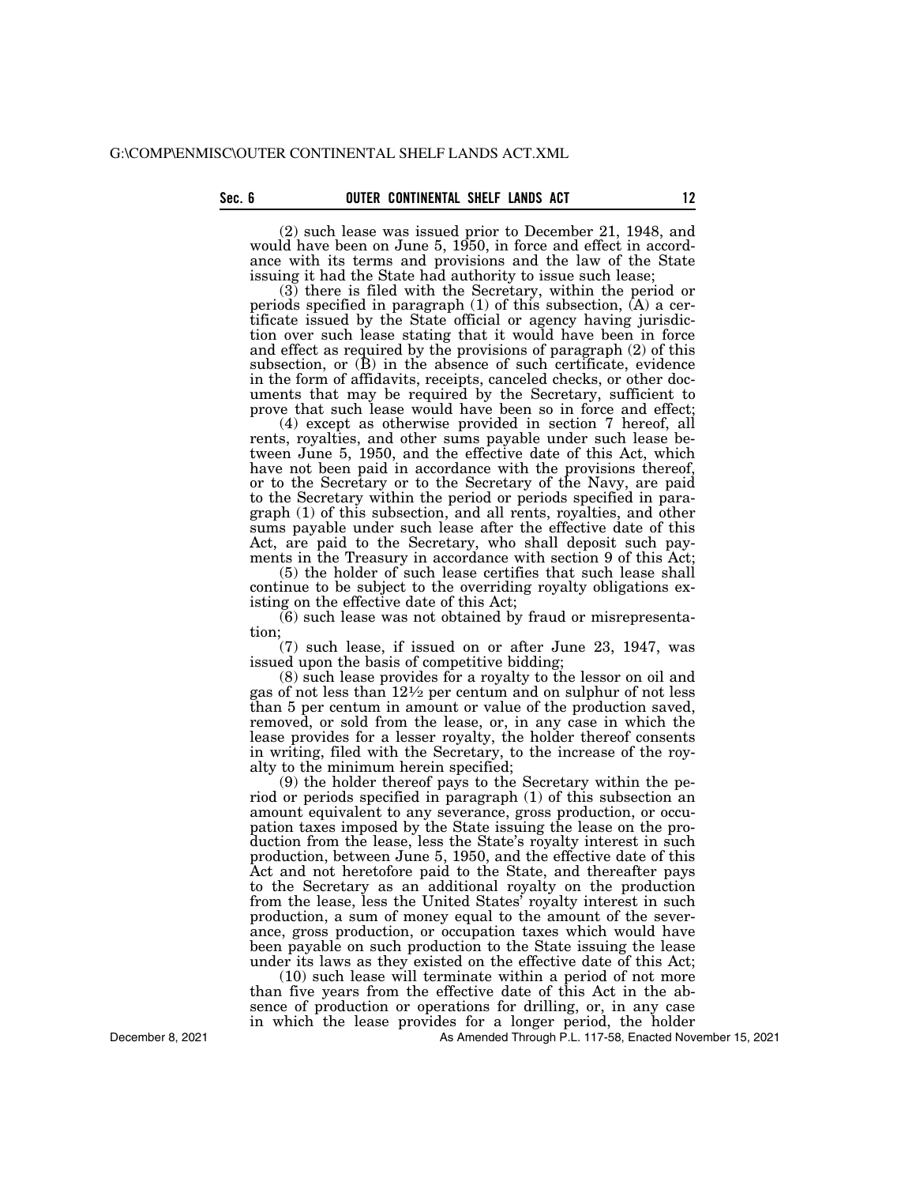(2) such lease was issued prior to December 21, 1948, and would have been on June 5, 1950, in force and effect in accordance with its terms and provisions and the law of the State issuing it had the State had authority to issue such lease;

(3) there is filed with the Secretary, within the period or periods specified in paragraph (1) of this subsection, (A) a certificate issued by the State official or agency having jurisdiction over such lease stating that it would have been in force and effect as required by the provisions of paragraph (2) of this subsection, or  $(\hat{B})$  in the absence of such certificate, evidence in the form of affidavits, receipts, canceled checks, or other documents that may be required by the Secretary, sufficient to prove that such lease would have been so in force and effect;

(4) except as otherwise provided in section 7 hereof, all rents, royalties, and other sums payable under such lease between June 5, 1950, and the effective date of this Act, which have not been paid in accordance with the provisions thereof, or to the Secretary or to the Secretary of the Navy, are paid to the Secretary within the period or periods specified in paragraph (1) of this subsection, and all rents, royalties, and other sums payable under such lease after the effective date of this Act, are paid to the Secretary, who shall deposit such payments in the Treasury in accordance with section 9 of this Act;

(5) the holder of such lease certifies that such lease shall continue to be subject to the overriding royalty obligations existing on the effective date of this Act;

(6) such lease was not obtained by fraud or misrepresentation;

(7) such lease, if issued on or after June 23, 1947, was issued upon the basis of competitive bidding;

 $(8)$  such lease provides for a royalty to the lessor on oil and gas of not less than 121⁄2 per centum and on sulphur of not less than 5 per centum in amount or value of the production saved, removed, or sold from the lease, or, in any case in which the lease provides for a lesser royalty, the holder thereof consents in writing, filed with the Secretary, to the increase of the royalty to the minimum herein specified;

(9) the holder thereof pays to the Secretary within the period or periods specified in paragraph (1) of this subsection an amount equivalent to any severance, gross production, or occupation taxes imposed by the State issuing the lease on the production from the lease, less the State's royalty interest in such production, between June 5, 1950, and the effective date of this Act and not heretofore paid to the State, and thereafter pays to the Secretary as an additional royalty on the production from the lease, less the United States' royalty interest in such production, a sum of money equal to the amount of the severance, gross production, or occupation taxes which would have been payable on such production to the State issuing the lease under its laws as they existed on the effective date of this Act;

(10) such lease will terminate within a period of not more than five years from the effective date of this Act in the absence of production or operations for drilling, or, in any case in which the lease provides for a longer period, the holder

As Amended Through P.L. 117-58, Enacted November 15, 2021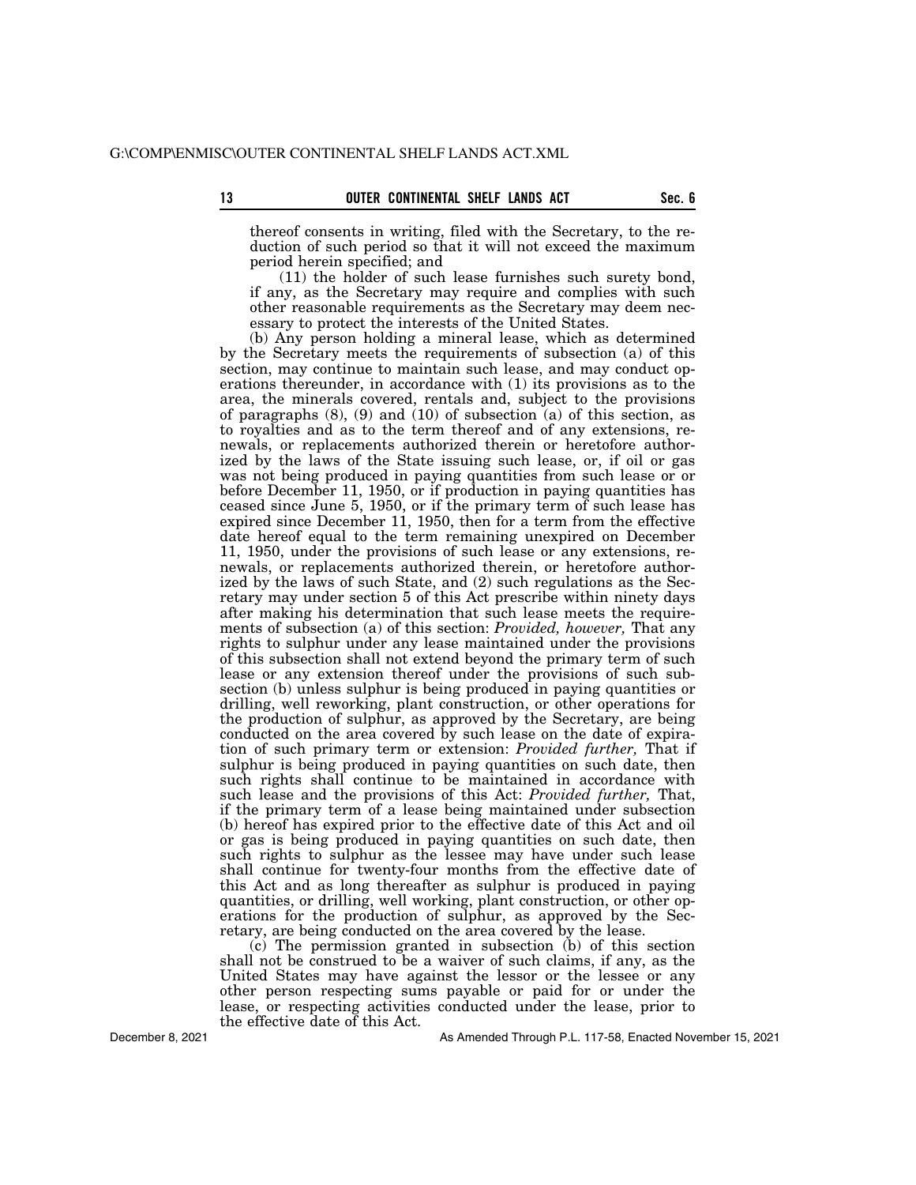thereof consents in writing, filed with the Secretary, to the reduction of such period so that it will not exceed the maximum period herein specified; and

(11) the holder of such lease furnishes such surety bond, if any, as the Secretary may require and complies with such other reasonable requirements as the Secretary may deem necessary to protect the interests of the United States.

(b) Any person holding a mineral lease, which as determined by the Secretary meets the requirements of subsection (a) of this section, may continue to maintain such lease, and may conduct operations thereunder, in accordance with (1) its provisions as to the area, the minerals covered, rentals and, subject to the provisions of paragraphs  $(8)$ ,  $(9)$  and  $(10)$  of subsection  $(a)$  of this section, as to royalties and as to the term thereof and of any extensions, renewals, or replacements authorized therein or heretofore authorized by the laws of the State issuing such lease, or, if oil or gas was not being produced in paying quantities from such lease or or before December 11, 1950, or if production in paying quantities has ceased since June 5, 1950, or if the primary term of such lease has expired since December 11, 1950, then for a term from the effective date hereof equal to the term remaining unexpired on December 11, 1950, under the provisions of such lease or any extensions, renewals, or replacements authorized therein, or heretofore authorized by the laws of such State, and (2) such regulations as the Secretary may under section 5 of this Act prescribe within ninety days after making his determination that such lease meets the requirements of subsection (a) of this section: *Provided, however,* That any rights to sulphur under any lease maintained under the provisions of this subsection shall not extend beyond the primary term of such lease or any extension thereof under the provisions of such subsection (b) unless sulphur is being produced in paying quantities or drilling, well reworking, plant construction, or other operations for the production of sulphur, as approved by the Secretary, are being conducted on the area covered by such lease on the date of expiration of such primary term or extension: *Provided further,* That if sulphur is being produced in paying quantities on such date, then such rights shall continue to be maintained in accordance with such lease and the provisions of this Act: *Provided further,* That, if the primary term of a lease being maintained under subsection (b) hereof has expired prior to the effective date of this Act and oil or gas is being produced in paying quantities on such date, then such rights to sulphur as the lessee may have under such lease shall continue for twenty-four months from the effective date of this Act and as long thereafter as sulphur is produced in paying quantities, or drilling, well working, plant construction, or other operations for the production of sulphur, as approved by the Secretary, are being conducted on the area covered by the lease.

 $(c)$  The permission granted in subsection  $(b)$  of this section shall not be construed to be a waiver of such claims, if any, as the United States may have against the lessor or the lessee or any other person respecting sums payable or paid for or under the lease, or respecting activities conducted under the lease, prior to the effective date of this Act.

December 8, 2021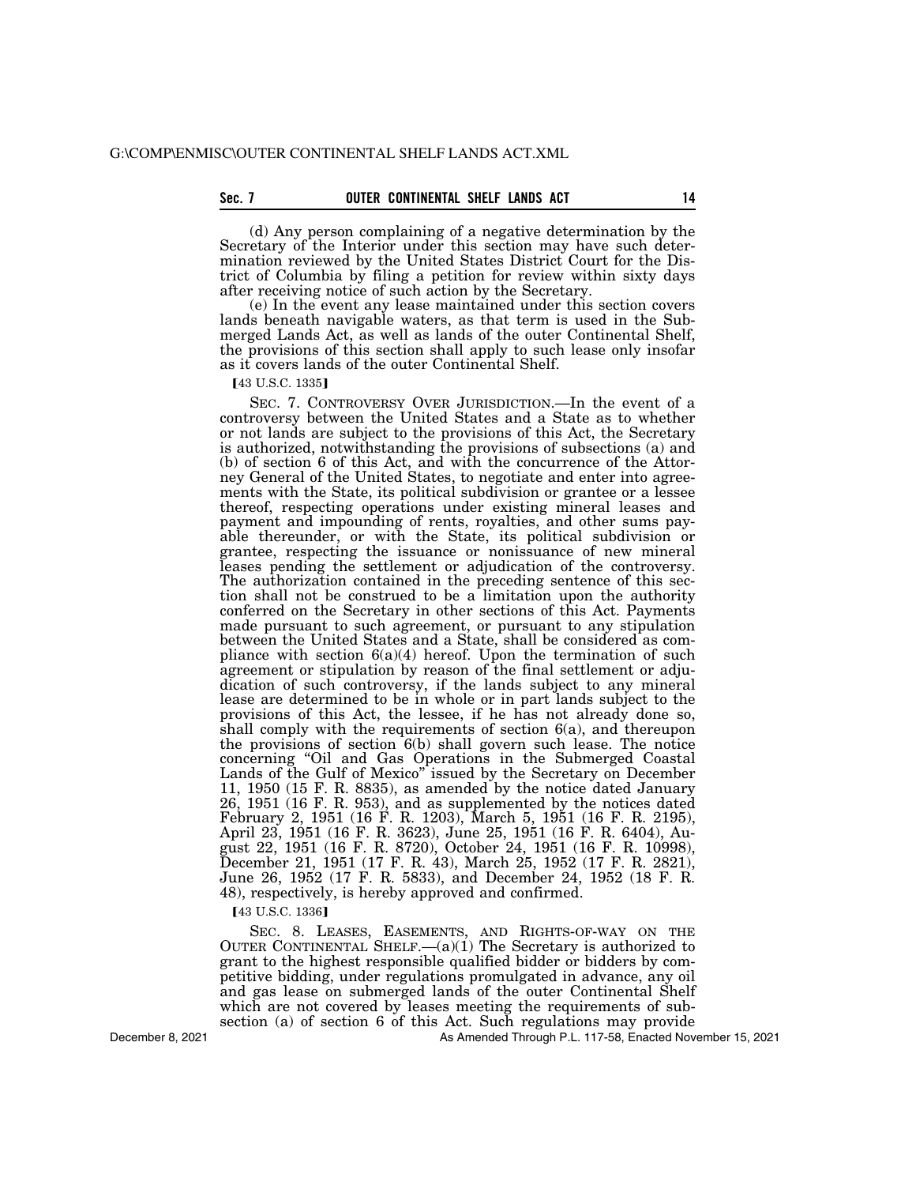## Sec. 7 **OUTER CONTINENTAL SHELF LANDS ACT** 14

(d) Any person complaining of a negative determination by the Secretary of the Interior under this section may have such determination reviewed by the United States District Court for the District of Columbia by filing a petition for review within sixty days after receiving notice of such action by the Secretary.

(e) In the event any lease maintained under this section covers lands beneath navigable waters, as that term is used in the Submerged Lands Act, as well as lands of the outer Continental Shelf, the provisions of this section shall apply to such lease only insofar as it covers lands of the outer Continental Shelf.

#### **[43 U.S.C. 1335]**

SEC. 7. CONTROVERSY OVER JURISDICTION.—In the event of a controversy between the United States and a State as to whether or not lands are subject to the provisions of this Act, the Secretary is authorized, notwithstanding the provisions of subsections (a) and (b) of section 6 of this Act, and with the concurrence of the Attorney General of the United States, to negotiate and enter into agreements with the State, its political subdivision or grantee or a lessee thereof, respecting operations under existing mineral leases and payment and impounding of rents, royalties, and other sums payable thereunder, or with the State, its political subdivision or grantee, respecting the issuance or nonissuance of new mineral leases pending the settlement or adjudication of the controversy. The authorization contained in the preceding sentence of this section shall not be construed to be a limitation upon the authority conferred on the Secretary in other sections of this Act. Payments made pursuant to such agreement, or pursuant to any stipulation between the United States and a State, shall be considered as compliance with section 6(a)(4) hereof. Upon the termination of such agreement or stipulation by reason of the final settlement or adjudication of such controversy, if the lands subject to any mineral lease are determined to be in whole or in part lands subject to the provisions of this Act, the lessee, if he has not already done so, shall comply with the requirements of section 6(a), and thereupon the provisions of section 6(b) shall govern such lease. The notice concerning ''Oil and Gas Operations in the Submerged Coastal Lands of the Gulf of Mexico'' issued by the Secretary on December 11, 1950 (15 F. R. 8835), as amended by the notice dated January 26, 1951 (16 F. R. 953), and as supplemented by the notices dated February 2, 1951 (16 F. R. 1203), March 5, 1951 (16 F. R. 2195), April 23, 1951 (16 F. R. 3623), June 25, 1951 (16 F. R. 6404), August 22, 1951 (16 F. R. 8720), October 24, 1951 (16 F. R. 10998), December 21, 1951 (17 F. R. 43), March 25, 1952 (17 F. R. 2821), June 26, 1952 (17 F. R. 5833), and December 24, 1952 (18 F. R. 48), respectively, is hereby approved and confirmed.

[43 U.S.C. 1336]

SEC. 8. LEASES, EASEMENTS, AND RIGHTS-OF-WAY ON THE OUTER CONTINENTAL SHELF.—(a)(1) The Secretary is authorized to grant to the highest responsible qualified bidder or bidders by competitive bidding, under regulations promulgated in advance, any oil and gas lease on submerged lands of the outer Continental Shelf which are not covered by leases meeting the requirements of subsection (a) of section 6 of this Act. Such regulations may provide

As Amended Through P.L. 117-58, Enacted November 15, 2021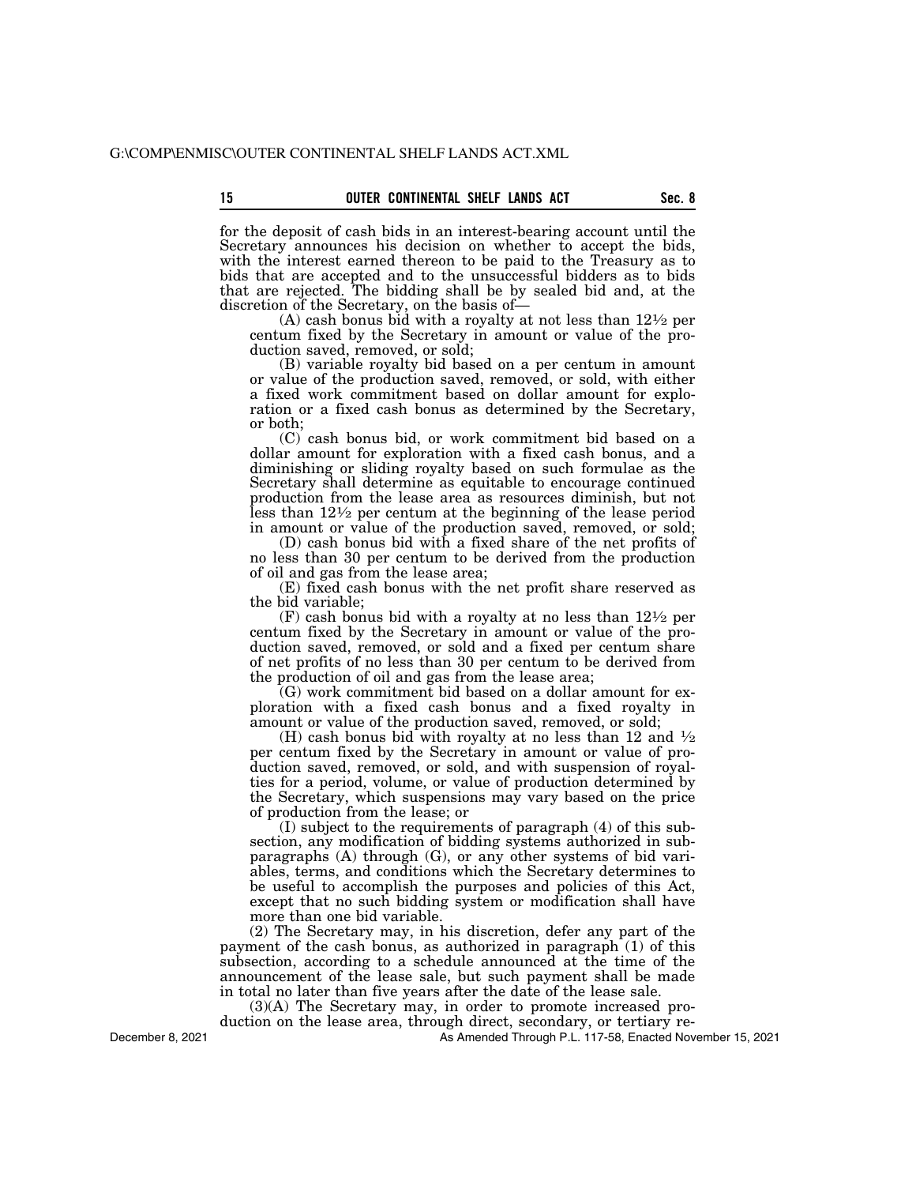for the deposit of cash bids in an interest-bearing account until the Secretary announces his decision on whether to accept the bids, with the interest earned thereon to be paid to the Treasury as to bids that are accepted and to the unsuccessful bidders as to bids that are rejected. The bidding shall be by sealed bid and, at the discretion of the Secretary, on the basis of—

(A) cash bonus bid with a royalty at not less than  $12\frac{1}{2}$  per centum fixed by the Secretary in amount or value of the production saved, removed, or sold;

(B) variable royalty bid based on a per centum in amount or value of the production saved, removed, or sold, with either a fixed work commitment based on dollar amount for exploration or a fixed cash bonus as determined by the Secretary, or both;

(C) cash bonus bid, or work commitment bid based on a dollar amount for exploration with a fixed cash bonus, and a diminishing or sliding royalty based on such formulae as the Secretary shall determine as equitable to encourage continued production from the lease area as resources diminish, but not less than  $12\frac{1}{2}$  per centum at the beginning of the lease period in amount or value of the production saved, removed, or sold;

(D) cash bonus bid with a fixed share of the net profits of no less than 30 per centum to be derived from the production of oil and gas from the lease area;

(E) fixed cash bonus with the net profit share reserved as the bid variable;

 $(F)$  cash bonus bid with a royalty at no less than  $12\frac{1}{2}$  per centum fixed by the Secretary in amount or value of the production saved, removed, or sold and a fixed per centum share of net profits of no less than 30 per centum to be derived from the production of oil and gas from the lease area;

(G) work commitment bid based on a dollar amount for exploration with a fixed cash bonus and a fixed royalty in amount or value of the production saved, removed, or sold;

(H) cash bonus bid with royalty at no less than 12 and  $\frac{1}{2}$ per centum fixed by the Secretary in amount or value of production saved, removed, or sold, and with suspension of royalties for a period, volume, or value of production determined by the Secretary, which suspensions may vary based on the price of production from the lease; or

(I) subject to the requirements of paragraph (4) of this subsection, any modification of bidding systems authorized in subparagraphs (A) through (G), or any other systems of bid variables, terms, and conditions which the Secretary determines to be useful to accomplish the purposes and policies of this Act, except that no such bidding system or modification shall have more than one bid variable.

(2) The Secretary may, in his discretion, defer any part of the payment of the cash bonus, as authorized in paragraph (1) of this subsection, according to a schedule announced at the time of the announcement of the lease sale, but such payment shall be made in total no later than five years after the date of the lease sale.

(3)(A) The Secretary may, in order to promote increased production on the lease area, through direct, secondary, or tertiary re-

As Amended Through P.L. 117-58, Enacted November 15, 2021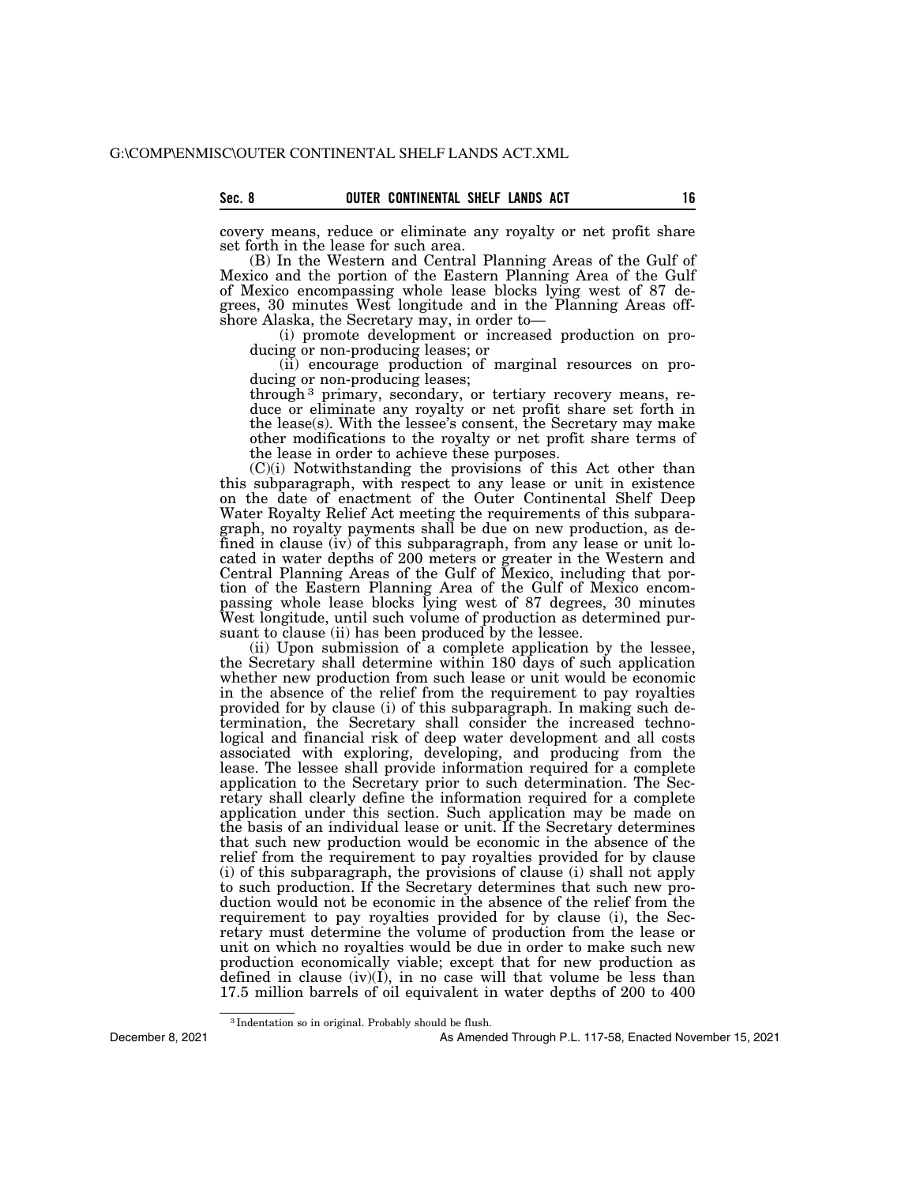covery means, reduce or eliminate any royalty or net profit share set forth in the lease for such area.

(B) In the Western and Central Planning Areas of the Gulf of Mexico and the portion of the Eastern Planning Area of the Gulf of Mexico encompassing whole lease blocks lying west of 87 degrees, 30 minutes West longitude and in the Planning Areas offshore Alaska, the Secretary may, in order to—

(i) promote development or increased production on producing or non-producing leases; or

(ii) encourage production of marginal resources on producing or non-producing leases;

through<sup>3</sup> primary, secondary, or tertiary recovery means, reduce or eliminate any royalty or net profit share set forth in the lease(s). With the lessee's consent, the Secretary may make other modifications to the royalty or net profit share terms of the lease in order to achieve these purposes.

(C)(i) Notwithstanding the provisions of this Act other than this subparagraph, with respect to any lease or unit in existence on the date of enactment of the Outer Continental Shelf Deep Water Royalty Relief Act meeting the requirements of this subparagraph, no royalty payments shall be due on new production, as defined in clause (iv) of this subparagraph, from any lease or unit located in water depths of 200 meters or greater in the Western and Central Planning Areas of the Gulf of Mexico, including that portion of the Eastern Planning Area of the Gulf of Mexico encompassing whole lease blocks lying west of 87 degrees, 30 minutes West longitude, until such volume of production as determined pursuant to clause (ii) has been produced by the lessee.

(ii) Upon submission of a complete application by the lessee, the Secretary shall determine within 180 days of such application whether new production from such lease or unit would be economic in the absence of the relief from the requirement to pay royalties provided for by clause (i) of this subparagraph. In making such determination, the Secretary shall consider the increased technological and financial risk of deep water development and all costs associated with exploring, developing, and producing from the lease. The lessee shall provide information required for a complete application to the Secretary prior to such determination. The Secretary shall clearly define the information required for a complete application under this section. Such application may be made on the basis of an individual lease or unit. If the Secretary determines that such new production would be economic in the absence of the relief from the requirement to pay royalties provided for by clause (i) of this subparagraph, the provisions of clause (i) shall not apply to such production. If the Secretary determines that such new production would not be economic in the absence of the relief from the requirement to pay royalties provided for by clause (i), the Secretary must determine the volume of production from the lease or unit on which no royalties would be due in order to make such new production economically viable; except that for new production as defined in clause  $(iv)(I)$ , in no case will that volume be less than 17.5 million barrels of oil equivalent in water depths of 200 to 400

<sup>3</sup> Indentation so in original. Probably should be flush.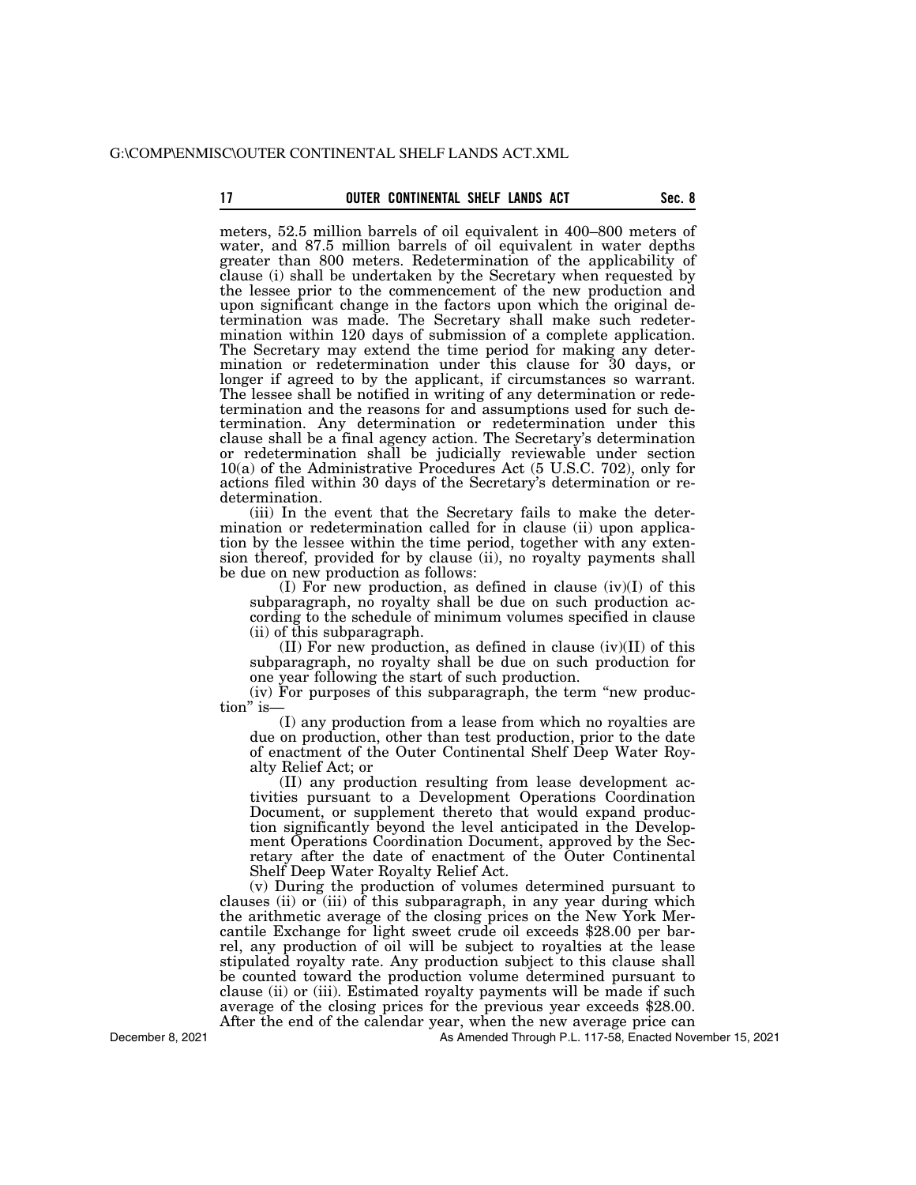## **17** OUTER CONTINENTAL SHELF LANDS ACT Sec. 8

meters, 52.5 million barrels of oil equivalent in 400–800 meters of water, and 87.5 million barrels of oil equivalent in water depths greater than 800 meters. Redetermination of the applicability of clause (i) shall be undertaken by the Secretary when requested by the lessee prior to the commencement of the new production and upon significant change in the factors upon which the original determination was made. The Secretary shall make such redetermination within 120 days of submission of a complete application. The Secretary may extend the time period for making any determination or redetermination under this clause for 30 days, or longer if agreed to by the applicant, if circumstances so warrant. The lessee shall be notified in writing of any determination or redetermination and the reasons for and assumptions used for such determination. Any determination or redetermination under this clause shall be a final agency action. The Secretary's determination or redetermination shall be judicially reviewable under section 10(a) of the Administrative Procedures Act (5 U.S.C. 702), only for actions filed within 30 days of the Secretary's determination or redetermination.

(iii) In the event that the Secretary fails to make the determination or redetermination called for in clause (ii) upon application by the lessee within the time period, together with any extension thereof, provided for by clause (ii), no royalty payments shall be due on new production as follows:

(I) For new production, as defined in clause (iv)(I) of this subparagraph, no royalty shall be due on such production according to the schedule of minimum volumes specified in clause (ii) of this subparagraph.

(II) For new production, as defined in clause  $(iv)(II)$  of this subparagraph, no royalty shall be due on such production for one year following the start of such production.

(iv) For purposes of this subparagraph, the term ''new production'' is—

(I) any production from a lease from which no royalties are due on production, other than test production, prior to the date of enactment of the Outer Continental Shelf Deep Water Royalty Relief Act; or

(II) any production resulting from lease development activities pursuant to a Development Operations Coordination Document, or supplement thereto that would expand production significantly beyond the level anticipated in the Development Operations Coordination Document, approved by the Secretary after the date of enactment of the Outer Continental Shelf Deep Water Royalty Relief Act.

(v) During the production of volumes determined pursuant to clauses (ii) or (iii) of this subparagraph, in any year during which the arithmetic average of the closing prices on the New York Mercantile Exchange for light sweet crude oil exceeds \$28.00 per barrel, any production of oil will be subject to royalties at the lease stipulated royalty rate. Any production subject to this clause shall be counted toward the production volume determined pursuant to clause (ii) or (iii). Estimated royalty payments will be made if such average of the closing prices for the previous year exceeds \$28.00. After the end of the calendar year, when the new average price can

As Amended Through P.L. 117-58, Enacted November 15, 2021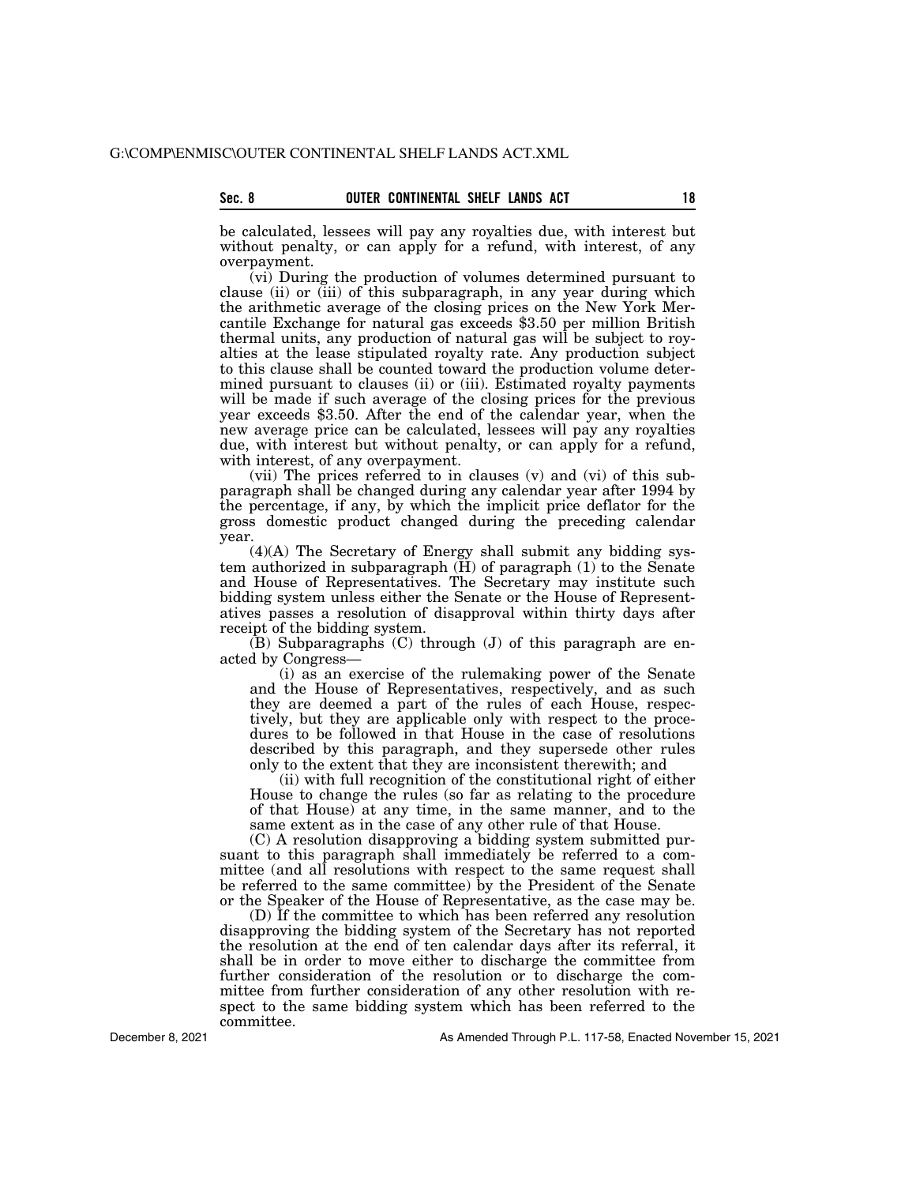be calculated, lessees will pay any royalties due, with interest but without penalty, or can apply for a refund, with interest, of any overpayment.

(vi) During the production of volumes determined pursuant to clause (ii) or (iii) of this subparagraph, in any year during which the arithmetic average of the closing prices on the New York Mercantile Exchange for natural gas exceeds \$3.50 per million British thermal units, any production of natural gas will be subject to royalties at the lease stipulated royalty rate. Any production subject to this clause shall be counted toward the production volume determined pursuant to clauses (ii) or (iii). Estimated royalty payments will be made if such average of the closing prices for the previous year exceeds \$3.50. After the end of the calendar year, when the new average price can be calculated, lessees will pay any royalties due, with interest but without penalty, or can apply for a refund, with interest, of any overpayment.

(vii) The prices referred to in clauses (v) and (vi) of this subparagraph shall be changed during any calendar year after 1994 by the percentage, if any, by which the implicit price deflator for the gross domestic product changed during the preceding calendar year.

(4)(A) The Secretary of Energy shall submit any bidding system authorized in subparagraph  $(H)$  of paragraph  $(1)$  to the Senate and House of Representatives. The Secretary may institute such bidding system unless either the Senate or the House of Representatives passes a resolution of disapproval within thirty days after receipt of the bidding system.

(B) Subparagraphs (C) through (J) of this paragraph are enacted by Congress—

(i) as an exercise of the rulemaking power of the Senate and the House of Representatives, respectively, and as such they are deemed a part of the rules of each House, respectively, but they are applicable only with respect to the procedures to be followed in that House in the case of resolutions described by this paragraph, and they supersede other rules only to the extent that they are inconsistent therewith; and

(ii) with full recognition of the constitutional right of either House to change the rules (so far as relating to the procedure of that House) at any time, in the same manner, and to the same extent as in the case of any other rule of that House.

(C) A resolution disapproving a bidding system submitted pursuant to this paragraph shall immediately be referred to a committee (and all resolutions with respect to the same request shall be referred to the same committee) by the President of the Senate or the Speaker of the House of Representative, as the case may be.

(D) If the committee to which has been referred any resolution disapproving the bidding system of the Secretary has not reported the resolution at the end of ten calendar days after its referral, it shall be in order to move either to discharge the committee from further consideration of the resolution or to discharge the committee from further consideration of any other resolution with respect to the same bidding system which has been referred to the committee.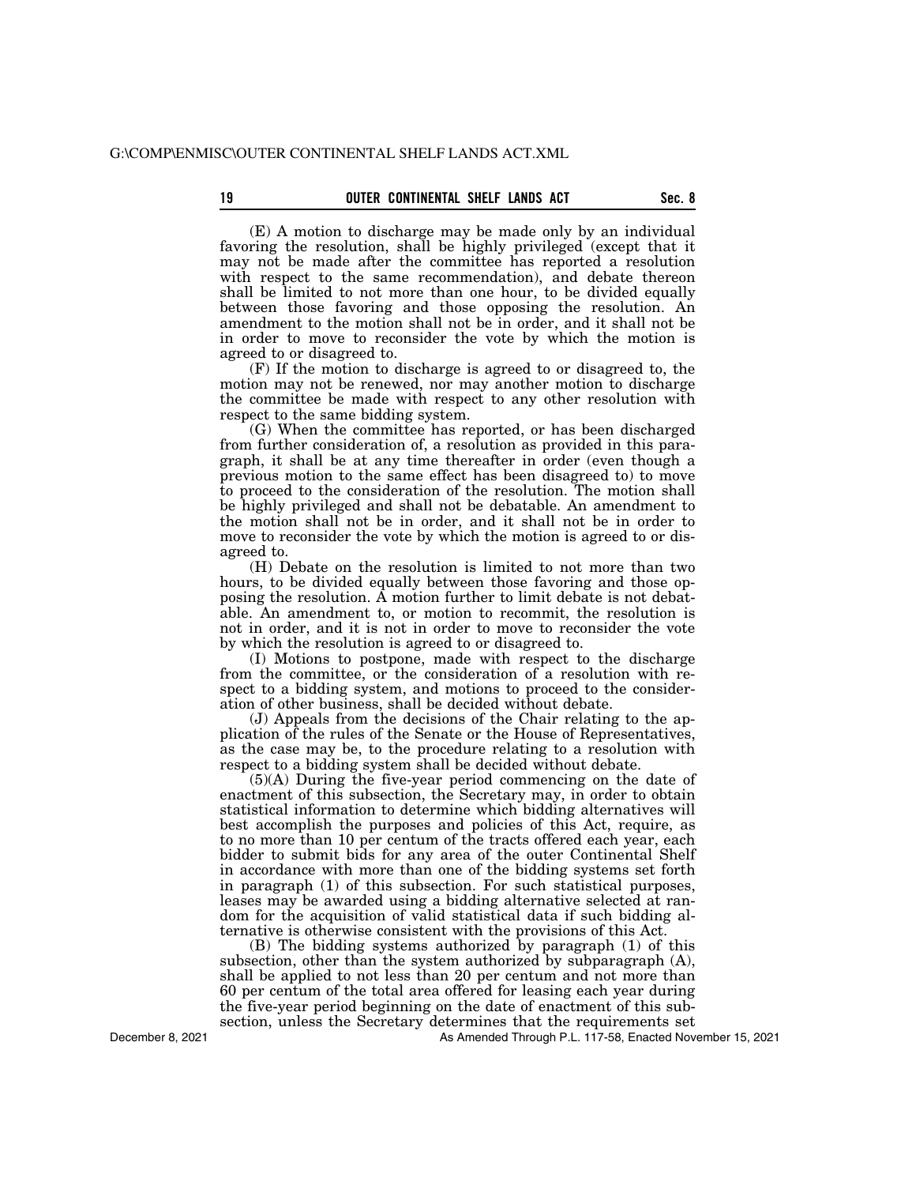(E) A motion to discharge may be made only by an individual favoring the resolution, shall be highly privileged (except that it may not be made after the committee has reported a resolution with respect to the same recommendation), and debate thereon shall be limited to not more than one hour, to be divided equally between those favoring and those opposing the resolution. An amendment to the motion shall not be in order, and it shall not be in order to move to reconsider the vote by which the motion is agreed to or disagreed to.

(F) If the motion to discharge is agreed to or disagreed to, the motion may not be renewed, nor may another motion to discharge the committee be made with respect to any other resolution with respect to the same bidding system.

(G) When the committee has reported, or has been discharged from further consideration of, a resolution as provided in this paragraph, it shall be at any time thereafter in order (even though a previous motion to the same effect has been disagreed to) to move to proceed to the consideration of the resolution. The motion shall be highly privileged and shall not be debatable. An amendment to the motion shall not be in order, and it shall not be in order to move to reconsider the vote by which the motion is agreed to or disagreed to.

(H) Debate on the resolution is limited to not more than two hours, to be divided equally between those favoring and those opposing the resolution. A motion further to limit debate is not debatable. An amendment to, or motion to recommit, the resolution is not in order, and it is not in order to move to reconsider the vote by which the resolution is agreed to or disagreed to.

(I) Motions to postpone, made with respect to the discharge from the committee, or the consideration of a resolution with respect to a bidding system, and motions to proceed to the consideration of other business, shall be decided without debate.

(J) Appeals from the decisions of the Chair relating to the application of the rules of the Senate or the House of Representatives, as the case may be, to the procedure relating to a resolution with respect to a bidding system shall be decided without debate.

(5)(A) During the five-year period commencing on the date of enactment of this subsection, the Secretary may, in order to obtain statistical information to determine which bidding alternatives will best accomplish the purposes and policies of this Act, require, as to no more than 10 per centum of the tracts offered each year, each bidder to submit bids for any area of the outer Continental Shelf in accordance with more than one of the bidding systems set forth in paragraph (1) of this subsection. For such statistical purposes, leases may be awarded using a bidding alternative selected at random for the acquisition of valid statistical data if such bidding alternative is otherwise consistent with the provisions of this Act.

(B) The bidding systems authorized by paragraph (1) of this subsection, other than the system authorized by subparagraph (A), shall be applied to not less than 20 per centum and not more than 60 per centum of the total area offered for leasing each year during the five-year period beginning on the date of enactment of this subsection, unless the Secretary determines that the requirements set

As Amended Through P.L. 117-58, Enacted November 15, 2021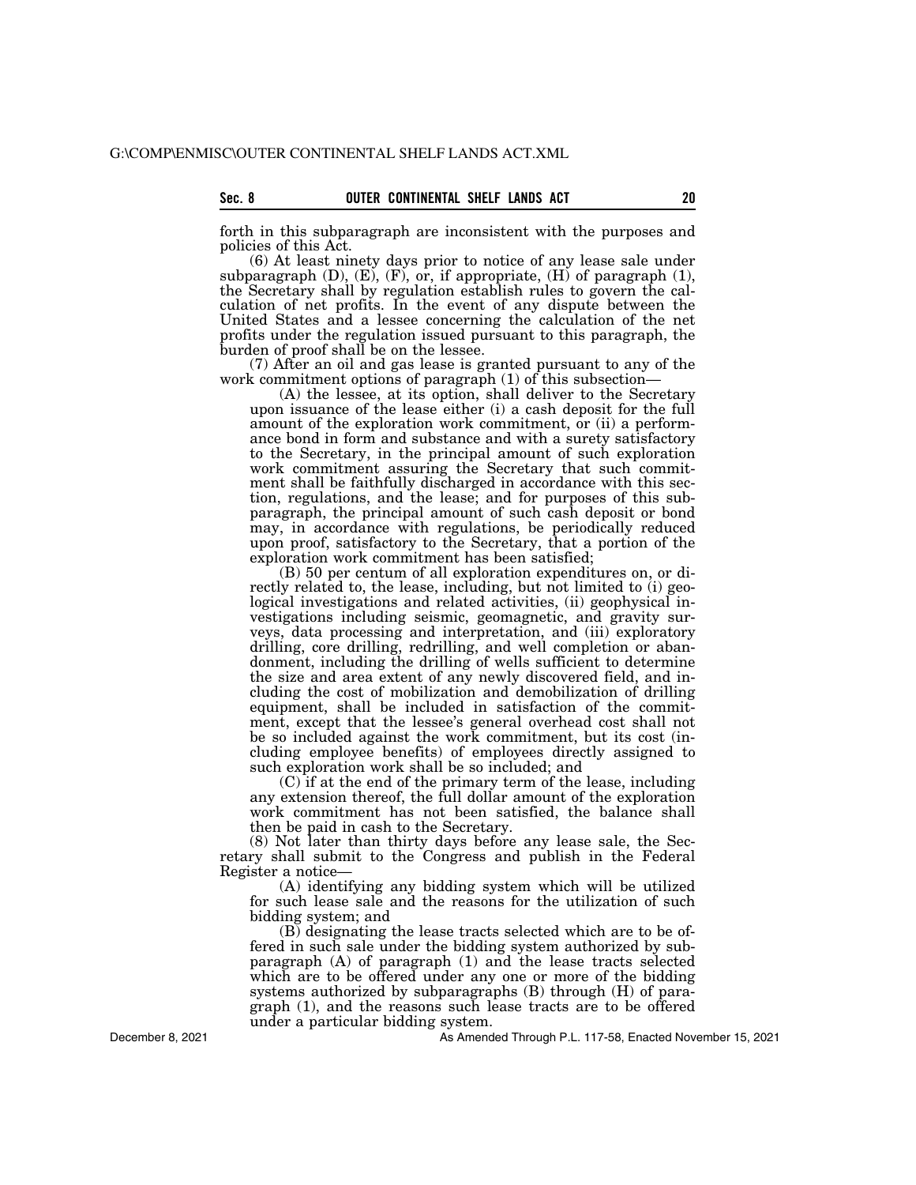forth in this subparagraph are inconsistent with the purposes and policies of this Act.

(6) At least ninety days prior to notice of any lease sale under subparagraph  $(D)$ ,  $(E)$ ,  $(F)$ , or, if appropriate,  $(H)$  of paragraph  $(1)$ , the Secretary shall by regulation establish rules to govern the calculation of net profits. In the event of any dispute between the United States and a lessee concerning the calculation of the net profits under the regulation issued pursuant to this paragraph, the burden of proof shall be on the lessee.

(7) After an oil and gas lease is granted pursuant to any of the work commitment options of paragraph (1) of this subsection—

(A) the lessee, at its option, shall deliver to the Secretary upon issuance of the lease either (i) a cash deposit for the full amount of the exploration work commitment, or (ii) a performance bond in form and substance and with a surety satisfactory to the Secretary, in the principal amount of such exploration work commitment assuring the Secretary that such commitment shall be faithfully discharged in accordance with this section, regulations, and the lease; and for purposes of this subparagraph, the principal amount of such cash deposit or bond may, in accordance with regulations, be periodically reduced upon proof, satisfactory to the Secretary, that a portion of the exploration work commitment has been satisfied;

(B) 50 per centum of all exploration expenditures on, or directly related to, the lease, including, but not limited to (i) geological investigations and related activities, (ii) geophysical investigations including seismic, geomagnetic, and gravity surveys, data processing and interpretation, and (iii) exploratory drilling, core drilling, redrilling, and well completion or abandonment, including the drilling of wells sufficient to determine the size and area extent of any newly discovered field, and including the cost of mobilization and demobilization of drilling equipment, shall be included in satisfaction of the commitment, except that the lessee's general overhead cost shall not be so included against the work commitment, but its cost (including employee benefits) of employees directly assigned to such exploration work shall be so included; and

(C) if at the end of the primary term of the lease, including any extension thereof, the full dollar amount of the exploration work commitment has not been satisfied, the balance shall then be paid in cash to the Secretary.

(8) Not later than thirty days before any lease sale, the Secretary shall submit to the Congress and publish in the Federal Register a notice—

(A) identifying any bidding system which will be utilized for such lease sale and the reasons for the utilization of such bidding system; and

(B) designating the lease tracts selected which are to be offered in such sale under the bidding system authorized by subparagraph (A) of paragraph (1) and the lease tracts selected which are to be offered under any one or more of the bidding systems authorized by subparagraphs (B) through (H) of paragraph (1), and the reasons such lease tracts are to be offered under a particular bidding system.

As Amended Through P.L. 117-58, Enacted November 15, 2021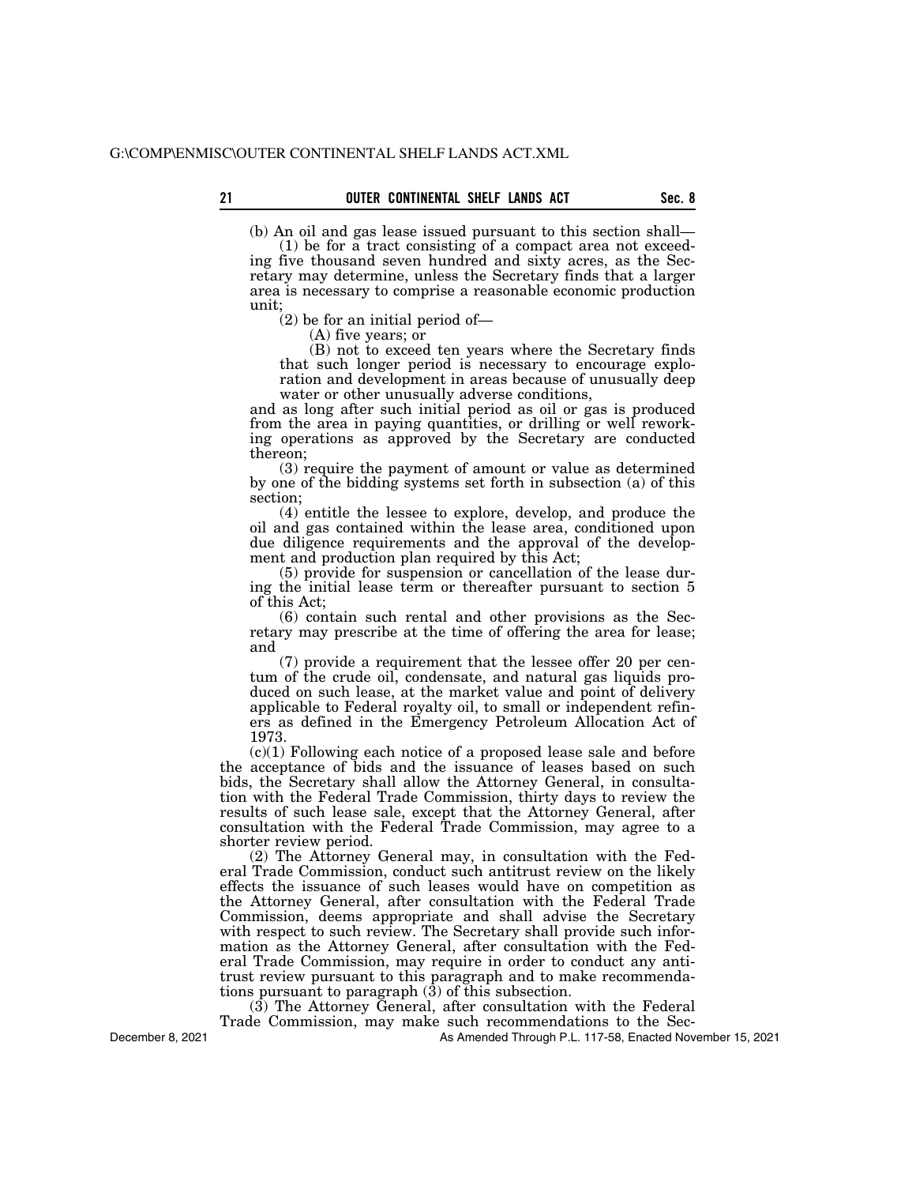(b) An oil and gas lease issued pursuant to this section shall— (1) be for a tract consisting of a compact area not exceeding five thousand seven hundred and sixty acres, as the Secretary may determine, unless the Secretary finds that a larger area is necessary to comprise a reasonable economic production unit;

(2) be for an initial period of—

(A) five years; or

(B) not to exceed ten years where the Secretary finds that such longer period is necessary to encourage exploration and development in areas because of unusually deep water or other unusually adverse conditions,

and as long after such initial period as oil or gas is produced from the area in paying quantities, or drilling or well reworking operations as approved by the Secretary are conducted thereon;

(3) require the payment of amount or value as determined by one of the bidding systems set forth in subsection (a) of this section;

(4) entitle the lessee to explore, develop, and produce the oil and gas contained within the lease area, conditioned upon due diligence requirements and the approval of the development and production plan required by this Act;

(5) provide for suspension or cancellation of the lease during the initial lease term or thereafter pursuant to section 5 of this Act;

(6) contain such rental and other provisions as the Secretary may prescribe at the time of offering the area for lease; and

(7) provide a requirement that the lessee offer 20 per centum of the crude oil, condensate, and natural gas liquids produced on such lease, at the market value and point of delivery applicable to Federal royalty oil, to small or independent refiners as defined in the Emergency Petroleum Allocation Act of 1973.

(c)(1) Following each notice of a proposed lease sale and before the acceptance of bids and the issuance of leases based on such bids, the Secretary shall allow the Attorney General, in consultation with the Federal Trade Commission, thirty days to review the results of such lease sale, except that the Attorney General, after consultation with the Federal Trade Commission, may agree to a shorter review period.

(2) The Attorney General may, in consultation with the Federal Trade Commission, conduct such antitrust review on the likely effects the issuance of such leases would have on competition as the Attorney General, after consultation with the Federal Trade Commission, deems appropriate and shall advise the Secretary with respect to such review. The Secretary shall provide such information as the Attorney General, after consultation with the Federal Trade Commission, may require in order to conduct any antitrust review pursuant to this paragraph and to make recommendations pursuant to paragraph  $(3)$  of this subsection.

(3) The Attorney General, after consultation with the Federal Trade Commission, may make such recommendations to the Sec-

As Amended Through P.L. 117-58, Enacted November 15, 2021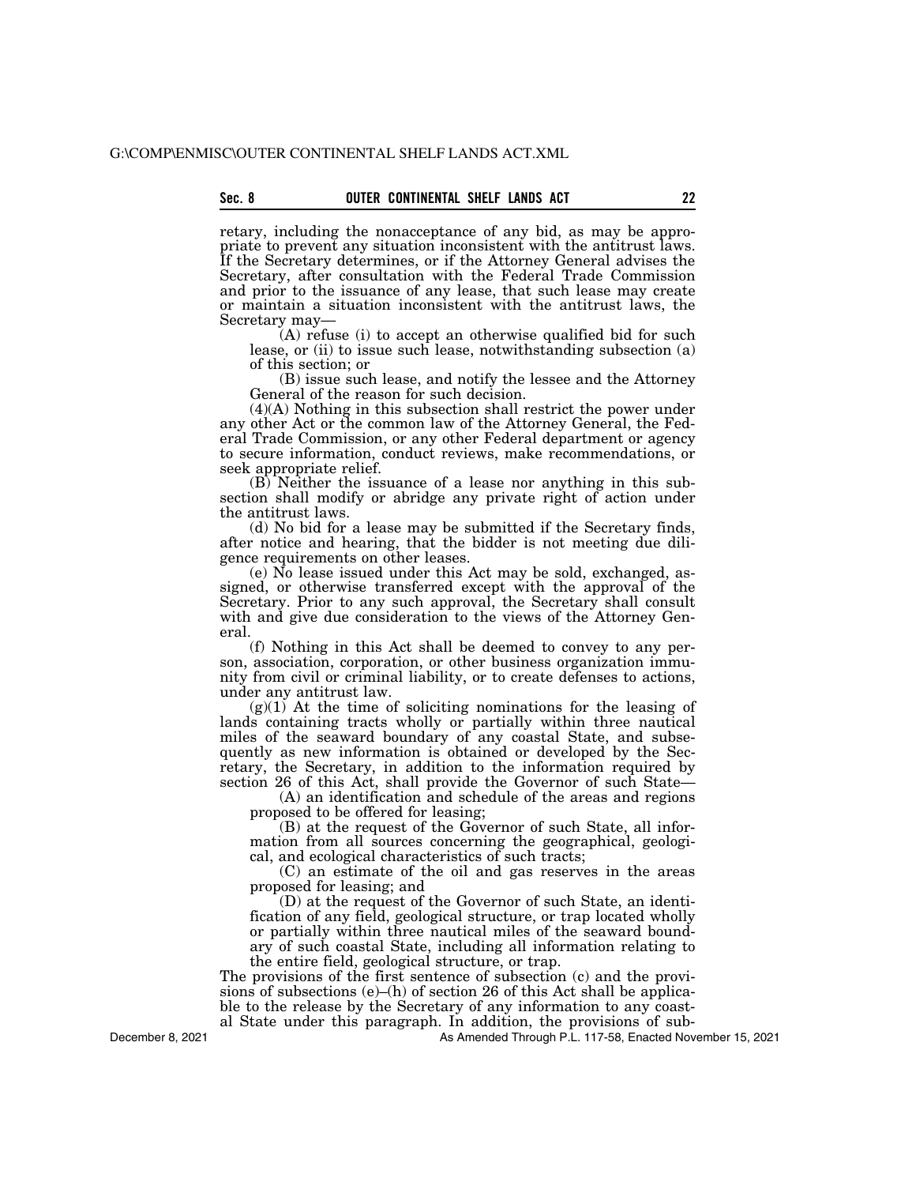retary, including the nonacceptance of any bid, as may be appropriate to prevent any situation inconsistent with the antitrust laws. If the Secretary determines, or if the Attorney General advises the Secretary, after consultation with the Federal Trade Commission and prior to the issuance of any lease, that such lease may create or maintain a situation inconsistent with the antitrust laws, the Secretary may—

(A) refuse (i) to accept an otherwise qualified bid for such lease, or (ii) to issue such lease, notwithstanding subsection (a) of this section; or

(B) issue such lease, and notify the lessee and the Attorney General of the reason for such decision.

(4)(A) Nothing in this subsection shall restrict the power under any other Act or the common law of the Attorney General, the Federal Trade Commission, or any other Federal department or agency to secure information, conduct reviews, make recommendations, or seek appropriate relief.

(B) Neither the issuance of a lease nor anything in this subsection shall modify or abridge any private right of action under the antitrust laws.

(d) No bid for a lease may be submitted if the Secretary finds, after notice and hearing, that the bidder is not meeting due diligence requirements on other leases.

(e) No lease issued under this Act may be sold, exchanged, assigned, or otherwise transferred except with the approval of the Secretary. Prior to any such approval, the Secretary shall consult with and give due consideration to the views of the Attorney General.

(f) Nothing in this Act shall be deemed to convey to any person, association, corporation, or other business organization immunity from civil or criminal liability, or to create defenses to actions, under any antitrust law.

 $(g)(1)$  At the time of soliciting nominations for the leasing of lands containing tracts wholly or partially within three nautical miles of the seaward boundary of any coastal State, and subsequently as new information is obtained or developed by the Secretary, the Secretary, in addition to the information required by section 26 of this Act, shall provide the Governor of such State—

(A) an identification and schedule of the areas and regions proposed to be offered for leasing;

(B) at the request of the Governor of such State, all information from all sources concerning the geographical, geological, and ecological characteristics of such tracts;

(C) an estimate of the oil and gas reserves in the areas proposed for leasing; and

(D) at the request of the Governor of such State, an identification of any field, geological structure, or trap located wholly or partially within three nautical miles of the seaward boundary of such coastal State, including all information relating to the entire field, geological structure, or trap.

The provisions of the first sentence of subsection (c) and the provisions of subsections  $(e)$ –(h) of section 26 of this Act shall be applicable to the release by the Secretary of any information to any coastal State under this paragraph. In addition, the provisions of sub-

As Amended Through P.L. 117-58, Enacted November 15, 2021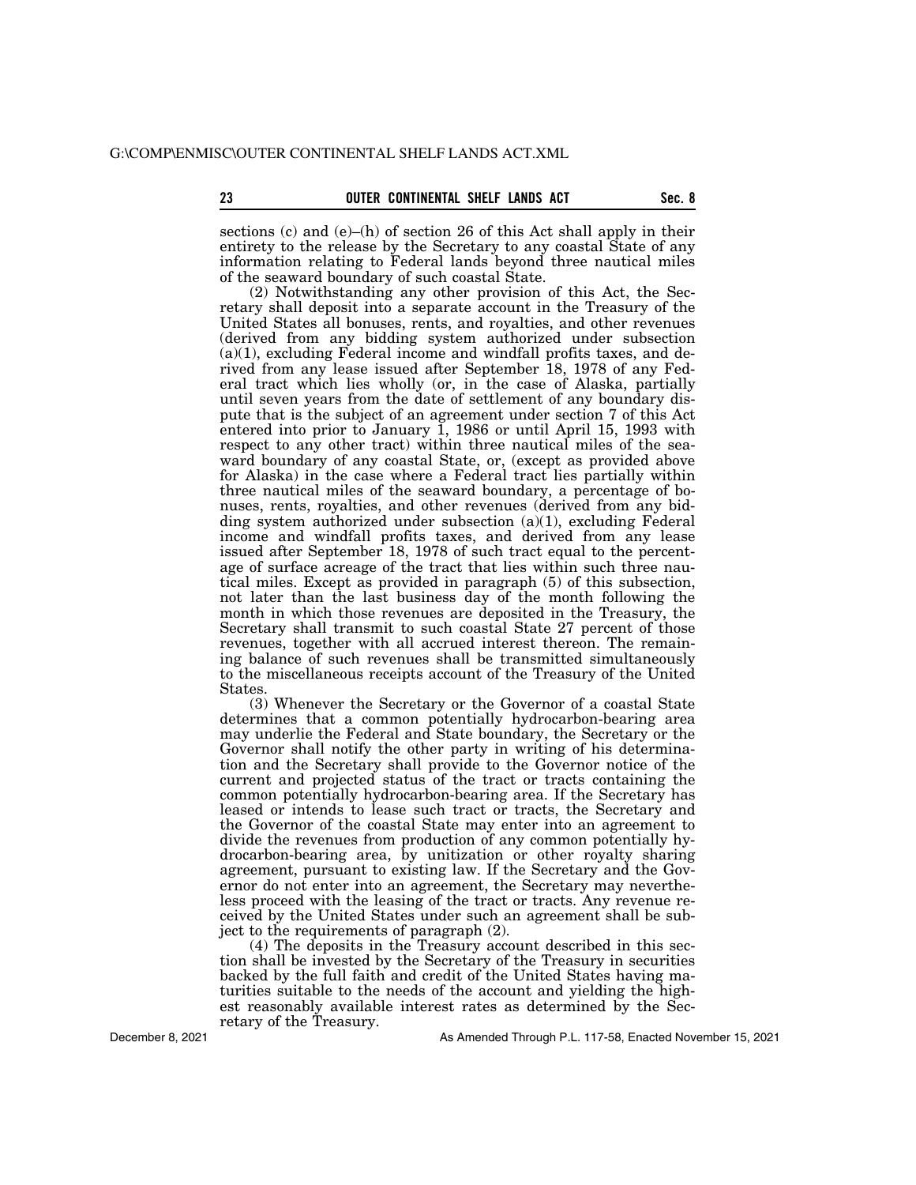sections (c) and (e)–(h) of section 26 of this Act shall apply in their entirety to the release by the Secretary to any coastal State of any information relating to Federal lands beyond three nautical miles of the seaward boundary of such coastal State.

(2) Notwithstanding any other provision of this Act, the Secretary shall deposit into a separate account in the Treasury of the United States all bonuses, rents, and royalties, and other revenues (derived from any bidding system authorized under subsection  $(a)(1)$ , excluding Federal income and windfall profits taxes, and derived from any lease issued after September 18, 1978 of any Federal tract which lies wholly (or, in the case of Alaska, partially until seven years from the date of settlement of any boundary dispute that is the subject of an agreement under section 7 of this Act entered into prior to January 1, 1986 or until April 15, 1993 with respect to any other tract) within three nautical miles of the seaward boundary of any coastal State, or, (except as provided above for Alaska) in the case where a Federal tract lies partially within three nautical miles of the seaward boundary, a percentage of bonuses, rents, royalties, and other revenues (derived from any bidding system authorized under subsection (a)(1), excluding Federal income and windfall profits taxes, and derived from any lease issued after September 18, 1978 of such tract equal to the percentage of surface acreage of the tract that lies within such three nautical miles. Except as provided in paragraph (5) of this subsection, not later than the last business day of the month following the month in which those revenues are deposited in the Treasury, the Secretary shall transmit to such coastal State 27 percent of those revenues, together with all accrued interest thereon. The remaining balance of such revenues shall be transmitted simultaneously to the miscellaneous receipts account of the Treasury of the United States.

(3) Whenever the Secretary or the Governor of a coastal State determines that a common potentially hydrocarbon-bearing area may underlie the Federal and State boundary, the Secretary or the Governor shall notify the other party in writing of his determination and the Secretary shall provide to the Governor notice of the current and projected status of the tract or tracts containing the common potentially hydrocarbon-bearing area. If the Secretary has leased or intends to lease such tract or tracts, the Secretary and the Governor of the coastal State may enter into an agreement to divide the revenues from production of any common potentially hydrocarbon-bearing area, by unitization or other royalty sharing agreement, pursuant to existing law. If the Secretary and the Governor do not enter into an agreement, the Secretary may nevertheless proceed with the leasing of the tract or tracts. Any revenue received by the United States under such an agreement shall be subject to the requirements of paragraph (2).

(4) The deposits in the Treasury account described in this section shall be invested by the Secretary of the Treasury in securities backed by the full faith and credit of the United States having maturities suitable to the needs of the account and yielding the highest reasonably available interest rates as determined by the Secretary of the Treasury.

December 8, 2021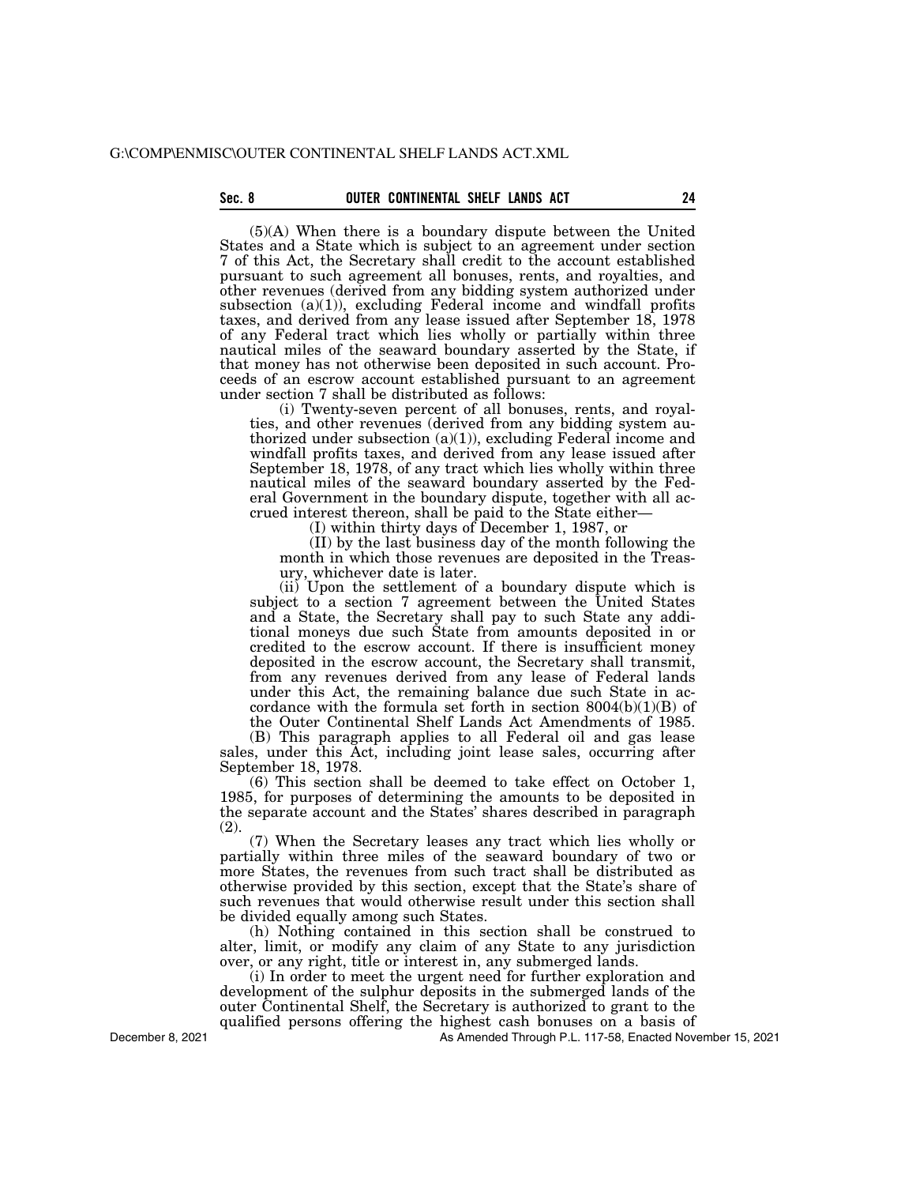### **Sec. 8 OUTER CONTINENTAL SHELF LANDS ACT 24**

(5)(A) When there is a boundary dispute between the United States and a State which is subject to an agreement under section 7 of this Act, the Secretary shall credit to the account established pursuant to such agreement all bonuses, rents, and royalties, and other revenues (derived from any bidding system authorized under subsection (a)(1)), excluding Federal income and windfall profits taxes, and derived from any lease issued after September 18, 1978 of any Federal tract which lies wholly or partially within three nautical miles of the seaward boundary asserted by the State, if that money has not otherwise been deposited in such account. Proceeds of an escrow account established pursuant to an agreement under section 7 shall be distributed as follows:

(i) Twenty-seven percent of all bonuses, rents, and royalties, and other revenues (derived from any bidding system authorized under subsection  $(a)(1)$ , excluding Federal income and windfall profits taxes, and derived from any lease issued after September 18, 1978, of any tract which lies wholly within three nautical miles of the seaward boundary asserted by the Federal Government in the boundary dispute, together with all accrued interest thereon, shall be paid to the State either—

(I) within thirty days of December 1, 1987, or

(II) by the last business day of the month following the month in which those revenues are deposited in the Treasury, whichever date is later.

(ii) Upon the settlement of a boundary dispute which is subject to a section 7 agreement between the United States and a State, the Secretary shall pay to such State any additional moneys due such State from amounts deposited in or credited to the escrow account. If there is insufficient money deposited in the escrow account, the Secretary shall transmit, from any revenues derived from any lease of Federal lands under this Act, the remaining balance due such State in accordance with the formula set forth in section  $8004(b)(1)(B)$  of the Outer Continental Shelf Lands Act Amendments of 1985.

(B) This paragraph applies to all Federal oil and gas lease sales, under this Act, including joint lease sales, occurring after September 18, 1978.

(6) This section shall be deemed to take effect on October 1, 1985, for purposes of determining the amounts to be deposited in the separate account and the States' shares described in paragraph (2).

(7) When the Secretary leases any tract which lies wholly or partially within three miles of the seaward boundary of two or more States, the revenues from such tract shall be distributed as otherwise provided by this section, except that the State's share of such revenues that would otherwise result under this section shall be divided equally among such States.

(h) Nothing contained in this section shall be construed to alter, limit, or modify any claim of any State to any jurisdiction over, or any right, title or interest in, any submerged lands.

(i) In order to meet the urgent need for further exploration and development of the sulphur deposits in the submerged lands of the outer Continental Shelf, the Secretary is authorized to grant to the qualified persons offering the highest cash bonuses on a basis of

As Amended Through P.L. 117-58, Enacted November 15, 2021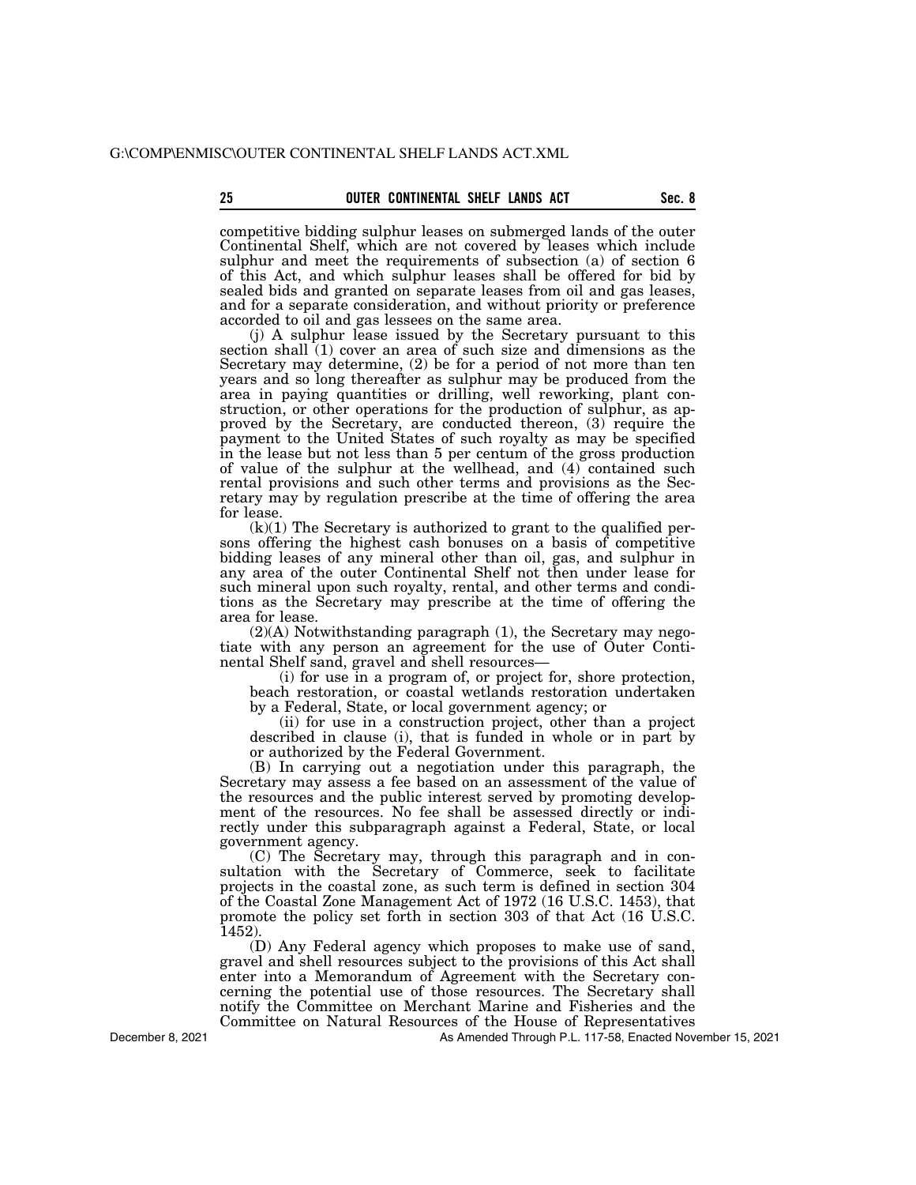competitive bidding sulphur leases on submerged lands of the outer Continental Shelf, which are not covered by leases which include sulphur and meet the requirements of subsection (a) of section 6 of this Act, and which sulphur leases shall be offered for bid by sealed bids and granted on separate leases from oil and gas leases, and for a separate consideration, and without priority or preference accorded to oil and gas lessees on the same area.

(j) A sulphur lease issued by the Secretary pursuant to this section shall (1) cover an area of such size and dimensions as the Secretary may determine, (2) be for a period of not more than ten years and so long thereafter as sulphur may be produced from the area in paying quantities or drilling, well reworking, plant construction, or other operations for the production of sulphur, as approved by the Secretary, are conducted thereon, (3) require the payment to the United States of such royalty as may be specified in the lease but not less than 5 per centum of the gross production of value of the sulphur at the wellhead, and (4) contained such rental provisions and such other terms and provisions as the Secretary may by regulation prescribe at the time of offering the area for lease.

(k)(1) The Secretary is authorized to grant to the qualified persons offering the highest cash bonuses on a basis of competitive bidding leases of any mineral other than oil, gas, and sulphur in any area of the outer Continental Shelf not then under lease for such mineral upon such royalty, rental, and other terms and conditions as the Secretary may prescribe at the time of offering the area for lease.

(2)(A) Notwithstanding paragraph (1), the Secretary may negotiate with any person an agreement for the use of Outer Continental Shelf sand, gravel and shell resources—

(i) for use in a program of, or project for, shore protection, beach restoration, or coastal wetlands restoration undertaken by a Federal, State, or local government agency; or

(ii) for use in a construction project, other than a project described in clause (i), that is funded in whole or in part by or authorized by the Federal Government.

(B) In carrying out a negotiation under this paragraph, the Secretary may assess a fee based on an assessment of the value of the resources and the public interest served by promoting development of the resources. No fee shall be assessed directly or indirectly under this subparagraph against a Federal, State, or local government agency.

(C) The Secretary may, through this paragraph and in consultation with the Secretary of Commerce, seek to facilitate projects in the coastal zone, as such term is defined in section 304 of the Coastal Zone Management Act of 1972 (16 U.S.C. 1453), that promote the policy set forth in section 303 of that Act (16 U.S.C. 1452).

(D) Any Federal agency which proposes to make use of sand, gravel and shell resources subject to the provisions of this Act shall enter into a Memorandum of Agreement with the Secretary concerning the potential use of those resources. The Secretary shall notify the Committee on Merchant Marine and Fisheries and the Committee on Natural Resources of the House of Representatives

December 8, 2021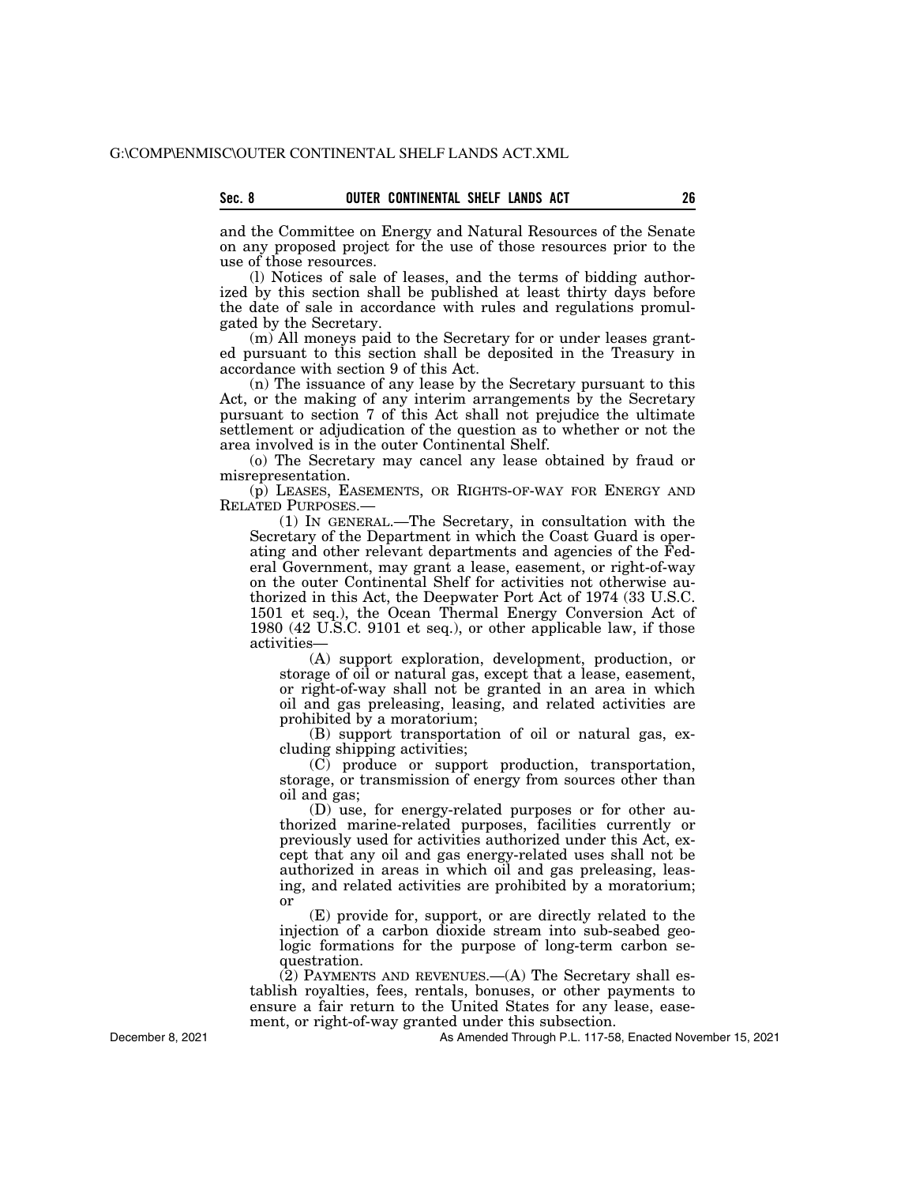and the Committee on Energy and Natural Resources of the Senate on any proposed project for the use of those resources prior to the use of those resources.

(l) Notices of sale of leases, and the terms of bidding authorized by this section shall be published at least thirty days before the date of sale in accordance with rules and regulations promulgated by the Secretary.

(m) All moneys paid to the Secretary for or under leases granted pursuant to this section shall be deposited in the Treasury in accordance with section 9 of this Act.

(n) The issuance of any lease by the Secretary pursuant to this Act, or the making of any interim arrangements by the Secretary pursuant to section 7 of this Act shall not prejudice the ultimate settlement or adjudication of the question as to whether or not the area involved is in the outer Continental Shelf.

(o) The Secretary may cancel any lease obtained by fraud or misrepresentation.

(p) LEASES, EASEMENTS, OR RIGHTS-OF-WAY FOR ENERGY AND RELATED PURPOSES.—

(1) IN GENERAL.—The Secretary, in consultation with the Secretary of the Department in which the Coast Guard is operating and other relevant departments and agencies of the Federal Government, may grant a lease, easement, or right-of-way on the outer Continental Shelf for activities not otherwise authorized in this Act, the Deepwater Port Act of 1974 (33 U.S.C. 1501 et seq.), the Ocean Thermal Energy Conversion Act of 1980 (42 U.S.C. 9101 et seq.), or other applicable law, if those activities—

(A) support exploration, development, production, or storage of oil or natural gas, except that a lease, easement, or right-of-way shall not be granted in an area in which oil and gas preleasing, leasing, and related activities are prohibited by a moratorium;

(B) support transportation of oil or natural gas, excluding shipping activities;

(C) produce or support production, transportation, storage, or transmission of energy from sources other than oil and gas;

(D) use, for energy-related purposes or for other authorized marine-related purposes, facilities currently or previously used for activities authorized under this Act, except that any oil and gas energy-related uses shall not be authorized in areas in which oil and gas preleasing, leasing, and related activities are prohibited by a moratorium; or

(E) provide for, support, or are directly related to the injection of a carbon dioxide stream into sub-seabed geologic formations for the purpose of long-term carbon sequestration.

 $(2)$  PAYMENTS AND REVENUES.— $(A)$  The Secretary shall establish royalties, fees, rentals, bonuses, or other payments to ensure a fair return to the United States for any lease, easement, or right-of-way granted under this subsection.

As Amended Through P.L. 117-58, Enacted November 15, 2021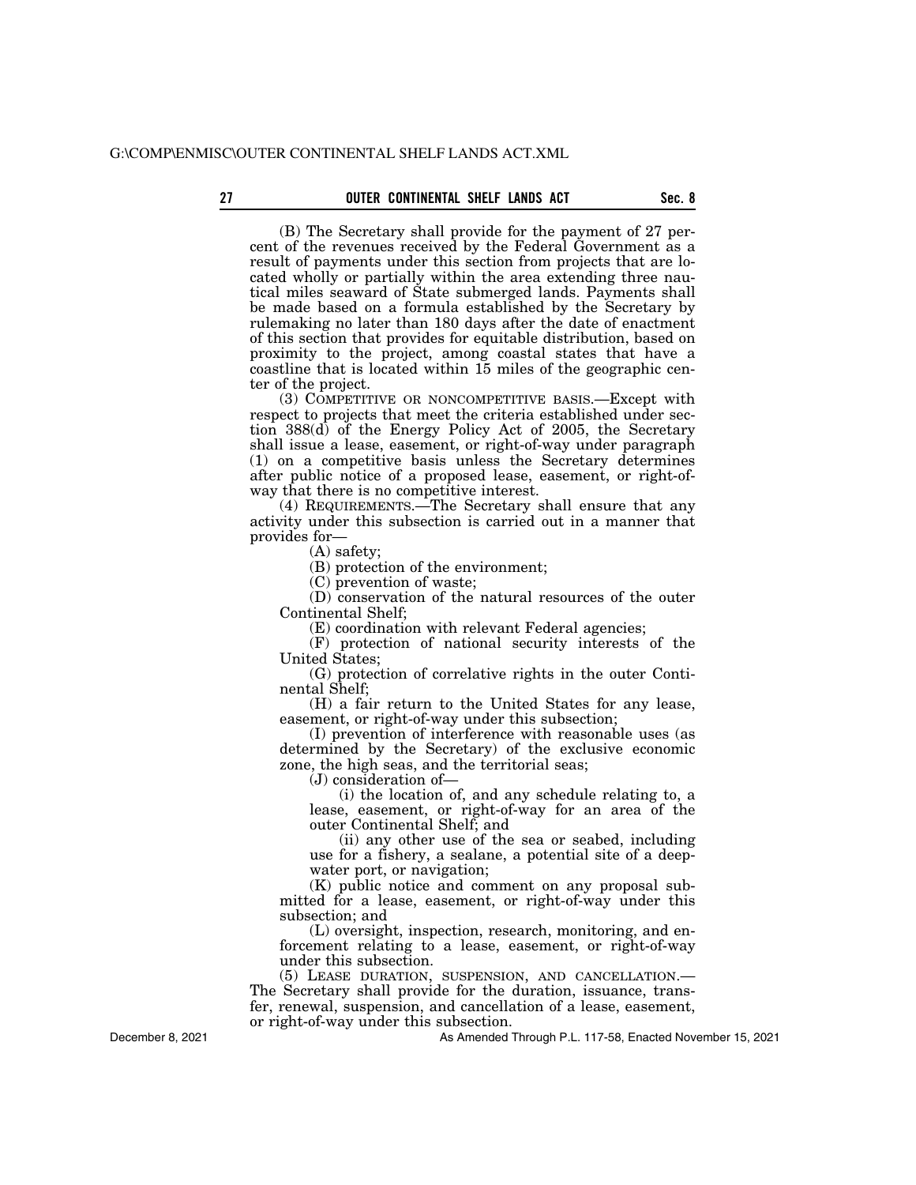# **27 OUTER CONTINENTAL SHELF LANDS ACT** Sec. 8

(B) The Secretary shall provide for the payment of 27 percent of the revenues received by the Federal Government as a result of payments under this section from projects that are located wholly or partially within the area extending three nautical miles seaward of State submerged lands. Payments shall be made based on a formula established by the Secretary by rulemaking no later than 180 days after the date of enactment of this section that provides for equitable distribution, based on proximity to the project, among coastal states that have a coastline that is located within 15 miles of the geographic center of the project.

(3) COMPETITIVE OR NONCOMPETITIVE BASIS.—Except with respect to projects that meet the criteria established under section 388(d) of the Energy Policy Act of 2005, the Secretary shall issue a lease, easement, or right-of-way under paragraph (1) on a competitive basis unless the Secretary determines after public notice of a proposed lease, easement, or right-ofway that there is no competitive interest.

(4) REQUIREMENTS.—The Secretary shall ensure that any activity under this subsection is carried out in a manner that provides for—

(A) safety;

(B) protection of the environment;

(C) prevention of waste;

(D) conservation of the natural resources of the outer Continental Shelf;

(E) coordination with relevant Federal agencies;

(F) protection of national security interests of the United States;

(G) protection of correlative rights in the outer Continental Shelf;

(H) a fair return to the United States for any lease, easement, or right-of-way under this subsection;

(I) prevention of interference with reasonable uses (as determined by the Secretary) of the exclusive economic zone, the high seas, and the territorial seas;

(J) consideration of—

(i) the location of, and any schedule relating to, a lease, easement, or right-of-way for an area of the outer Continental Shelf; and

(ii) any other use of the sea or seabed, including use for a fishery, a sealane, a potential site of a deepwater port, or navigation;

(K) public notice and comment on any proposal submitted for a lease, easement, or right-of-way under this subsection; and

(L) oversight, inspection, research, monitoring, and enforcement relating to a lease, easement, or right-of-way under this subsection.

(5) LEASE DURATION, SUSPENSION, AND CANCELLATION.— The Secretary shall provide for the duration, issuance, transfer, renewal, suspension, and cancellation of a lease, easement, or right-of-way under this subsection.

As Amended Through P.L. 117-58, Enacted November 15, 2021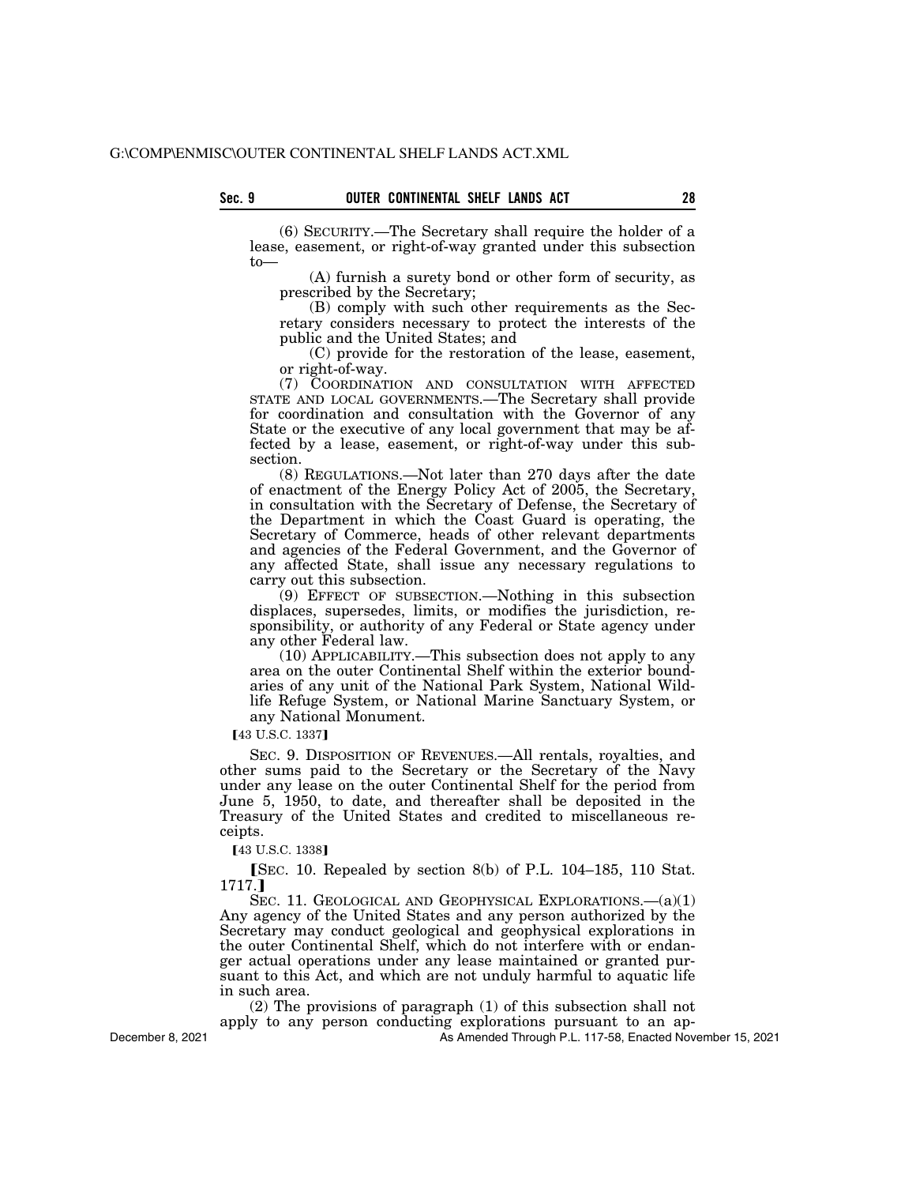(6) SECURITY.—The Secretary shall require the holder of a lease, easement, or right-of-way granted under this subsection to—

(A) furnish a surety bond or other form of security, as prescribed by the Secretary;

(B) comply with such other requirements as the Secretary considers necessary to protect the interests of the public and the United States; and

(C) provide for the restoration of the lease, easement, or right-of-way.

(7) COORDINATION AND CONSULTATION WITH AFFECTED STATE AND LOCAL GOVERNMENTS.—The Secretary shall provide for coordination and consultation with the Governor of any State or the executive of any local government that may be affected by a lease, easement, or right-of-way under this subsection.

(8) REGULATIONS.—Not later than 270 days after the date of enactment of the Energy Policy Act of 2005, the Secretary, in consultation with the Secretary of Defense, the Secretary of the Department in which the Coast Guard is operating, the Secretary of Commerce, heads of other relevant departments and agencies of the Federal Government, and the Governor of any affected State, shall issue any necessary regulations to carry out this subsection.

(9) EFFECT OF SUBSECTION.—Nothing in this subsection displaces, supersedes, limits, or modifies the jurisdiction, responsibility, or authority of any Federal or State agency under any other Federal law.

(10) APPLICABILITY.—This subsection does not apply to any area on the outer Continental Shelf within the exterior boundaries of any unit of the National Park System, National Wildlife Refuge System, or National Marine Sanctuary System, or any National Monument.

[43 U.S.C. 1337]

SEC. 9. DISPOSITION OF REVENUES.—All rentals, royalties, and other sums paid to the Secretary or the Secretary of the Navy under any lease on the outer Continental Shelf for the period from June 5, 1950, to date, and thereafter shall be deposited in the Treasury of the United States and credited to miscellaneous receipts.

## [43 U.S.C. 1338]

[SEC. 10. Repealed by section 8(b) of P.L.  $104-185$ , 110 Stat.  $1717.$ 

SEC. 11. GEOLOGICAL AND GEOPHYSICAL EXPLORATIONS.—(a)(1) Any agency of the United States and any person authorized by the Secretary may conduct geological and geophysical explorations in the outer Continental Shelf, which do not interfere with or endanger actual operations under any lease maintained or granted pursuant to this Act, and which are not unduly harmful to aquatic life in such area.

(2) The provisions of paragraph (1) of this subsection shall not apply to any person conducting explorations pursuant to an ap-

As Amended Through P.L. 117-58, Enacted November 15, 2021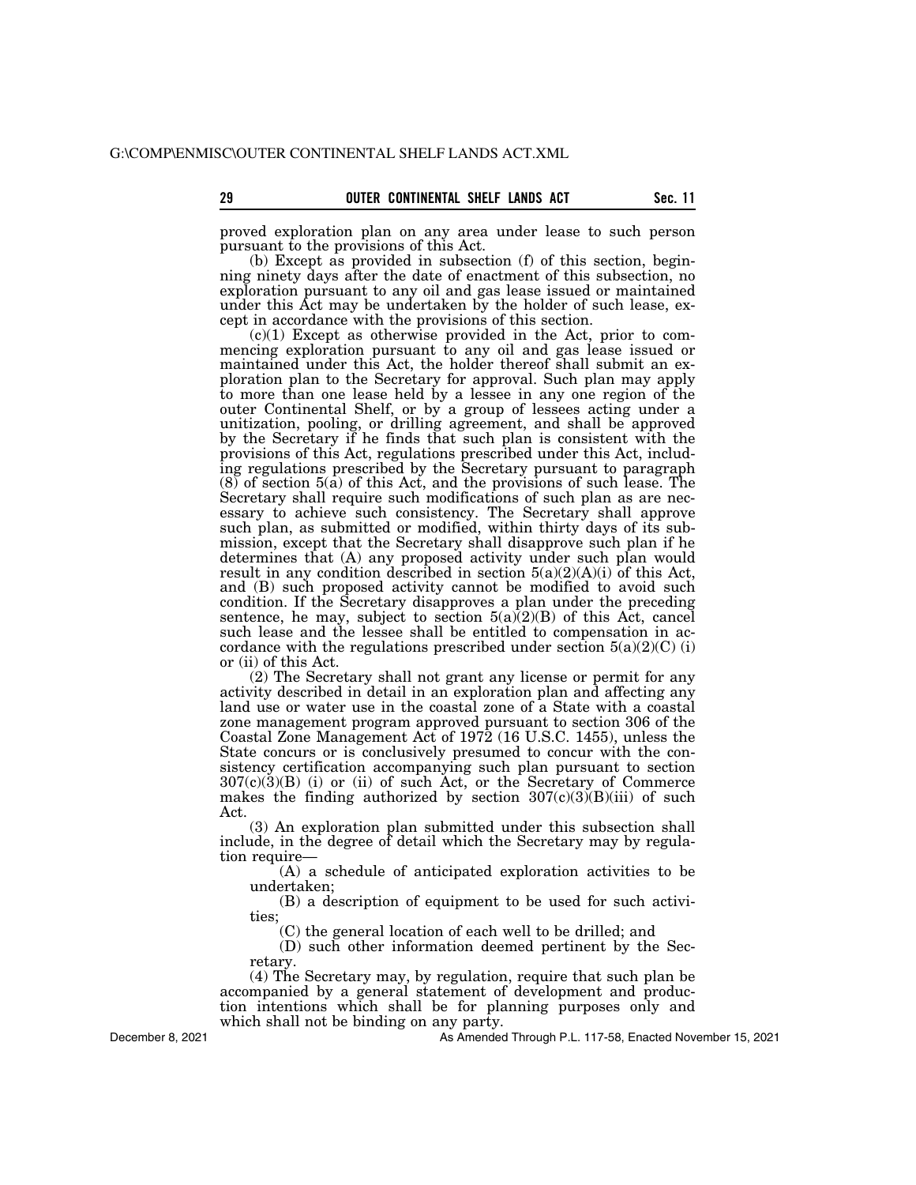proved exploration plan on any area under lease to such person pursuant to the provisions of this Act.

(b) Except as provided in subsection (f) of this section, beginning ninety days after the date of enactment of this subsection, no exploration pursuant to any oil and gas lease issued or maintained under this Act may be undertaken by the holder of such lease, except in accordance with the provisions of this section.

 $(c)(1)$  Except as otherwise provided in the Act, prior to commencing exploration pursuant to any oil and gas lease issued or maintained under this Act, the holder thereof shall submit an exploration plan to the Secretary for approval. Such plan may apply to more than one lease held by a lessee in any one region of the outer Continental Shelf, or by a group of lessees acting under a unitization, pooling, or drilling agreement, and shall be approved by the Secretary if he finds that such plan is consistent with the provisions of this Act, regulations prescribed under this Act, including regulations prescribed by the Secretary pursuant to paragraph (8) of section 5(a) of this Act, and the provisions of such lease. The Secretary shall require such modifications of such plan as are necessary to achieve such consistency. The Secretary shall approve such plan, as submitted or modified, within thirty days of its submission, except that the Secretary shall disapprove such plan if he determines that (A) any proposed activity under such plan would result in any condition described in section  $5(a)(2)(A)(i)$  of this Act, and (B) such proposed activity cannot be modified to avoid such condition. If the Secretary disapproves a plan under the preceding sentence, he may, subject to section  $5(a)(2)(B)$  of this Act, cancel such lease and the lessee shall be entitled to compensation in accordance with the regulations prescribed under section  $5(a)(2)(C)$  (i) or (ii) of this Act.

(2) The Secretary shall not grant any license or permit for any activity described in detail in an exploration plan and affecting any land use or water use in the coastal zone of a State with a coastal zone management program approved pursuant to section 306 of the Coastal Zone Management Act of 1972 (16 U.S.C. 1455), unless the State concurs or is conclusively presumed to concur with the consistency certification accompanying such plan pursuant to section 307(c)(3)(B) (i) or (ii) of such Act, or the Secretary of Commerce makes the finding authorized by section  $307(c)(3)(B)(iii)$  of such Act.

(3) An exploration plan submitted under this subsection shall include, in the degree of detail which the Secretary may by regulation require—

(A) a schedule of anticipated exploration activities to be undertaken;

(B) a description of equipment to be used for such activities;

(C) the general location of each well to be drilled; and

(D) such other information deemed pertinent by the Secretary.

(4) The Secretary may, by regulation, require that such plan be accompanied by a general statement of development and production intentions which shall be for planning purposes only and which shall not be binding on any party.

December 8, 2021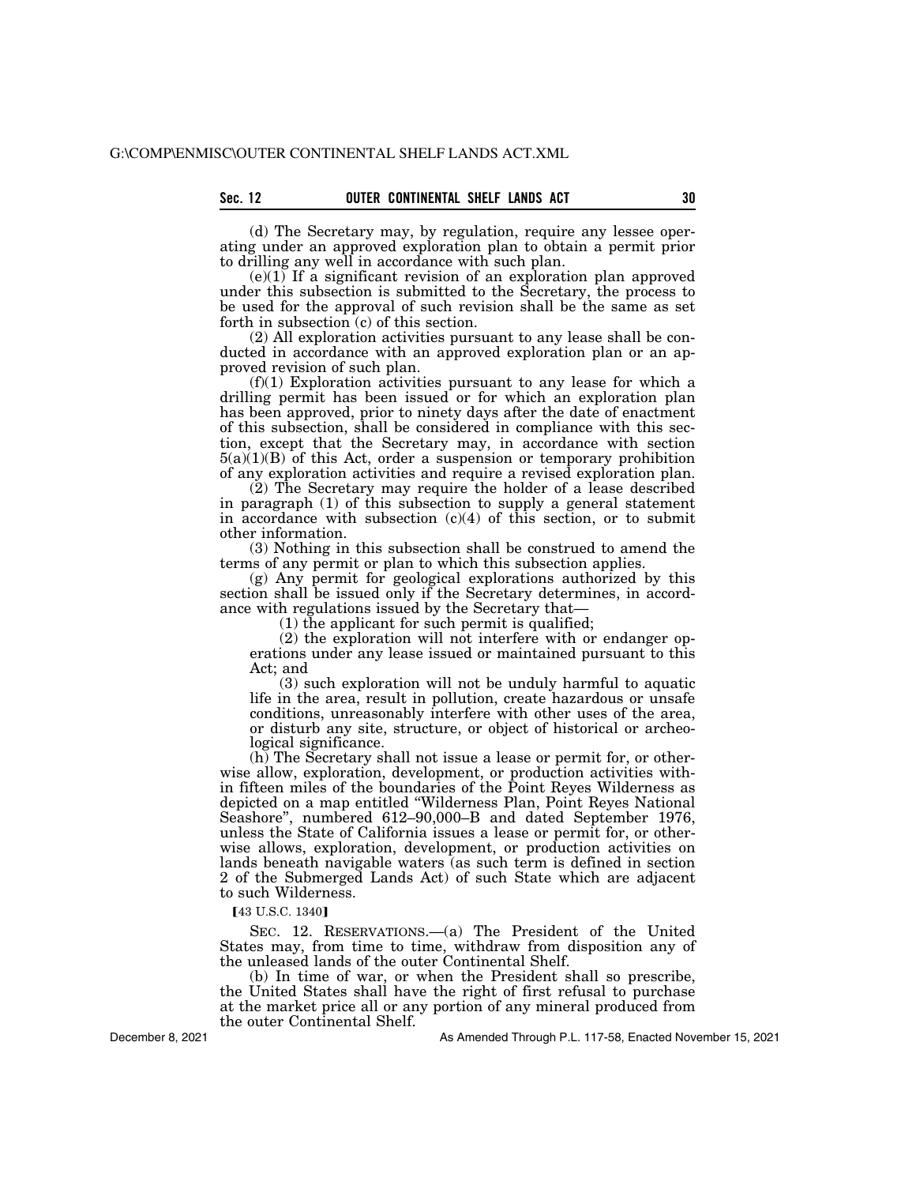(d) The Secretary may, by regulation, require any lessee operating under an approved exploration plan to obtain a permit prior to drilling any well in accordance with such plan.

 $(e)(1)$  If a significant revision of an exploration plan approved under this subsection is submitted to the Secretary, the process to be used for the approval of such revision shall be the same as set forth in subsection  $(c)$  of this section.

(2) All exploration activities pursuant to any lease shall be conducted in accordance with an approved exploration plan or an approved revision of such plan.

(f)(1) Exploration activities pursuant to any lease for which a drilling permit has been issued or for which an exploration plan has been approved, prior to ninety days after the date of enactment of this subsection, shall be considered in compliance with this section, except that the Secretary may, in accordance with section  $5(a)(1)(B)$  of this Act, order a suspension or temporary prohibition of any exploration activities and require a revised exploration plan.

(2) The Secretary may require the holder of a lease described in paragraph (1) of this subsection to supply a general statement in accordance with subsection (c)(4) of this section, or to submit other information.

(3) Nothing in this subsection shall be construed to amend the terms of any permit or plan to which this subsection applies.

(g) Any permit for geological explorations authorized by this section shall be issued only if the Secretary determines, in accordance with regulations issued by the Secretary that—

(1) the applicant for such permit is qualified;

(2) the exploration will not interfere with or endanger operations under any lease issued or maintained pursuant to this Act; and

(3) such exploration will not be unduly harmful to aquatic life in the area, result in pollution, create hazardous or unsafe conditions, unreasonably interfere with other uses of the area, or disturb any site, structure, or object of historical or archeological significance.

(h) The Secretary shall not issue a lease or permit for, or otherwise allow, exploration, development, or production activities within fifteen miles of the boundaries of the Point Reyes Wilderness as depicted on a map entitled ''Wilderness Plan, Point Reyes National Seashore'', numbered 612–90,000–B and dated September 1976, unless the State of California issues a lease or permit for, or otherwise allows, exploration, development, or production activities on lands beneath navigable waters (as such term is defined in section 2 of the Submerged Lands Act) of such State which are adjacent to such Wilderness.

[43 U.S.C. 1340]

SEC. 12. RESERVATIONS.—(a) The President of the United States may, from time to time, withdraw from disposition any of the unleased lands of the outer Continental Shelf.

(b) In time of war, or when the President shall so prescribe, the United States shall have the right of first refusal to purchase at the market price all or any portion of any mineral produced from the outer Continental Shelf.

December 8, 2021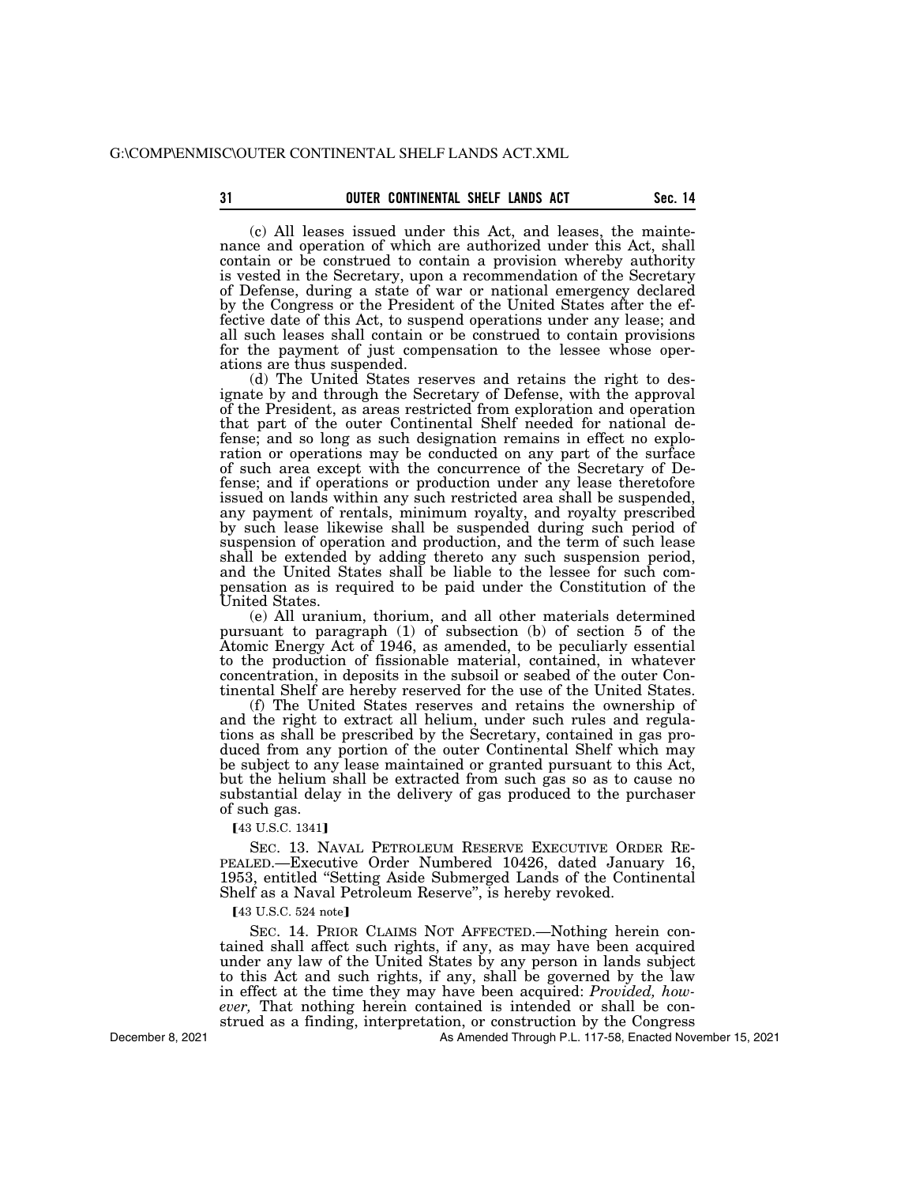### **31 OUTER CONTINENTAL SHELF LANDS ACT** Sec. 14

(c) All leases issued under this Act, and leases, the maintenance and operation of which are authorized under this Act, shall contain or be construed to contain a provision whereby authority is vested in the Secretary, upon a recommendation of the Secretary of Defense, during a state of war or national emergency declared by the Congress or the President of the United States after the effective date of this Act, to suspend operations under any lease; and all such leases shall contain or be construed to contain provisions for the payment of just compensation to the lessee whose operations are thus suspended.

(d) The United States reserves and retains the right to designate by and through the Secretary of Defense, with the approval of the President, as areas restricted from exploration and operation that part of the outer Continental Shelf needed for national defense; and so long as such designation remains in effect no exploration or operations may be conducted on any part of the surface of such area except with the concurrence of the Secretary of Defense; and if operations or production under any lease theretofore issued on lands within any such restricted area shall be suspended, any payment of rentals, minimum royalty, and royalty prescribed by such lease likewise shall be suspended during such period of suspension of operation and production, and the term of such lease shall be extended by adding thereto any such suspension period, and the United States shall be liable to the lessee for such compensation as is required to be paid under the Constitution of the United States.

(e) All uranium, thorium, and all other materials determined pursuant to paragraph (1) of subsection (b) of section 5 of the Atomic Energy Act of 1946, as amended, to be peculiarly essential to the production of fissionable material, contained, in whatever concentration, in deposits in the subsoil or seabed of the outer Continental Shelf are hereby reserved for the use of the United States.

(f) The United States reserves and retains the ownership of and the right to extract all helium, under such rules and regulations as shall be prescribed by the Secretary, contained in gas produced from any portion of the outer Continental Shelf which may be subject to any lease maintained or granted pursuant to this Act, but the helium shall be extracted from such gas so as to cause no substantial delay in the delivery of gas produced to the purchaser of such gas.

## **f43 U.S.C. 1341**

SEC. 13. NAVAL PETROLEUM RESERVE EXECUTIVE ORDER RE-PEALED.—Executive Order Numbered 10426, dated January 16, 1953, entitled ''Setting Aside Submerged Lands of the Continental Shelf as a Naval Petroleum Reserve'', is hereby revoked.

[43 U.S.C. 524 note]

SEC. 14. PRIOR CLAIMS NOT AFFECTED.—Nothing herein contained shall affect such rights, if any, as may have been acquired under any law of the United States by any person in lands subject to this Act and such rights, if any, shall be governed by the law in effect at the time they may have been acquired: *Provided, however,* That nothing herein contained is intended or shall be construed as a finding, interpretation, or construction by the Congress

As Amended Through P.L. 117-58, Enacted November 15, 2021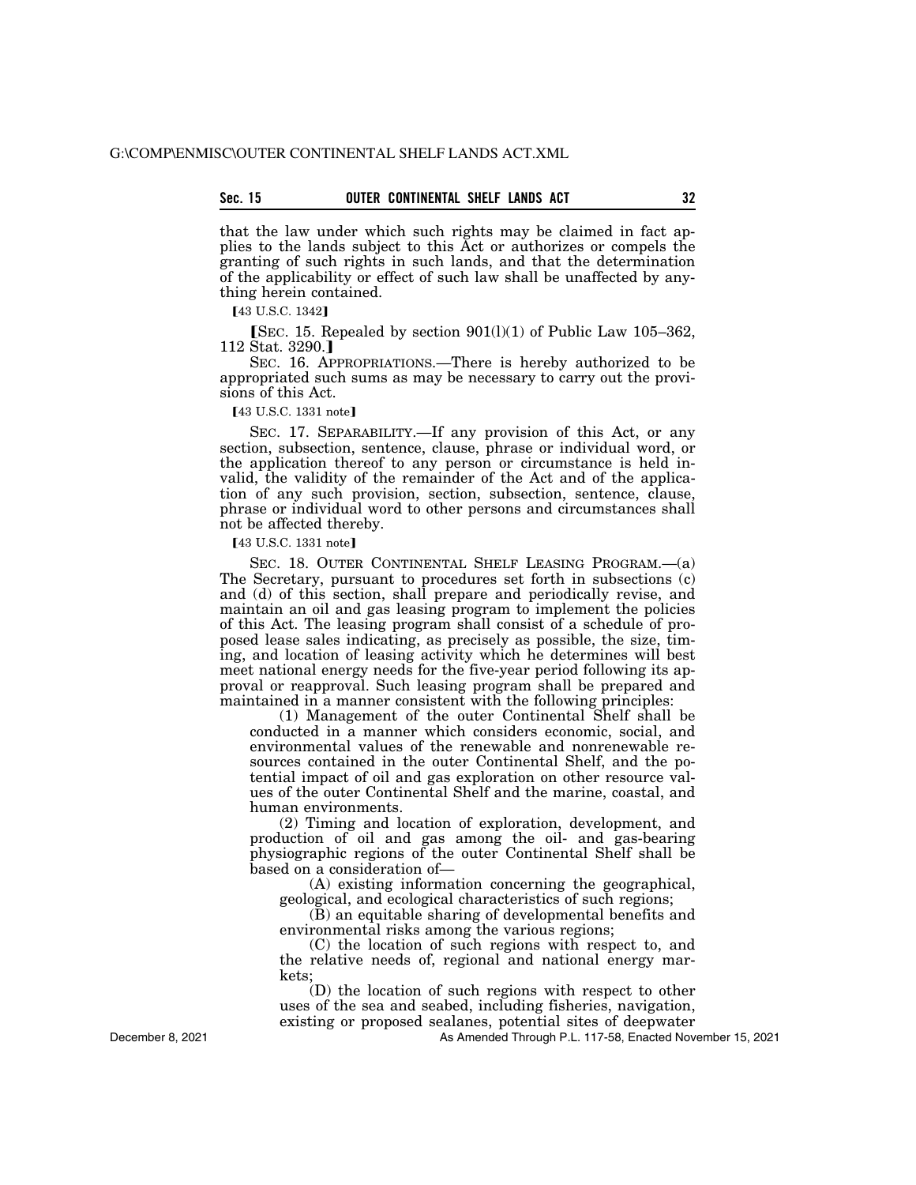### **Sec. 15 OUTER CONTINENTAL SHELF LANDS ACT 32**

that the law under which such rights may be claimed in fact applies to the lands subject to this Act or authorizes or compels the granting of such rights in such lands, and that the determination of the applicability or effect of such law shall be unaffected by anything herein contained.

**[43 U.S.C. 1342]** 

SEC. 15. Repealed by section  $901(1)(1)$  of Public Law 105–362, 112 Stat. 3290.]

SEC. 16. APPROPRIATIONS.—There is hereby authorized to be appropriated such sums as may be necessary to carry out the provisions of this Act.

[43 U.S.C. 1331 note]

SEC. 17. SEPARABILITY.—If any provision of this Act, or any section, subsection, sentence, clause, phrase or individual word, or the application thereof to any person or circumstance is held invalid, the validity of the remainder of the Act and of the application of any such provision, section, subsection, sentence, clause, phrase or individual word to other persons and circumstances shall not be affected thereby.

[43 U.S.C. 1331 note]

SEC. 18. OUTER CONTINENTAL SHELF LEASING PROGRAM.—(a) The Secretary, pursuant to procedures set forth in subsections (c) and (d) of this section, shall prepare and periodically revise, and maintain an oil and gas leasing program to implement the policies of this Act. The leasing program shall consist of a schedule of proposed lease sales indicating, as precisely as possible, the size, timing, and location of leasing activity which he determines will best meet national energy needs for the five-year period following its approval or reapproval. Such leasing program shall be prepared and maintained in a manner consistent with the following principles:

(1) Management of the outer Continental Shelf shall be conducted in a manner which considers economic, social, and environmental values of the renewable and nonrenewable resources contained in the outer Continental Shelf, and the potential impact of oil and gas exploration on other resource values of the outer Continental Shelf and the marine, coastal, and human environments.

(2) Timing and location of exploration, development, and production of oil and gas among the oil- and gas-bearing physiographic regions of the outer Continental Shelf shall be based on a consideration of—

(A) existing information concerning the geographical, geological, and ecological characteristics of such regions;

(B) an equitable sharing of developmental benefits and environmental risks among the various regions;

(C) the location of such regions with respect to, and the relative needs of, regional and national energy markets;

(D) the location of such regions with respect to other uses of the sea and seabed, including fisheries, navigation,

existing or proposed sealanes, potential sites of deepwater

As Amended Through P.L. 117-58, Enacted November 15, 2021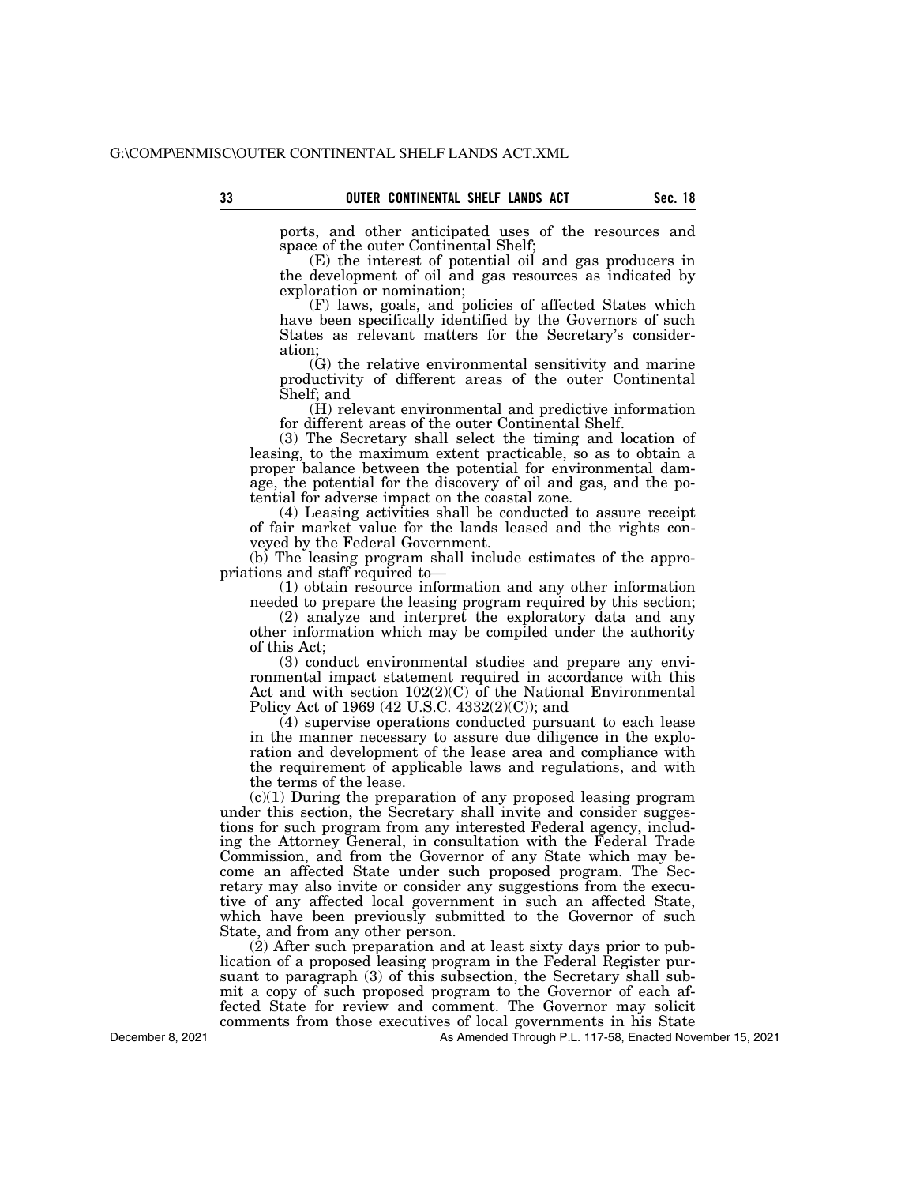ports, and other anticipated uses of the resources and space of the outer Continental Shelf;

(E) the interest of potential oil and gas producers in the development of oil and gas resources as indicated by exploration or nomination;

(F) laws, goals, and policies of affected States which have been specifically identified by the Governors of such States as relevant matters for the Secretary's consideration;

(G) the relative environmental sensitivity and marine productivity of different areas of the outer Continental Shelf; and

(H) relevant environmental and predictive information for different areas of the outer Continental Shelf.

(3) The Secretary shall select the timing and location of leasing, to the maximum extent practicable, so as to obtain a proper balance between the potential for environmental damage, the potential for the discovery of oil and gas, and the potential for adverse impact on the coastal zone.

(4) Leasing activities shall be conducted to assure receipt of fair market value for the lands leased and the rights conveyed by the Federal Government.

(b) The leasing program shall include estimates of the appropriations and staff required to—

(1) obtain resource information and any other information needed to prepare the leasing program required by this section;

(2) analyze and interpret the exploratory data and any other information which may be compiled under the authority of this Act;

(3) conduct environmental studies and prepare any environmental impact statement required in accordance with this Act and with section  $102(2)(C)$  of the National Environmental Policy Act of 1969 (42 U.S.C. 4332(2)(C)); and

(4) supervise operations conducted pursuant to each lease in the manner necessary to assure due diligence in the exploration and development of the lease area and compliance with the requirement of applicable laws and regulations, and with the terms of the lease.

(c)(1) During the preparation of any proposed leasing program under this section, the Secretary shall invite and consider suggestions for such program from any interested Federal agency, including the Attorney General, in consultation with the Federal Trade Commission, and from the Governor of any State which may become an affected State under such proposed program. The Secretary may also invite or consider any suggestions from the executive of any affected local government in such an affected State, which have been previously submitted to the Governor of such State, and from any other person.

(2) After such preparation and at least sixty days prior to publication of a proposed leasing program in the Federal Register pursuant to paragraph (3) of this subsection, the Secretary shall submit a copy of such proposed program to the Governor of each affected State for review and comment. The Governor may solicit comments from those executives of local governments in his State

As Amended Through P.L. 117-58, Enacted November 15, 2021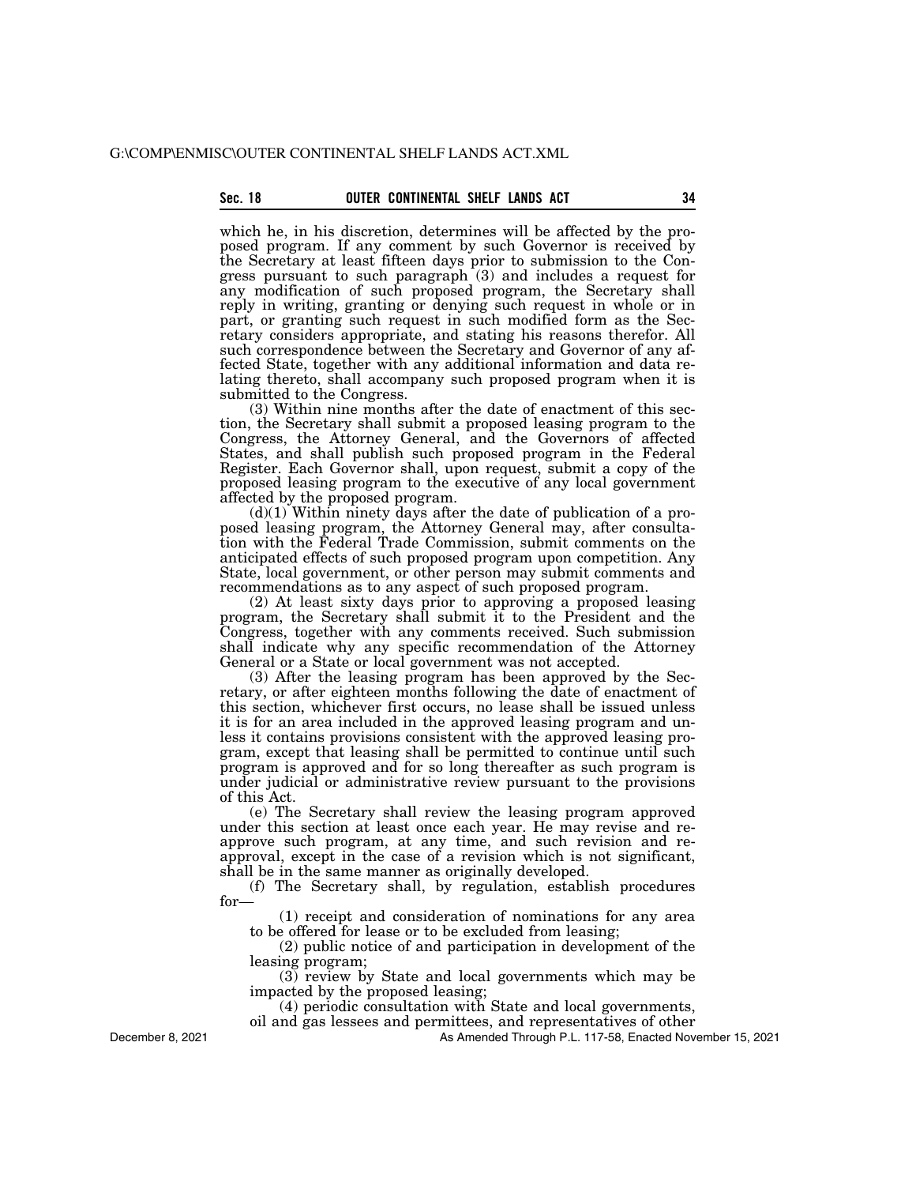### **Sec. 18 OUTER CONTINENTAL SHELF LANDS ACT 34**

which he, in his discretion, determines will be affected by the proposed program. If any comment by such Governor is received by the Secretary at least fifteen days prior to submission to the Congress pursuant to such paragraph (3) and includes a request for any modification of such proposed program, the Secretary shall reply in writing, granting or denying such request in whole or in part, or granting such request in such modified form as the Secretary considers appropriate, and stating his reasons therefor. All such correspondence between the Secretary and Governor of any affected State, together with any additional information and data relating thereto, shall accompany such proposed program when it is submitted to the Congress.

(3) Within nine months after the date of enactment of this section, the Secretary shall submit a proposed leasing program to the Congress, the Attorney General, and the Governors of affected States, and shall publish such proposed program in the Federal Register. Each Governor shall, upon request, submit a copy of the proposed leasing program to the executive of any local government affected by the proposed program.

 $(d)(1)$  Within ninety days after the date of publication of a proposed leasing program, the Attorney General may, after consultation with the Federal Trade Commission, submit comments on the anticipated effects of such proposed program upon competition. Any State, local government, or other person may submit comments and recommendations as to any aspect of such proposed program.

(2) At least sixty days prior to approving a proposed leasing program, the Secretary shall submit it to the President and the Congress, together with any comments received. Such submission shall indicate why any specific recommendation of the Attorney General or a State or local government was not accepted.

(3) After the leasing program has been approved by the Secretary, or after eighteen months following the date of enactment of this section, whichever first occurs, no lease shall be issued unless it is for an area included in the approved leasing program and unless it contains provisions consistent with the approved leasing program, except that leasing shall be permitted to continue until such program is approved and for so long thereafter as such program is under judicial or administrative review pursuant to the provisions of this Act.

(e) The Secretary shall review the leasing program approved under this section at least once each year. He may revise and reapprove such program, at any time, and such revision and reapproval, except in the case of a revision which is not significant, shall be in the same manner as originally developed.

(f) The Secretary shall, by regulation, establish procedures for—

(1) receipt and consideration of nominations for any area to be offered for lease or to be excluded from leasing;

(2) public notice of and participation in development of the leasing program;

(3) review by State and local governments which may be impacted by the proposed leasing;

(4) periodic consultation with State and local governments,

oil and gas lessees and permittees, and representatives of other

As Amended Through P.L. 117-58, Enacted November 15, 2021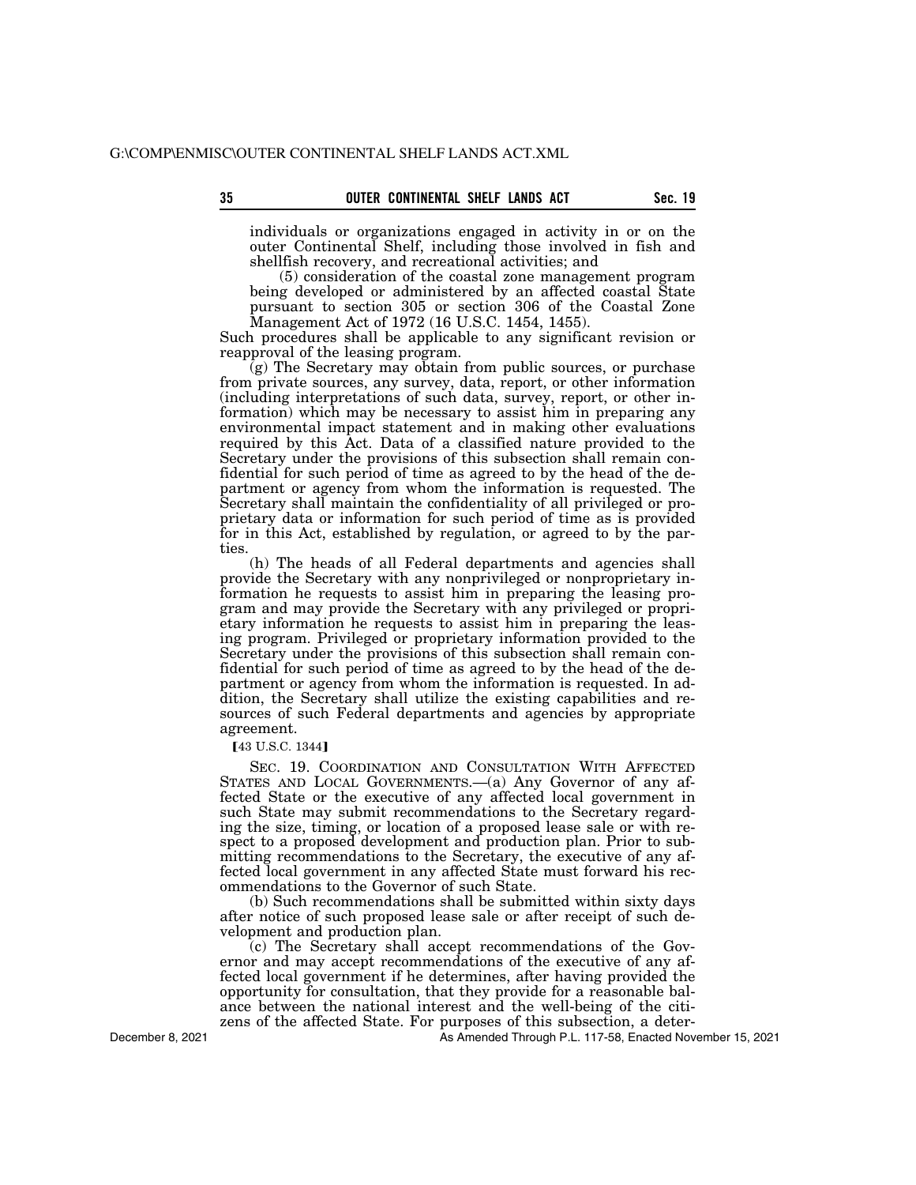individuals or organizations engaged in activity in or on the outer Continental Shelf, including those involved in fish and shellfish recovery, and recreational activities; and

(5) consideration of the coastal zone management program being developed or administered by an affected coastal State pursuant to section 305 or section 306 of the Coastal Zone Management Act of 1972 (16 U.S.C. 1454, 1455).

Such procedures shall be applicable to any significant revision or reapproval of the leasing program.

 $\overline{g}$ ) The Secretary may obtain from public sources, or purchase from private sources, any survey, data, report, or other information (including interpretations of such data, survey, report, or other information) which may be necessary to assist him in preparing any environmental impact statement and in making other evaluations required by this Act. Data of a classified nature provided to the Secretary under the provisions of this subsection shall remain confidential for such period of time as agreed to by the head of the department or agency from whom the information is requested. The Secretary shall maintain the confidentiality of all privileged or proprietary data or information for such period of time as is provided for in this Act, established by regulation, or agreed to by the parties.

(h) The heads of all Federal departments and agencies shall provide the Secretary with any nonprivileged or nonproprietary information he requests to assist him in preparing the leasing program and may provide the Secretary with any privileged or proprietary information he requests to assist him in preparing the leasing program. Privileged or proprietary information provided to the Secretary under the provisions of this subsection shall remain confidential for such period of time as agreed to by the head of the department or agency from whom the information is requested. In addition, the Secretary shall utilize the existing capabilities and resources of such Federal departments and agencies by appropriate agreement.

**[43 U.S.C. 1344]** 

SEC. 19. COORDINATION AND CONSULTATION WITH AFFECTED STATES AND LOCAL GOVERNMENTS.—(a) Any Governor of any affected State or the executive of any affected local government in such State may submit recommendations to the Secretary regarding the size, timing, or location of a proposed lease sale or with respect to a proposed development and production plan. Prior to submitting recommendations to the Secretary, the executive of any affected local government in any affected State must forward his recommendations to the Governor of such State.

(b) Such recommendations shall be submitted within sixty days after notice of such proposed lease sale or after receipt of such development and production plan.

(c) The Secretary shall accept recommendations of the Governor and may accept recommendations of the executive of any affected local government if he determines, after having provided the opportunity for consultation, that they provide for a reasonable balance between the national interest and the well-being of the citizens of the affected State. For purposes of this subsection, a deter-

December 8, 2021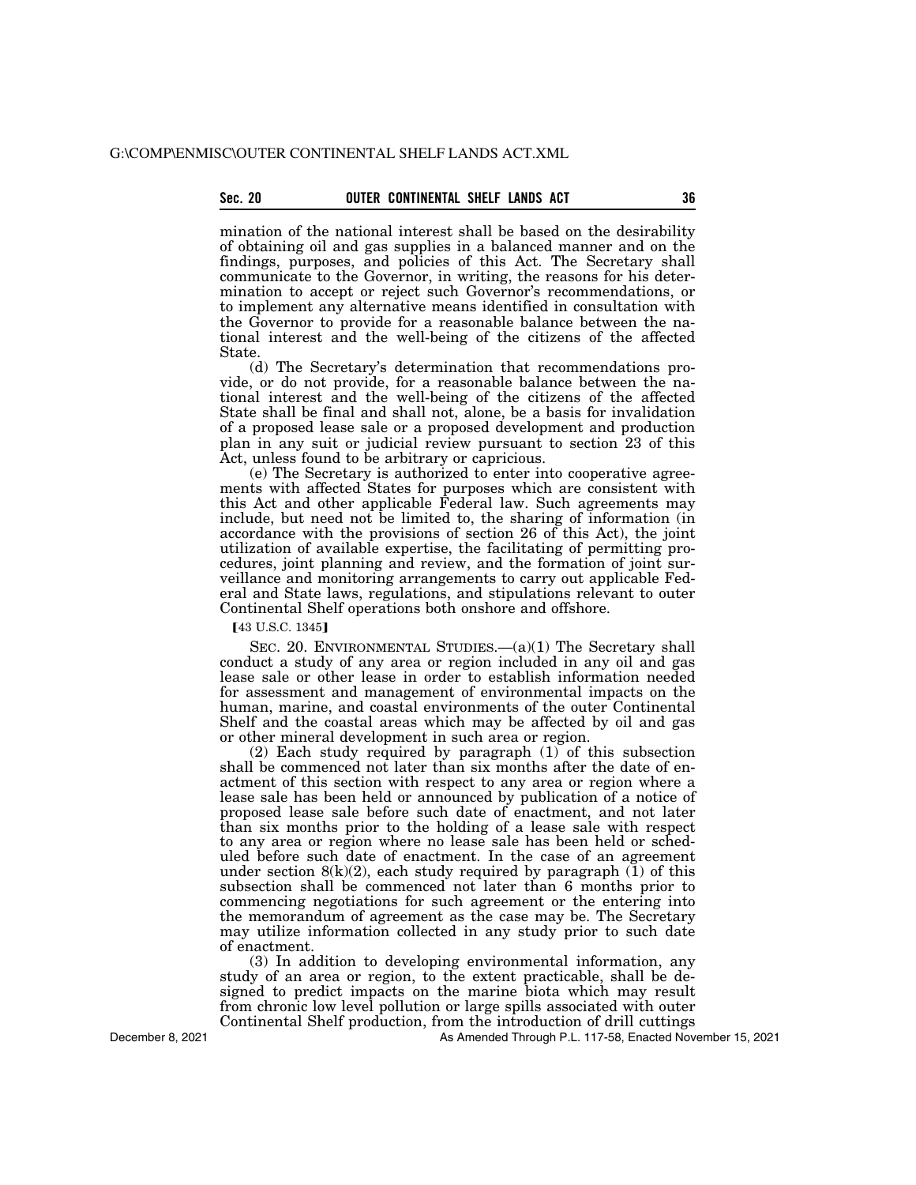### **Sec. 20 OUTER CONTINENTAL SHELF LANDS ACT 36**

mination of the national interest shall be based on the desirability of obtaining oil and gas supplies in a balanced manner and on the findings, purposes, and policies of this Act. The Secretary shall communicate to the Governor, in writing, the reasons for his determination to accept or reject such Governor's recommendations, or to implement any alternative means identified in consultation with the Governor to provide for a reasonable balance between the national interest and the well-being of the citizens of the affected State.

(d) The Secretary's determination that recommendations provide, or do not provide, for a reasonable balance between the national interest and the well-being of the citizens of the affected State shall be final and shall not, alone, be a basis for invalidation of a proposed lease sale or a proposed development and production plan in any suit or judicial review pursuant to section 23 of this Act, unless found to be arbitrary or capricious.

(e) The Secretary is authorized to enter into cooperative agreements with affected States for purposes which are consistent with this Act and other applicable Federal law. Such agreements may include, but need not be limited to, the sharing of information (in accordance with the provisions of section 26 of this Act), the joint utilization of available expertise, the facilitating of permitting procedures, joint planning and review, and the formation of joint surveillance and monitoring arrangements to carry out applicable Federal and State laws, regulations, and stipulations relevant to outer Continental Shelf operations both onshore and offshore.

[43 U.S.C. 1345]

SEC. 20. ENVIRONMENTAL STUDIES.—(a)(1) The Secretary shall conduct a study of any area or region included in any oil and gas lease sale or other lease in order to establish information needed for assessment and management of environmental impacts on the human, marine, and coastal environments of the outer Continental Shelf and the coastal areas which may be affected by oil and gas or other mineral development in such area or region.

(2) Each study required by paragraph (1) of this subsection shall be commenced not later than six months after the date of enactment of this section with respect to any area or region where a lease sale has been held or announced by publication of a notice of proposed lease sale before such date of enactment, and not later than six months prior to the holding of a lease sale with respect to any area or region where no lease sale has been held or scheduled before such date of enactment. In the case of an agreement under section  $8(k)(2)$ , each study required by paragraph (1) of this subsection shall be commenced not later than 6 months prior to commencing negotiations for such agreement or the entering into the memorandum of agreement as the case may be. The Secretary may utilize information collected in any study prior to such date of enactment.

(3) In addition to developing environmental information, any study of an area or region, to the extent practicable, shall be designed to predict impacts on the marine biota which may result from chronic low level pollution or large spills associated with outer Continental Shelf production, from the introduction of drill cuttings

December 8, 2021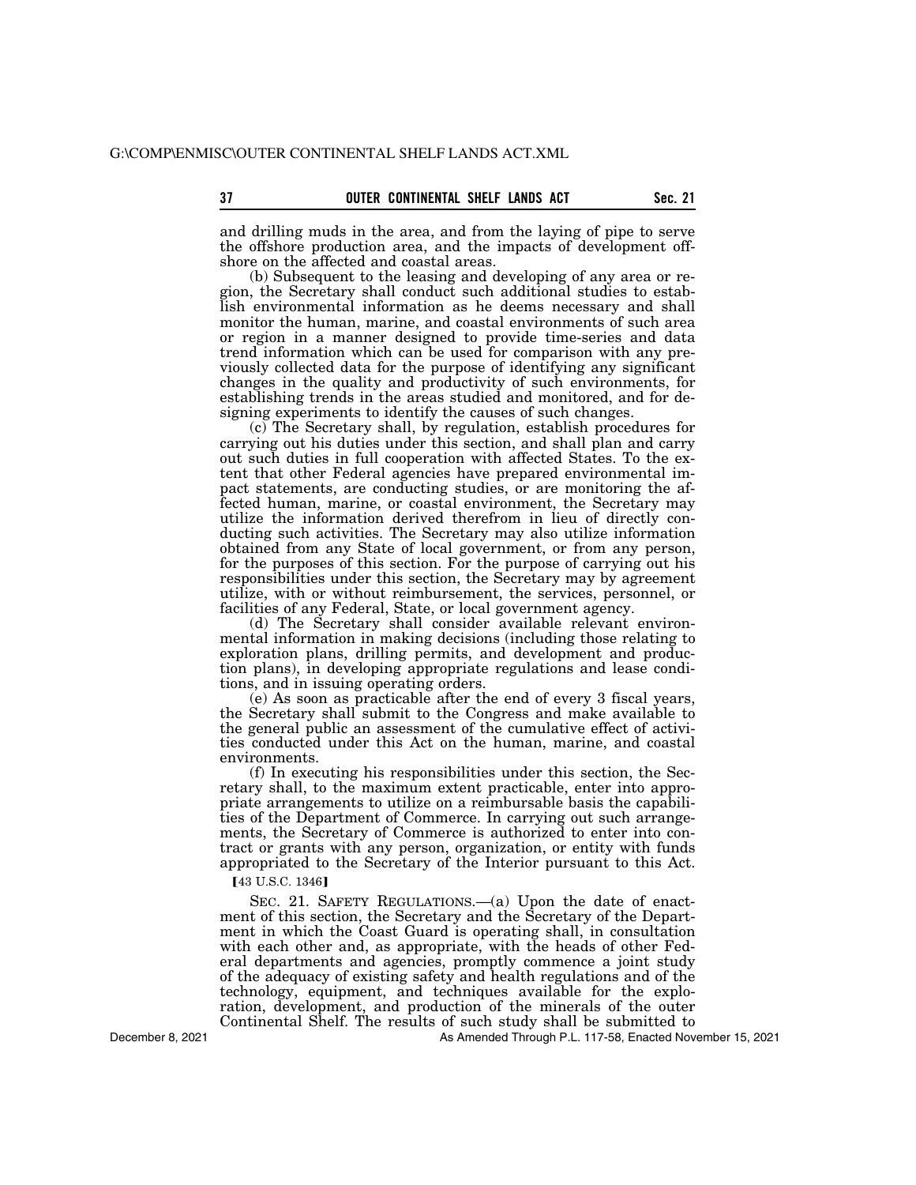and drilling muds in the area, and from the laying of pipe to serve the offshore production area, and the impacts of development offshore on the affected and coastal areas.

(b) Subsequent to the leasing and developing of any area or region, the Secretary shall conduct such additional studies to establish environmental information as he deems necessary and shall monitor the human, marine, and coastal environments of such area or region in a manner designed to provide time-series and data trend information which can be used for comparison with any previously collected data for the purpose of identifying any significant changes in the quality and productivity of such environments, for establishing trends in the areas studied and monitored, and for designing experiments to identify the causes of such changes.

(c) The Secretary shall, by regulation, establish procedures for carrying out his duties under this section, and shall plan and carry out such duties in full cooperation with affected States. To the extent that other Federal agencies have prepared environmental impact statements, are conducting studies, or are monitoring the affected human, marine, or coastal environment, the Secretary may utilize the information derived therefrom in lieu of directly conducting such activities. The Secretary may also utilize information obtained from any State of local government, or from any person, for the purposes of this section. For the purpose of carrying out his responsibilities under this section, the Secretary may by agreement utilize, with or without reimbursement, the services, personnel, or facilities of any Federal, State, or local government agency.

(d) The Secretary shall consider available relevant environmental information in making decisions (including those relating to exploration plans, drilling permits, and development and production plans), in developing appropriate regulations and lease conditions, and in issuing operating orders.

(e) As soon as practicable after the end of every 3 fiscal years, the Secretary shall submit to the Congress and make available to the general public an assessment of the cumulative effect of activities conducted under this Act on the human, marine, and coastal environments.

(f) In executing his responsibilities under this section, the Secretary shall, to the maximum extent practicable, enter into appropriate arrangements to utilize on a reimbursable basis the capabilities of the Department of Commerce. In carrying out such arrangements, the Secretary of Commerce is authorized to enter into contract or grants with any person, organization, or entity with funds appropriated to the Secretary of the Interior pursuant to this Act.

**[43 U.S.C. 1346]** 

SEC. 21. SAFETY REGULATIONS.—(a) Upon the date of enactment of this section, the Secretary and the Secretary of the Department in which the Coast Guard is operating shall, in consultation with each other and, as appropriate, with the heads of other Federal departments and agencies, promptly commence a joint study of the adequacy of existing safety and health regulations and of the technology, equipment, and techniques available for the exploration, development, and production of the minerals of the outer Continental Shelf. The results of such study shall be submitted to

December 8, 2021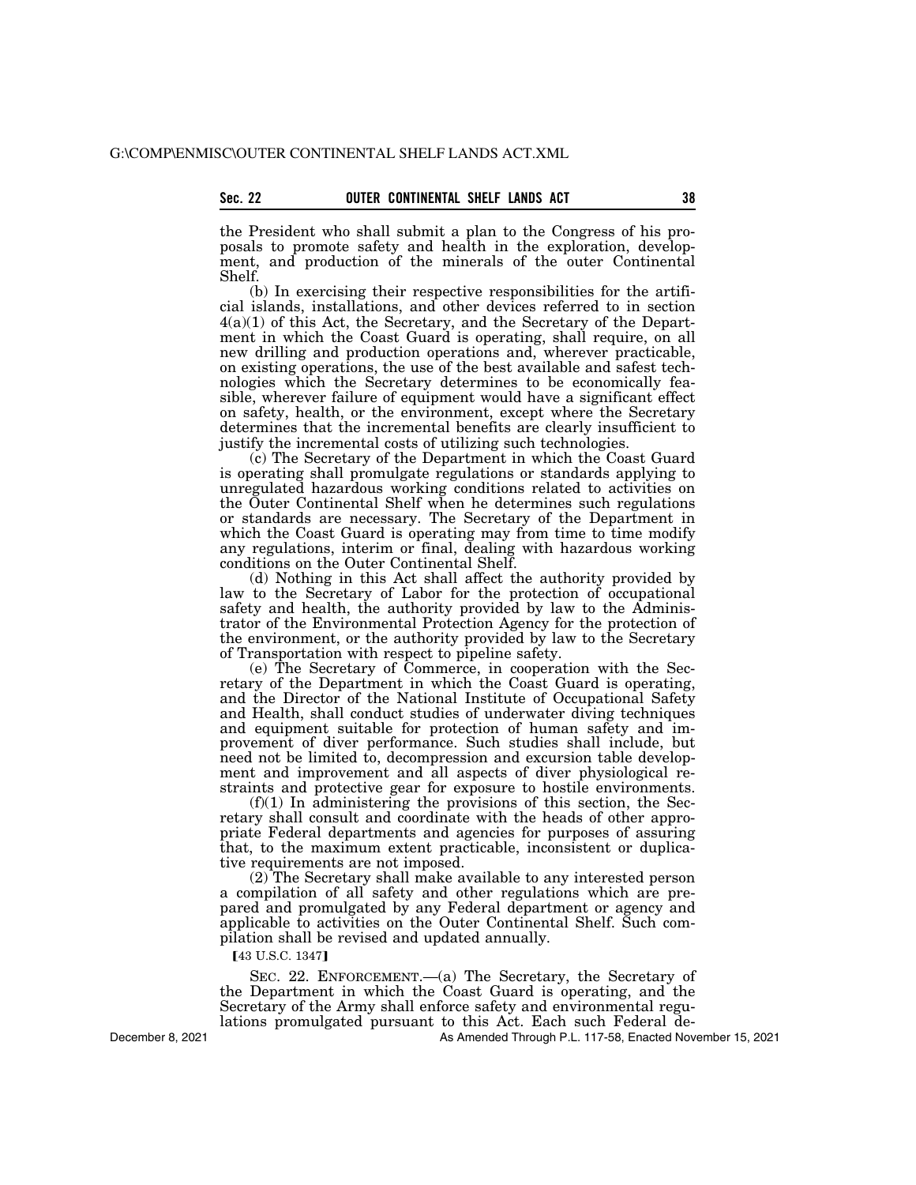### **Sec. 22 OUTER CONTINENTAL SHELF LANDS ACT 38**

the President who shall submit a plan to the Congress of his proposals to promote safety and health in the exploration, development, and production of the minerals of the outer Continental Shelf.

(b) In exercising their respective responsibilities for the artificial islands, installations, and other devices referred to in section 4(a)(1) of this Act, the Secretary, and the Secretary of the Department in which the Coast Guard is operating, shall require, on all new drilling and production operations and, wherever practicable, on existing operations, the use of the best available and safest technologies which the Secretary determines to be economically feasible, wherever failure of equipment would have a significant effect on safety, health, or the environment, except where the Secretary determines that the incremental benefits are clearly insufficient to justify the incremental costs of utilizing such technologies.

(c) The Secretary of the Department in which the Coast Guard is operating shall promulgate regulations or standards applying to unregulated hazardous working conditions related to activities on the Outer Continental Shelf when he determines such regulations or standards are necessary. The Secretary of the Department in which the Coast Guard is operating may from time to time modify any regulations, interim or final, dealing with hazardous working conditions on the Outer Continental Shelf.

(d) Nothing in this Act shall affect the authority provided by law to the Secretary of Labor for the protection of occupational safety and health, the authority provided by law to the Administrator of the Environmental Protection Agency for the protection of the environment, or the authority provided by law to the Secretary of Transportation with respect to pipeline safety.

(e) The Secretary of Commerce, in cooperation with the Secretary of the Department in which the Coast Guard is operating, and the Director of the National Institute of Occupational Safety and Health, shall conduct studies of underwater diving techniques and equipment suitable for protection of human safety and improvement of diver performance. Such studies shall include, but need not be limited to, decompression and excursion table development and improvement and all aspects of diver physiological restraints and protective gear for exposure to hostile environments.

(f)(1) In administering the provisions of this section, the Secretary shall consult and coordinate with the heads of other appropriate Federal departments and agencies for purposes of assuring that, to the maximum extent practicable, inconsistent or duplicative requirements are not imposed.

(2) The Secretary shall make available to any interested person a compilation of all safety and other regulations which are prepared and promulgated by any Federal department or agency and applicable to activities on the Outer Continental Shelf. Such compilation shall be revised and updated annually.

## [43 U.S.C. 1347]

SEC. 22. ENFORCEMENT.—(a) The Secretary, the Secretary of the Department in which the Coast Guard is operating, and the Secretary of the Army shall enforce safety and environmental regulations promulgated pursuant to this Act. Each such Federal de-

As Amended Through P.L. 117-58, Enacted November 15, 2021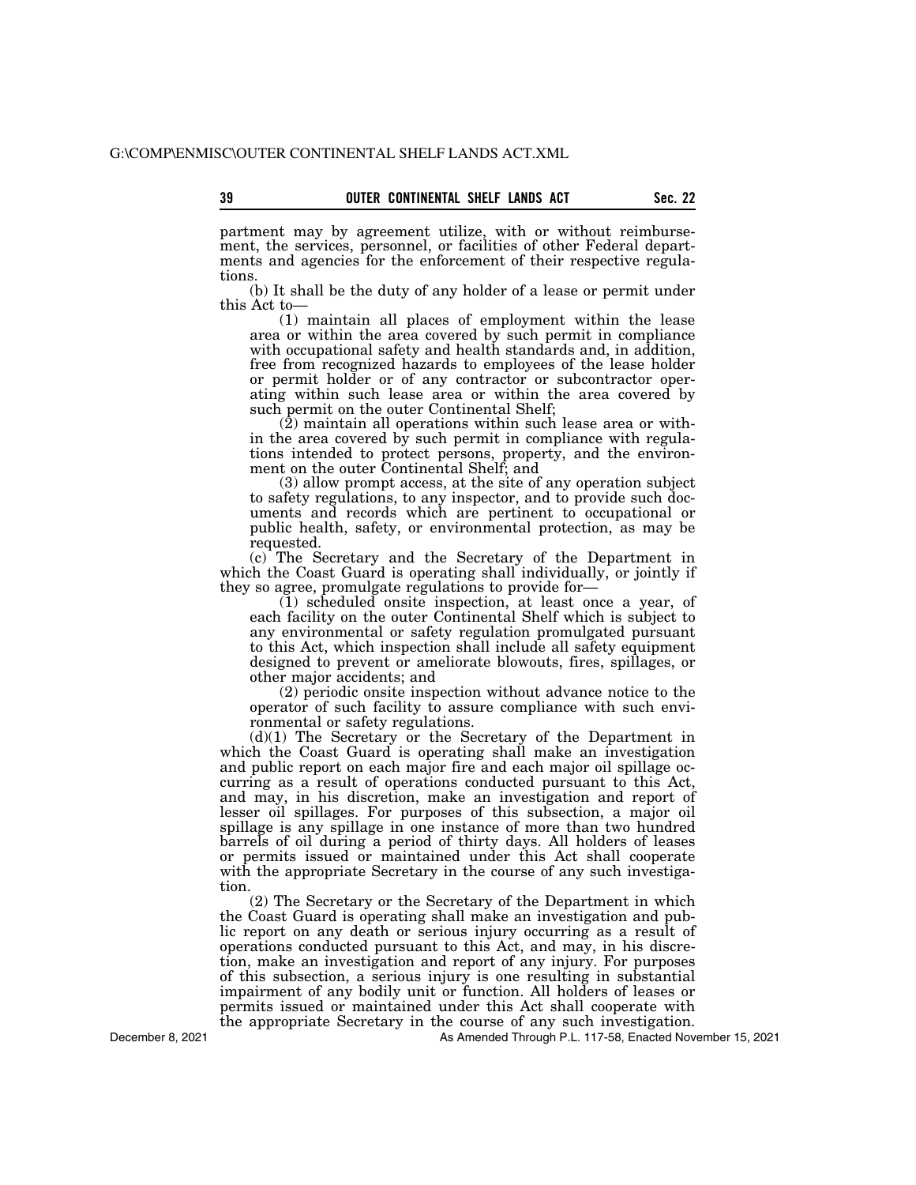partment may by agreement utilize, with or without reimbursement, the services, personnel, or facilities of other Federal departments and agencies for the enforcement of their respective regulations.

(b) It shall be the duty of any holder of a lease or permit under this Act to—

(1) maintain all places of employment within the lease area or within the area covered by such permit in compliance with occupational safety and health standards and, in addition, free from recognized hazards to employees of the lease holder or permit holder or of any contractor or subcontractor operating within such lease area or within the area covered by such permit on the outer Continental Shelf;

 $(2)$  maintain all operations within such lease area or within the area covered by such permit in compliance with regulations intended to protect persons, property, and the environment on the outer Continental Shelf; and

(3) allow prompt access, at the site of any operation subject to safety regulations, to any inspector, and to provide such documents and records which are pertinent to occupational or public health, safety, or environmental protection, as may be requested.

(c) The Secretary and the Secretary of the Department in which the Coast Guard is operating shall individually, or jointly if they so agree, promulgate regulations to provide for—

(1) scheduled onsite inspection, at least once a year, of each facility on the outer Continental Shelf which is subject to any environmental or safety regulation promulgated pursuant to this Act, which inspection shall include all safety equipment designed to prevent or ameliorate blowouts, fires, spillages, or other major accidents; and

(2) periodic onsite inspection without advance notice to the operator of such facility to assure compliance with such environmental or safety regulations.

(d)(1) The Secretary or the Secretary of the Department in which the Coast Guard is operating shall make an investigation and public report on each major fire and each major oil spillage occurring as a result of operations conducted pursuant to this Act, and may, in his discretion, make an investigation and report of lesser oil spillages. For purposes of this subsection, a major oil spillage is any spillage in one instance of more than two hundred barrels of oil during a period of thirty days. All holders of leases or permits issued or maintained under this Act shall cooperate with the appropriate Secretary in the course of any such investigation.

(2) The Secretary or the Secretary of the Department in which the Coast Guard is operating shall make an investigation and public report on any death or serious injury occurring as a result of operations conducted pursuant to this Act, and may, in his discretion, make an investigation and report of any injury. For purposes of this subsection, a serious injury is one resulting in substantial impairment of any bodily unit or function. All holders of leases or permits issued or maintained under this Act shall cooperate with the appropriate Secretary in the course of any such investigation.

December 8, 2021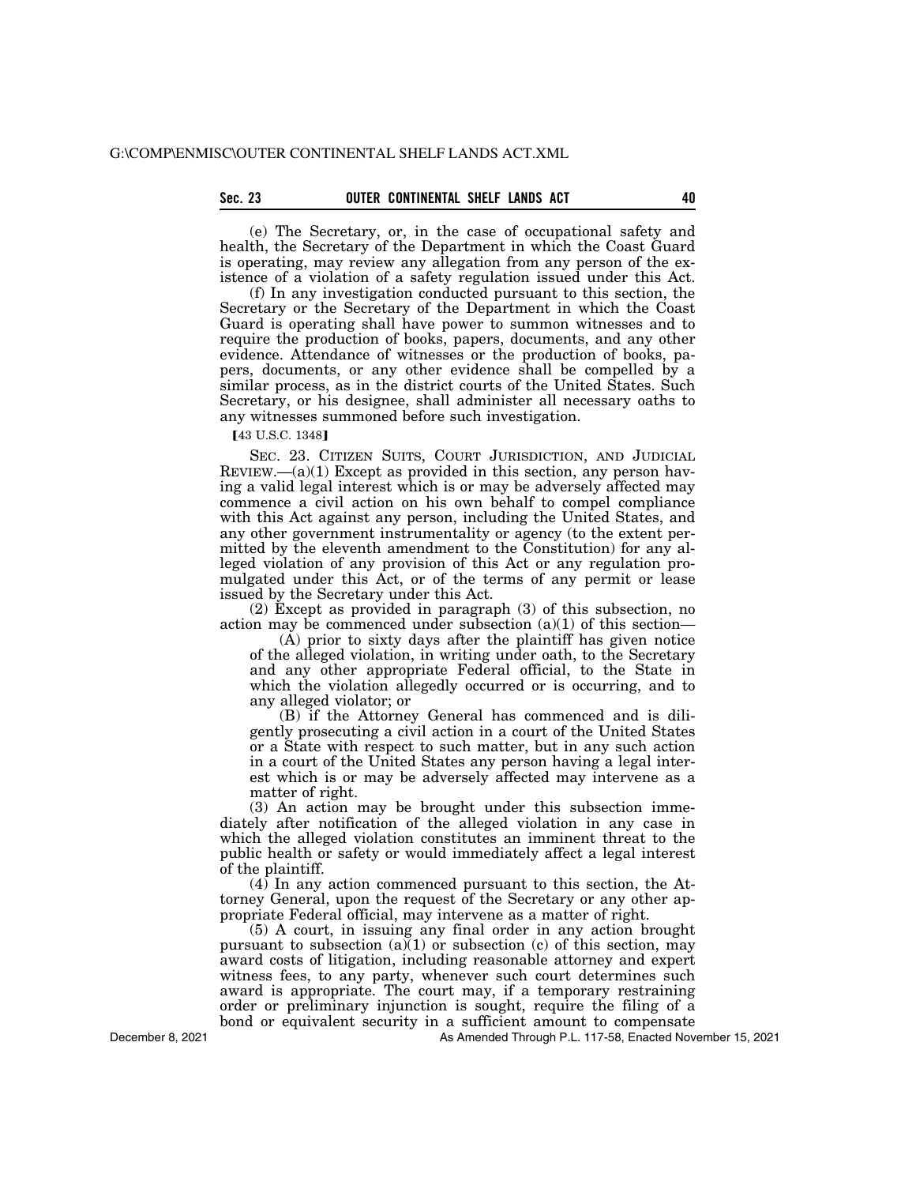## **Sec. 23 OUTER CONTINENTAL SHELF LANDS ACT 40**

(e) The Secretary, or, in the case of occupational safety and health, the Secretary of the Department in which the Coast Guard is operating, may review any allegation from any person of the existence of a violation of a safety regulation issued under this Act.

(f) In any investigation conducted pursuant to this section, the Secretary or the Secretary of the Department in which the Coast Guard is operating shall have power to summon witnesses and to require the production of books, papers, documents, and any other evidence. Attendance of witnesses or the production of books, papers, documents, or any other evidence shall be compelled by a similar process, as in the district courts of the United States. Such Secretary, or his designee, shall administer all necessary oaths to any witnesses summoned before such investigation.

[43 U.S.C. 1348]

SEC. 23. CITIZEN SUITS, COURT JURISDICTION, AND JUDICIAL REVIEW.— $(a)(1)$  Except as provided in this section, any person having a valid legal interest which is or may be adversely affected may commence a civil action on his own behalf to compel compliance with this Act against any person, including the United States, and any other government instrumentality or agency (to the extent permitted by the eleventh amendment to the Constitution) for any alleged violation of any provision of this Act or any regulation promulgated under this Act, or of the terms of any permit or lease issued by the Secretary under this Act.

(2) Except as provided in paragraph (3) of this subsection, no action may be commenced under subsection  $(a)(1)$  of this section—

(A) prior to sixty days after the plaintiff has given notice of the alleged violation, in writing under oath, to the Secretary and any other appropriate Federal official, to the State in which the violation allegedly occurred or is occurring, and to any alleged violator; or

(B) if the Attorney General has commenced and is diligently prosecuting a civil action in a court of the United States or a State with respect to such matter, but in any such action in a court of the United States any person having a legal interest which is or may be adversely affected may intervene as a matter of right.

(3) An action may be brought under this subsection immediately after notification of the alleged violation in any case in which the alleged violation constitutes an imminent threat to the public health or safety or would immediately affect a legal interest of the plaintiff.

(4) In any action commenced pursuant to this section, the Attorney General, upon the request of the Secretary or any other appropriate Federal official, may intervene as a matter of right.

(5) A court, in issuing any final order in any action brought pursuant to subsection  $(a)(1)$  or subsection (c) of this section, may award costs of litigation, including reasonable attorney and expert witness fees, to any party, whenever such court determines such award is appropriate. The court may, if a temporary restraining order or preliminary injunction is sought, require the filing of a bond or equivalent security in a sufficient amount to compensate

December 8, 2021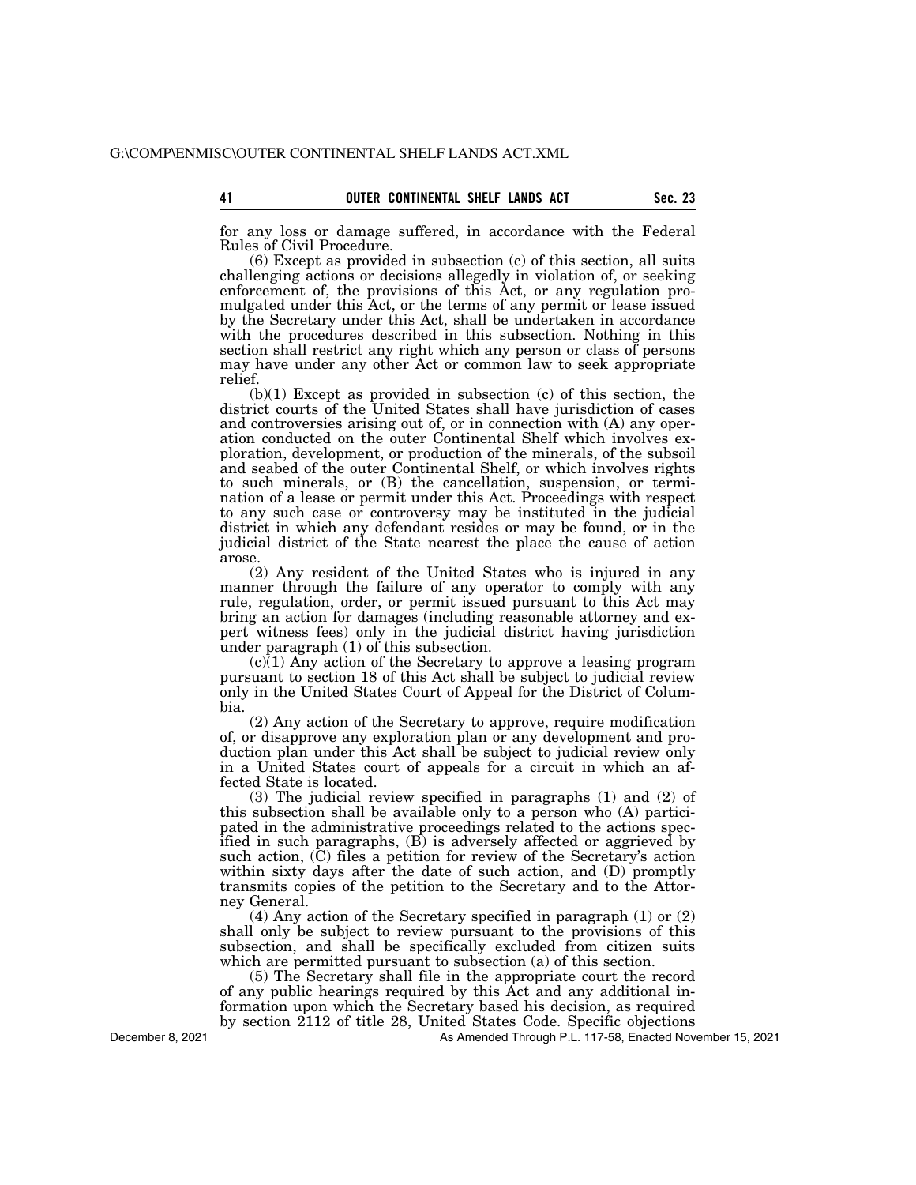for any loss or damage suffered, in accordance with the Federal Rules of Civil Procedure.

(6) Except as provided in subsection (c) of this section, all suits challenging actions or decisions allegedly in violation of, or seeking enforcement of, the provisions of this Act, or any regulation promulgated under this Act, or the terms of any permit or lease issued by the Secretary under this Act, shall be undertaken in accordance with the procedures described in this subsection. Nothing in this section shall restrict any right which any person or class of persons may have under any other Act or common law to seek appropriate relief.

(b)(1) Except as provided in subsection (c) of this section, the district courts of the United States shall have jurisdiction of cases and controversies arising out of, or in connection with (A) any operation conducted on the outer Continental Shelf which involves exploration, development, or production of the minerals, of the subsoil and seabed of the outer Continental Shelf, or which involves rights to such minerals, or (B) the cancellation, suspension, or termination of a lease or permit under this Act. Proceedings with respect to any such case or controversy may be instituted in the judicial district in which any defendant resides or may be found, or in the judicial district of the State nearest the place the cause of action arose.

(2) Any resident of the United States who is injured in any manner through the failure of any operator to comply with any rule, regulation, order, or permit issued pursuant to this Act may bring an action for damages (including reasonable attorney and expert witness fees) only in the judicial district having jurisdiction under paragraph (1) of this subsection.

 $(c)(1)$  Any action of the Secretary to approve a leasing program pursuant to section 18 of this Act shall be subject to judicial review only in the United States Court of Appeal for the District of Columbia.

(2) Any action of the Secretary to approve, require modification of, or disapprove any exploration plan or any development and production plan under this Act shall be subject to judicial review only in a United States court of appeals for a circuit in which an affected State is located.

(3) The judicial review specified in paragraphs (1) and (2) of this subsection shall be available only to a person who (A) participated in the administrative proceedings related to the actions specified in such paragraphs, (B) is adversely affected or aggrieved by such action, (C) files a petition for review of the Secretary's action within sixty days after the date of such action, and (D) promptly transmits copies of the petition to the Secretary and to the Attorney General.

(4) Any action of the Secretary specified in paragraph (1) or (2) shall only be subject to review pursuant to the provisions of this subsection, and shall be specifically excluded from citizen suits which are permitted pursuant to subsection (a) of this section.

(5) The Secretary shall file in the appropriate court the record of any public hearings required by this Act and any additional information upon which the Secretary based his decision, as required by section 2112 of title 28, United States Code. Specific objections

As Amended Through P.L. 117-58, Enacted November 15, 2021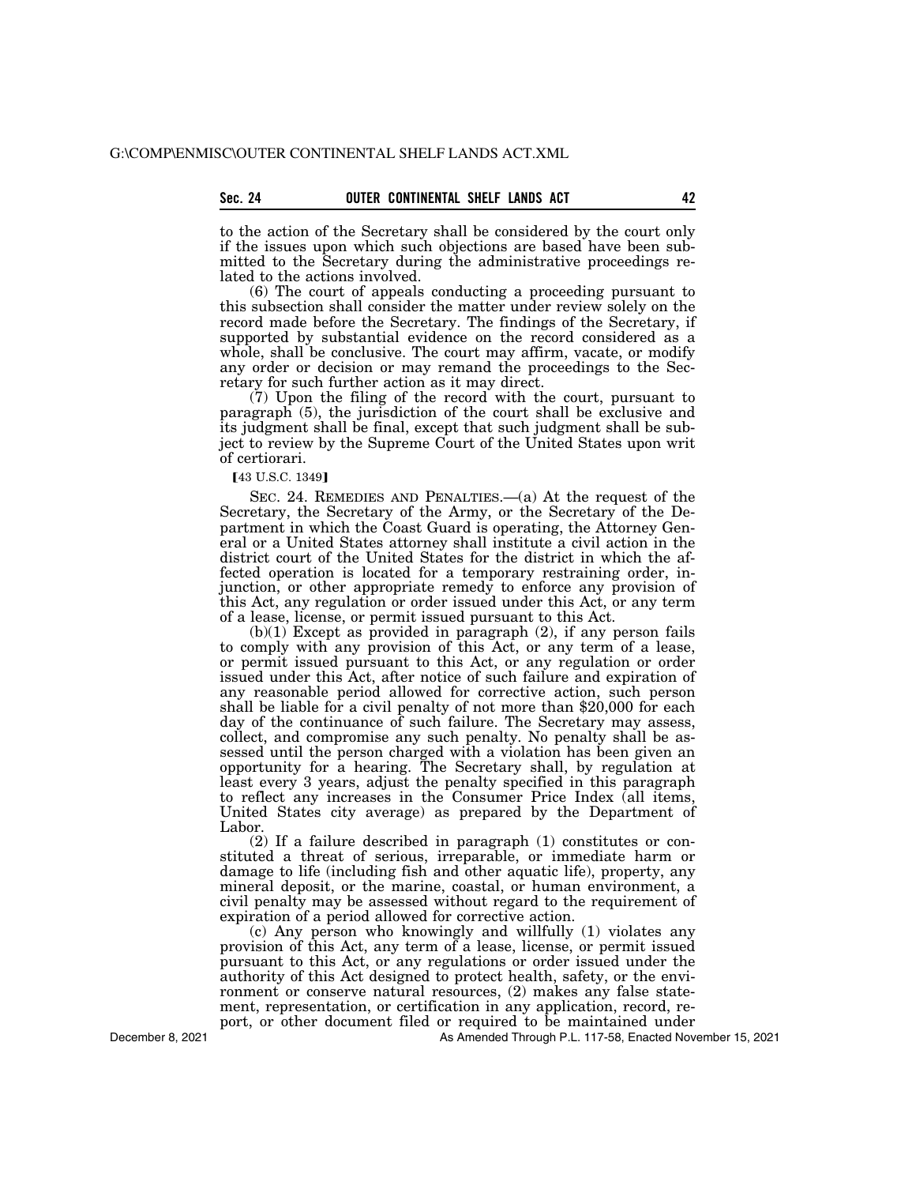## **Sec. 24 OUTER CONTINENTAL SHELF LANDS ACT 42**

to the action of the Secretary shall be considered by the court only if the issues upon which such objections are based have been submitted to the Secretary during the administrative proceedings related to the actions involved.

(6) The court of appeals conducting a proceeding pursuant to this subsection shall consider the matter under review solely on the record made before the Secretary. The findings of the Secretary, if supported by substantial evidence on the record considered as a whole, shall be conclusive. The court may affirm, vacate, or modify any order or decision or may remand the proceedings to the Secretary for such further action as it may direct.

(7) Upon the filing of the record with the court, pursuant to paragraph (5), the jurisdiction of the court shall be exclusive and its judgment shall be final, except that such judgment shall be subject to review by the Supreme Court of the United States upon writ of certiorari.

#### [43 U.S.C. 1349]

SEC. 24. REMEDIES AND PENALTIES.—(a) At the request of the Secretary, the Secretary of the Army, or the Secretary of the Department in which the Coast Guard is operating, the Attorney General or a United States attorney shall institute a civil action in the district court of the United States for the district in which the affected operation is located for a temporary restraining order, injunction, or other appropriate remedy to enforce any provision of this Act, any regulation or order issued under this Act, or any term of a lease, license, or permit issued pursuant to this Act.

(b)(1) Except as provided in paragraph (2), if any person fails to comply with any provision of this Act, or any term of a lease, or permit issued pursuant to this Act, or any regulation or order issued under this Act, after notice of such failure and expiration of any reasonable period allowed for corrective action, such person shall be liable for a civil penalty of not more than \$20,000 for each day of the continuance of such failure. The Secretary may assess, collect, and compromise any such penalty. No penalty shall be assessed until the person charged with a violation has been given an opportunity for a hearing. The Secretary shall, by regulation at least every 3 years, adjust the penalty specified in this paragraph to reflect any increases in the Consumer Price Index (all items, United States city average) as prepared by the Department of Labor.

(2) If a failure described in paragraph (1) constitutes or constituted a threat of serious, irreparable, or immediate harm or damage to life (including fish and other aquatic life), property, any mineral deposit, or the marine, coastal, or human environment, a civil penalty may be assessed without regard to the requirement of expiration of a period allowed for corrective action.

(c) Any person who knowingly and willfully (1) violates any provision of this Act, any term of a lease, license, or permit issued pursuant to this Act, or any regulations or order issued under the authority of this Act designed to protect health, safety, or the environment or conserve natural resources, (2) makes any false statement, representation, or certification in any application, record, report, or other document filed or required to be maintained under

As Amended Through P.L. 117-58, Enacted November 15, 2021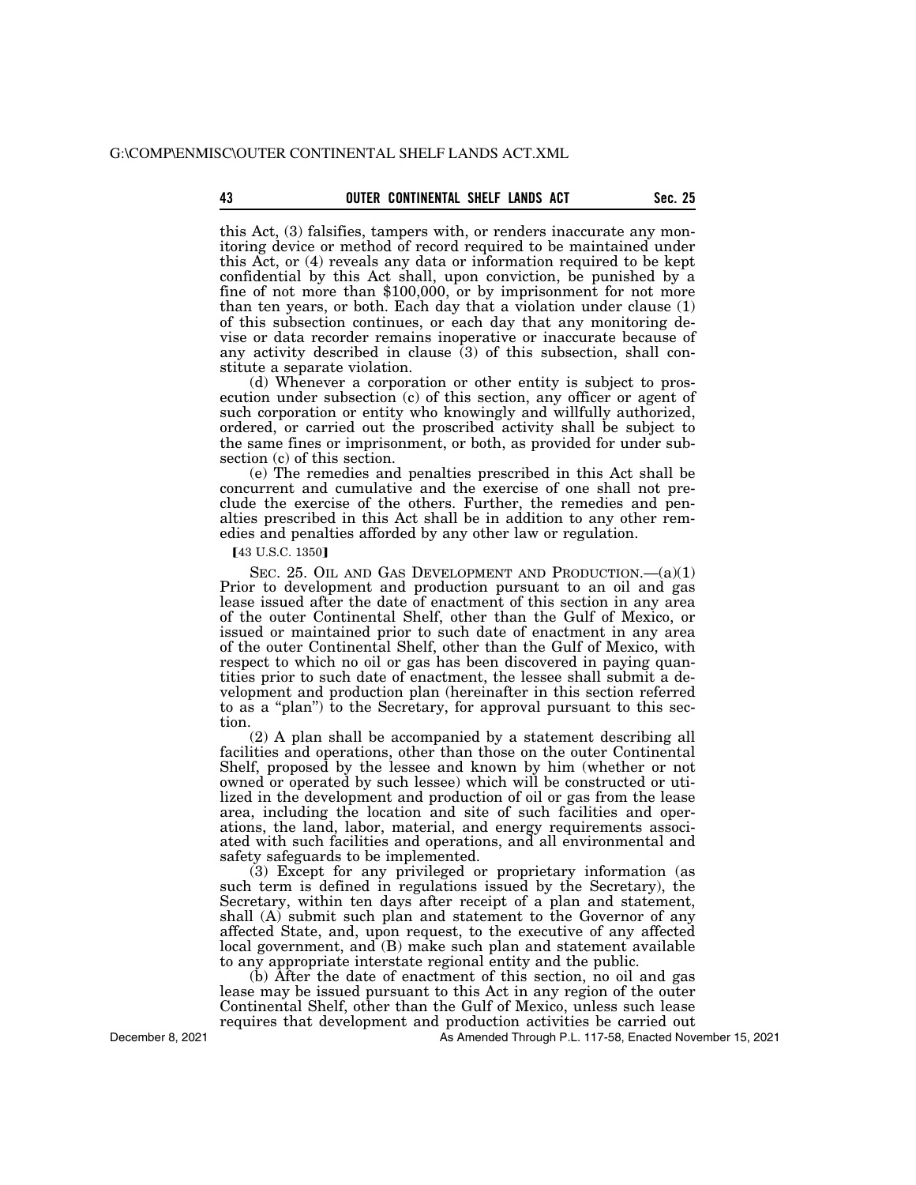this Act, (3) falsifies, tampers with, or renders inaccurate any monitoring device or method of record required to be maintained under this Act, or (4) reveals any data or information required to be kept confidential by this Act shall, upon conviction, be punished by a fine of not more than \$100,000, or by imprisonment for not more than ten years, or both. Each day that a violation under clause (1) of this subsection continues, or each day that any monitoring devise or data recorder remains inoperative or inaccurate because of any activity described in clause  $(3)$  of this subsection, shall constitute a separate violation.

(d) Whenever a corporation or other entity is subject to prosecution under subsection (c) of this section, any officer or agent of such corporation or entity who knowingly and willfully authorized, ordered, or carried out the proscribed activity shall be subject to the same fines or imprisonment, or both, as provided for under subsection (c) of this section.

(e) The remedies and penalties prescribed in this Act shall be concurrent and cumulative and the exercise of one shall not preclude the exercise of the others. Further, the remedies and penalties prescribed in this Act shall be in addition to any other remedies and penalties afforded by any other law or regulation.

[43 U.S.C. 1350]

SEC. 25. OIL AND GAS DEVELOPMENT AND PRODUCTION.—(a)(1) Prior to development and production pursuant to an oil and gas lease issued after the date of enactment of this section in any area of the outer Continental Shelf, other than the Gulf of Mexico, or issued or maintained prior to such date of enactment in any area of the outer Continental Shelf, other than the Gulf of Mexico, with respect to which no oil or gas has been discovered in paying quantities prior to such date of enactment, the lessee shall submit a development and production plan (hereinafter in this section referred to as a ''plan'') to the Secretary, for approval pursuant to this section.

(2) A plan shall be accompanied by a statement describing all facilities and operations, other than those on the outer Continental Shelf, proposed by the lessee and known by him (whether or not owned or operated by such lessee) which will be constructed or utilized in the development and production of oil or gas from the lease area, including the location and site of such facilities and operations, the land, labor, material, and energy requirements associated with such facilities and operations, and all environmental and safety safeguards to be implemented.

(3) Except for any privileged or proprietary information (as such term is defined in regulations issued by the Secretary), the Secretary, within ten days after receipt of a plan and statement, shall (A) submit such plan and statement to the Governor of any affected State, and, upon request, to the executive of any affected local government, and (B) make such plan and statement available to any appropriate interstate regional entity and the public.

(b) After the date of enactment of this section, no oil and gas lease may be issued pursuant to this Act in any region of the outer Continental Shelf, other than the Gulf of Mexico, unless such lease requires that development and production activities be carried out

As Amended Through P.L. 117-58, Enacted November 15, 2021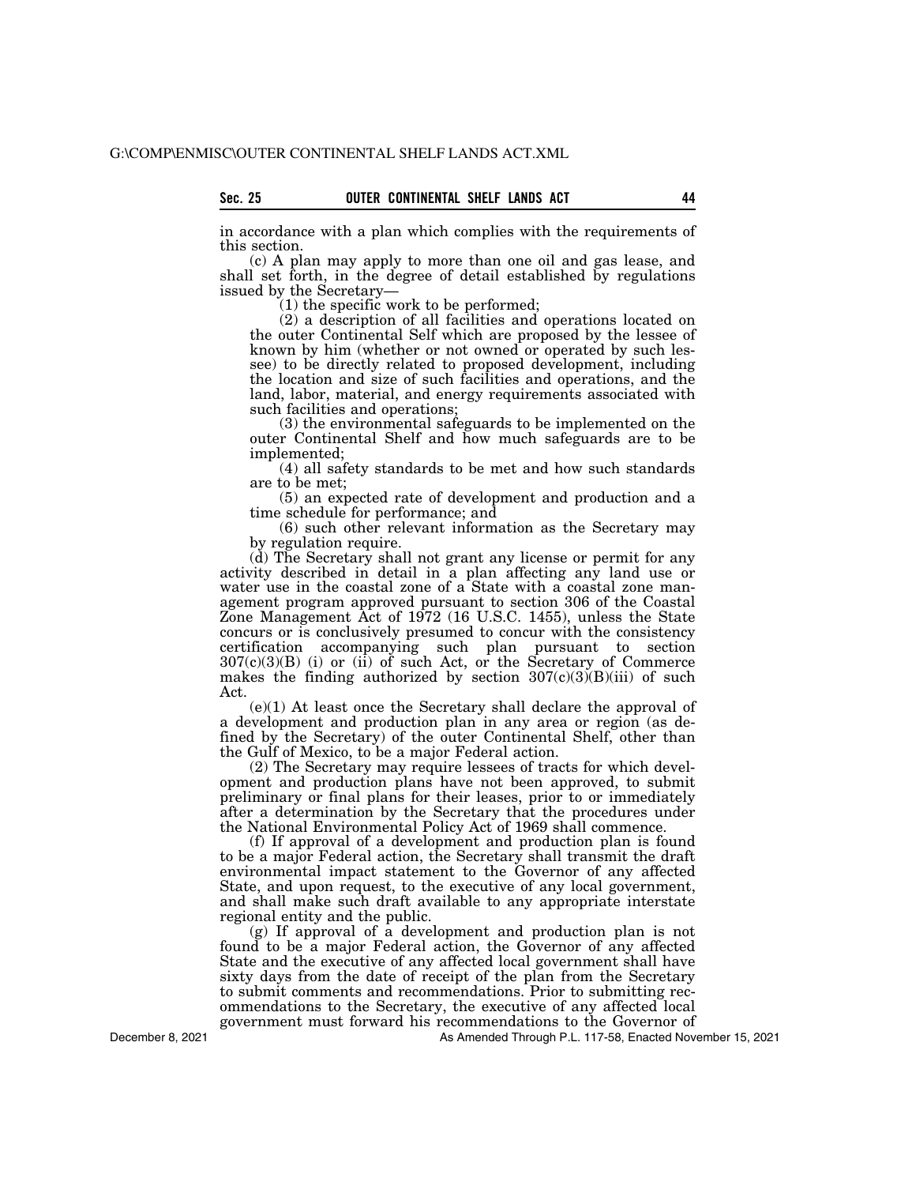in accordance with a plan which complies with the requirements of this section.

(c) A plan may apply to more than one oil and gas lease, and shall set forth, in the degree of detail established by regulations issued by the Secretary—

 $(1)$  the specific work to be performed;

(2) a description of all facilities and operations located on the outer Continental Self which are proposed by the lessee of known by him (whether or not owned or operated by such lessee) to be directly related to proposed development, including the location and size of such facilities and operations, and the land, labor, material, and energy requirements associated with such facilities and operations;

(3) the environmental safeguards to be implemented on the outer Continental Shelf and how much safeguards are to be implemented;

(4) all safety standards to be met and how such standards are to be met;

(5) an expected rate of development and production and a time schedule for performance; and

(6) such other relevant information as the Secretary may by regulation require.

(d) The Secretary shall not grant any license or permit for any activity described in detail in a plan affecting any land use or water use in the coastal zone of a State with a coastal zone management program approved pursuant to section 306 of the Coastal Zone Management Act of 1972 (16 U.S.C. 1455), unless the State concurs or is conclusively presumed to concur with the consistency certification accompanying such plan pursuant to section  $307(c)(3)(B)$  (i) or (ii) of such Act, or the Secretary of Commerce makes the finding authorized by section  $307(c)(3)(B)(iii)$  of such Act.

(e)(1) At least once the Secretary shall declare the approval of a development and production plan in any area or region (as defined by the Secretary) of the outer Continental Shelf, other than the Gulf of Mexico, to be a major Federal action.

(2) The Secretary may require lessees of tracts for which development and production plans have not been approved, to submit preliminary or final plans for their leases, prior to or immediately after a determination by the Secretary that the procedures under the National Environmental Policy Act of 1969 shall commence.

(f) If approval of a development and production plan is found to be a major Federal action, the Secretary shall transmit the draft environmental impact statement to the Governor of any affected State, and upon request, to the executive of any local government, and shall make such draft available to any appropriate interstate regional entity and the public.

(g) If approval of a development and production plan is not found to be a major Federal action, the Governor of any affected State and the executive of any affected local government shall have sixty days from the date of receipt of the plan from the Secretary to submit comments and recommendations. Prior to submitting recommendations to the Secretary, the executive of any affected local government must forward his recommendations to the Governor of

As Amended Through P.L. 117-58, Enacted November 15, 2021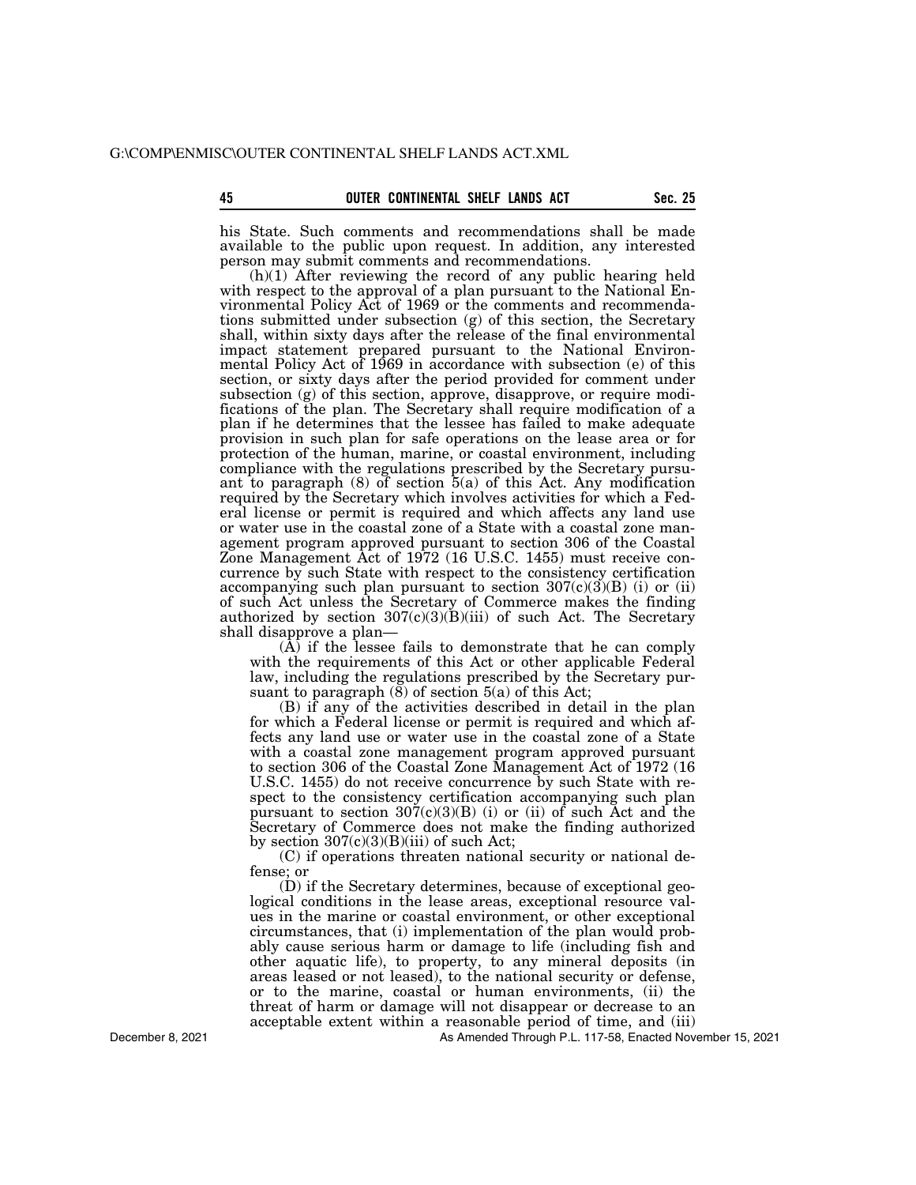his State. Such comments and recommendations shall be made available to the public upon request. In addition, any interested person may submit comments and recommendations.

(h)(1) After reviewing the record of any public hearing held with respect to the approval of a plan pursuant to the National Environmental Policy Act of 1969 or the comments and recommendations submitted under subsection (g) of this section, the Secretary shall, within sixty days after the release of the final environmental impact statement prepared pursuant to the National Environmental Policy Act of 1969 in accordance with subsection (e) of this section, or sixty days after the period provided for comment under subsection (g) of this section, approve, disapprove, or require modifications of the plan. The Secretary shall require modification of a plan if he determines that the lessee has failed to make adequate provision in such plan for safe operations on the lease area or for protection of the human, marine, or coastal environment, including compliance with the regulations prescribed by the Secretary pursuant to paragraph  $(8)$  of section  $\overline{5}(a)$  of this Act. Any modification required by the Secretary which involves activities for which a Federal license or permit is required and which affects any land use or water use in the coastal zone of a State with a coastal zone management program approved pursuant to section 306 of the Coastal Zone Management Act of 1972 (16 U.S.C. 1455) must receive concurrence by such State with respect to the consistency certification accompanying such plan pursuant to section  $307(c)(3)(B)$  (i) or (ii) of such Act unless the Secretary of Commerce makes the finding authorized by section  $307(c)(3)(B)(iii)$  of such Act. The Secretary shall disapprove a plan—

(A) if the lessee fails to demonstrate that he can comply with the requirements of this Act or other applicable Federal law, including the regulations prescribed by the Secretary pursuant to paragraph  $(\overline{8})$  of section 5(a) of this Act;

(B) if any of the activities described in detail in the plan for which a Federal license or permit is required and which affects any land use or water use in the coastal zone of a State with a coastal zone management program approved pursuant to section 306 of the Coastal Zone Management Act of 1972 (16 U.S.C. 1455) do not receive concurrence by such State with respect to the consistency certification accompanying such plan pursuant to section  $307(c)(3)(B)$  (i) or (ii) of such Act and the Secretary of Commerce does not make the finding authorized by section  $307(c)(3)(B)(iii)$  of such Act;

(C) if operations threaten national security or national defense; or

(D) if the Secretary determines, because of exceptional geological conditions in the lease areas, exceptional resource values in the marine or coastal environment, or other exceptional circumstances, that (i) implementation of the plan would probably cause serious harm or damage to life (including fish and other aquatic life), to property, to any mineral deposits (in areas leased or not leased), to the national security or defense, or to the marine, coastal or human environments, (ii) the threat of harm or damage will not disappear or decrease to an acceptable extent within a reasonable period of time, and (iii)

As Amended Through P.L. 117-58, Enacted November 15, 2021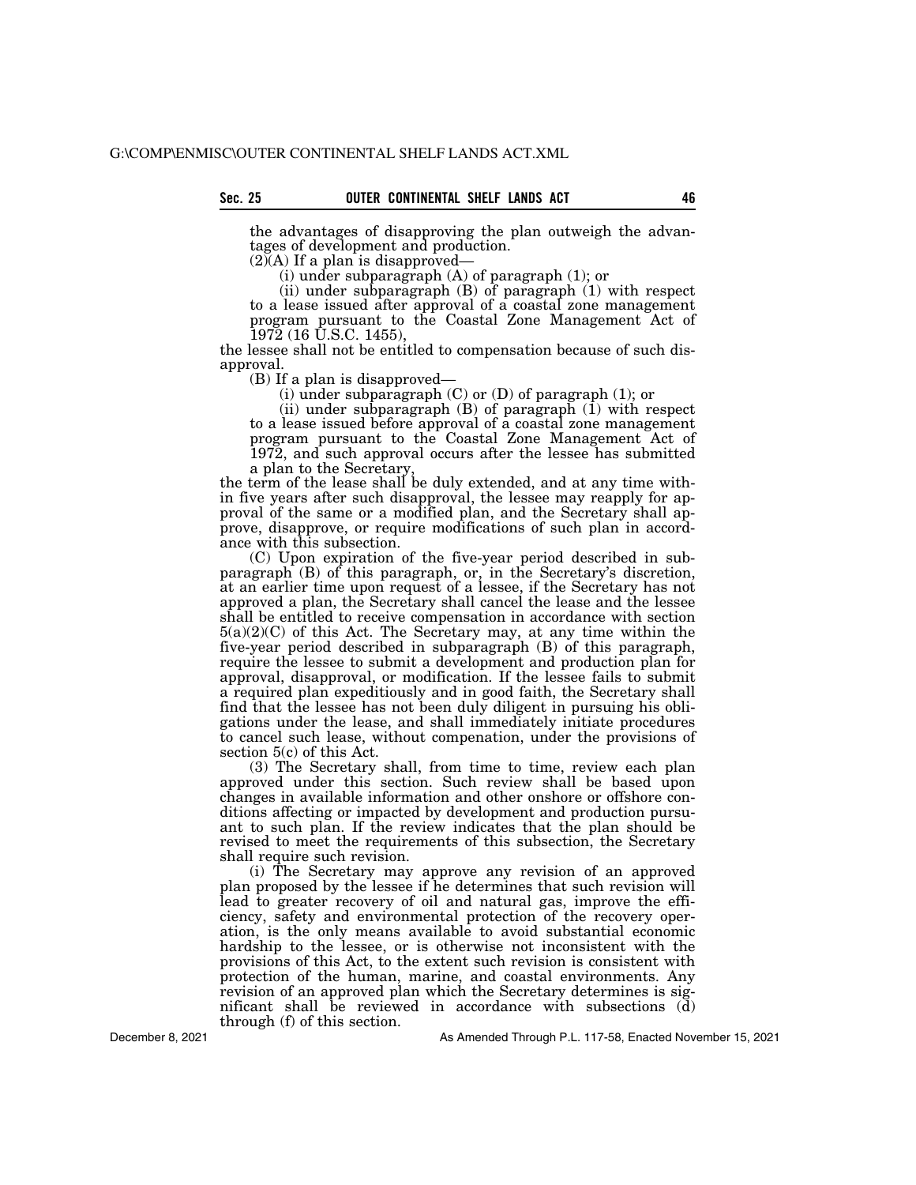the advantages of disapproving the plan outweigh the advantages of development and production.

 $(2)$  $(A)$  If a plan is disapproved—

(i) under subparagraph (A) of paragraph (1); or

(ii) under subparagraph  $(B)$  of paragraph  $(1)$  with respect to a lease issued after approval of a coastal zone management program pursuant to the Coastal Zone Management Act of 1972 (16 U.S.C. 1455),

the lessee shall not be entitled to compensation because of such disapproval.

(B) If a plan is disapproved—

(i) under subparagraph (C) or (D) of paragraph (1); or

(ii) under subparagraph  $(B)$  of paragraph  $(I)$  with respect to a lease issued before approval of a coastal zone management program pursuant to the Coastal Zone Management Act of 1972, and such approval occurs after the lessee has submitted a plan to the Secretary,

the term of the lease shall be duly extended, and at any time within five years after such disapproval, the lessee may reapply for approval of the same or a modified plan, and the Secretary shall approve, disapprove, or require modifications of such plan in accordance with this subsection.

(C) Upon expiration of the five-year period described in subparagraph (B) of this paragraph, or, in the Secretary's discretion, at an earlier time upon request of a lessee, if the Secretary has not approved a plan, the Secretary shall cancel the lease and the lessee shall be entitled to receive compensation in accordance with section 5(a)(2)(C) of this Act. The Secretary may, at any time within the five-year period described in subparagraph (B) of this paragraph, require the lessee to submit a development and production plan for approval, disapproval, or modification. If the lessee fails to submit a required plan expeditiously and in good faith, the Secretary shall find that the lessee has not been duly diligent in pursuing his obligations under the lease, and shall immediately initiate procedures to cancel such lease, without compenation, under the provisions of section 5(c) of this Act.

(3) The Secretary shall, from time to time, review each plan approved under this section. Such review shall be based upon changes in available information and other onshore or offshore conditions affecting or impacted by development and production pursuant to such plan. If the review indicates that the plan should be revised to meet the requirements of this subsection, the Secretary shall require such revision.

(i) The Secretary may approve any revision of an approved plan proposed by the lessee if he determines that such revision will lead to greater recovery of oil and natural gas, improve the efficiency, safety and environmental protection of the recovery operation, is the only means available to avoid substantial economic hardship to the lessee, or is otherwise not inconsistent with the provisions of this Act, to the extent such revision is consistent with protection of the human, marine, and coastal environments. Any revision of an approved plan which the Secretary determines is significant shall be reviewed in accordance with subsections  $(d)$ through (f) of this section.

December 8, 2021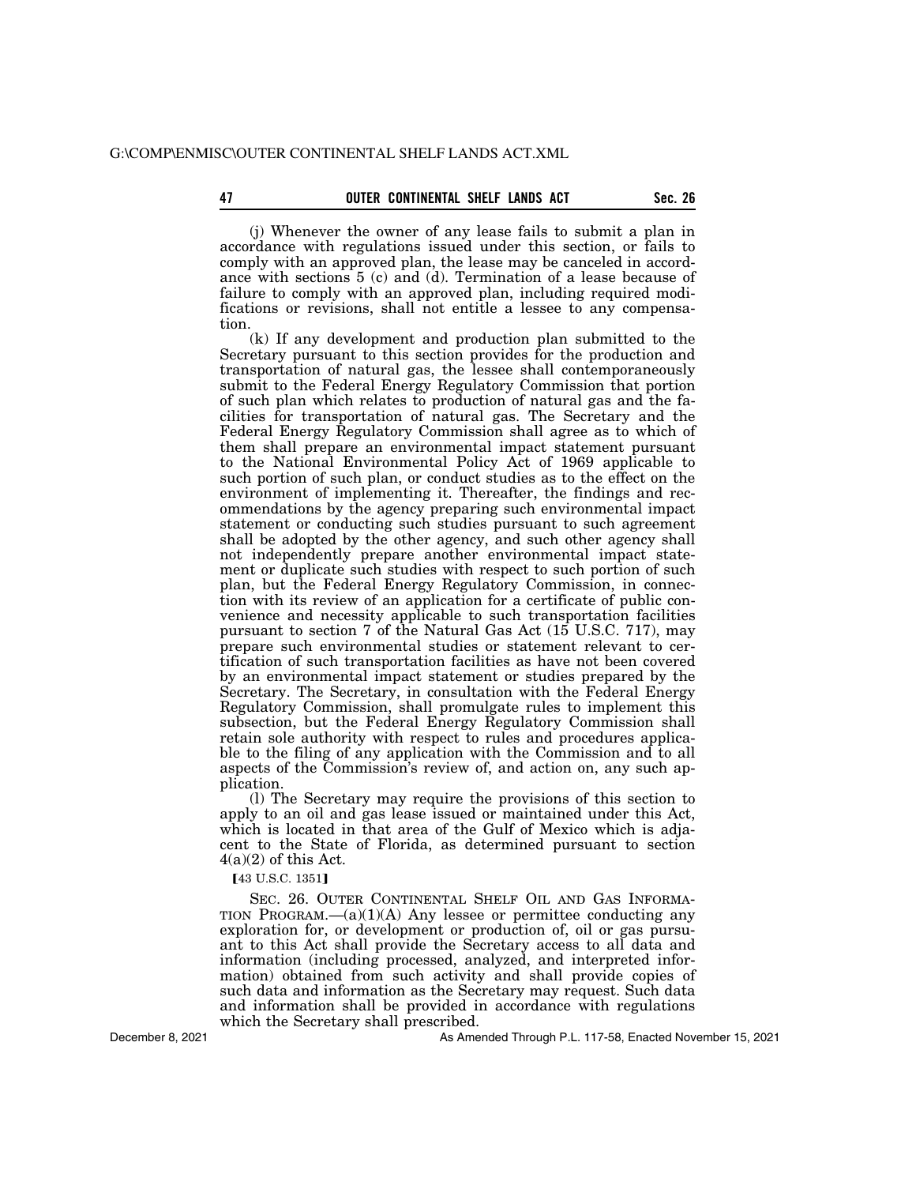## **47 Sec. 26 OUTER CONTINENTAL SHELF LANDS ACT**

(j) Whenever the owner of any lease fails to submit a plan in accordance with regulations issued under this section, or fails to comply with an approved plan, the lease may be canceled in accordance with sections 5 (c) and (d). Termination of a lease because of failure to comply with an approved plan, including required modifications or revisions, shall not entitle a lessee to any compensation.

(k) If any development and production plan submitted to the Secretary pursuant to this section provides for the production and transportation of natural gas, the lessee shall contemporaneously submit to the Federal Energy Regulatory Commission that portion of such plan which relates to production of natural gas and the facilities for transportation of natural gas. The Secretary and the Federal Energy Regulatory Commission shall agree as to which of them shall prepare an environmental impact statement pursuant to the National Environmental Policy Act of 1969 applicable to such portion of such plan, or conduct studies as to the effect on the environment of implementing it. Thereafter, the findings and recommendations by the agency preparing such environmental impact statement or conducting such studies pursuant to such agreement shall be adopted by the other agency, and such other agency shall not independently prepare another environmental impact statement or duplicate such studies with respect to such portion of such plan, but the Federal Energy Regulatory Commission, in connection with its review of an application for a certificate of public convenience and necessity applicable to such transportation facilities pursuant to section 7 of the Natural Gas Act (15 U.S.C. 717), may prepare such environmental studies or statement relevant to certification of such transportation facilities as have not been covered by an environmental impact statement or studies prepared by the Secretary. The Secretary, in consultation with the Federal Energy Regulatory Commission, shall promulgate rules to implement this subsection, but the Federal Energy Regulatory Commission shall retain sole authority with respect to rules and procedures applicable to the filing of any application with the Commission and to all aspects of the Commission's review of, and action on, any such application.

(l) The Secretary may require the provisions of this section to apply to an oil and gas lease issued or maintained under this Act, which is located in that area of the Gulf of Mexico which is adjacent to the State of Florida, as determined pursuant to section  $4(a)(2)$  of this Act.

[43 U.S.C. 1351]

SEC. 26. OUTER CONTINENTAL SHELF OIL AND GAS INFORMA-TION PROGRAM. $-(a)(1)(A)$  Any lessee or permittee conducting any exploration for, or development or production of, oil or gas pursuant to this Act shall provide the Secretary access to all data and information (including processed, analyzed, and interpreted information) obtained from such activity and shall provide copies of such data and information as the Secretary may request. Such data and information shall be provided in accordance with regulations which the Secretary shall prescribed.

December 8, 2021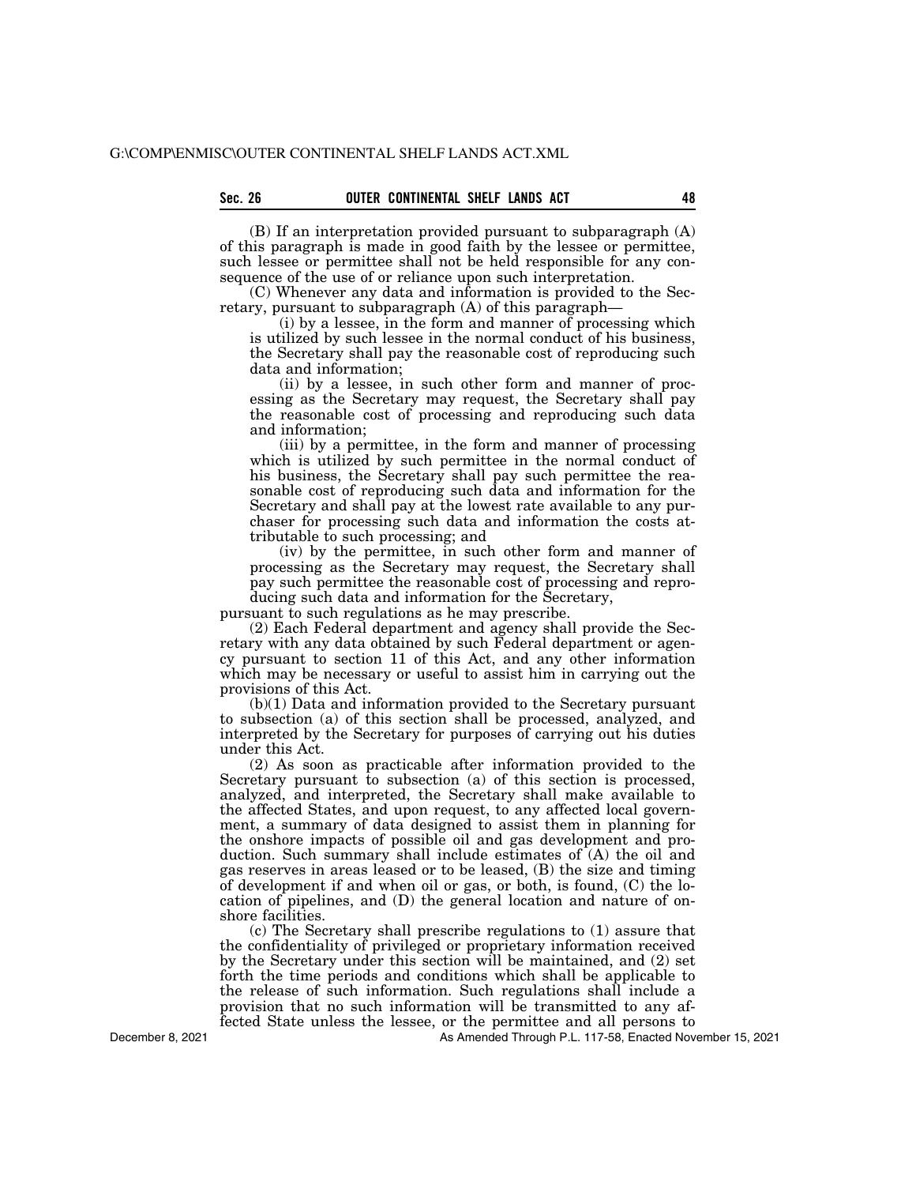### **Sec. 26 OUTER CONTINENTAL SHELF LANDS ACT 48**

(B) If an interpretation provided pursuant to subparagraph (A) of this paragraph is made in good faith by the lessee or permittee, such lessee or permittee shall not be held responsible for any consequence of the use of or reliance upon such interpretation.

(C) Whenever any data and information is provided to the Secretary, pursuant to subparagraph (A) of this paragraph—

(i) by a lessee, in the form and manner of processing which is utilized by such lessee in the normal conduct of his business, the Secretary shall pay the reasonable cost of reproducing such data and information;

(ii) by a lessee, in such other form and manner of processing as the Secretary may request, the Secretary shall pay the reasonable cost of processing and reproducing such data and information;

(iii) by a permittee, in the form and manner of processing which is utilized by such permittee in the normal conduct of his business, the Secretary shall pay such permittee the reasonable cost of reproducing such data and information for the Secretary and shall pay at the lowest rate available to any purchaser for processing such data and information the costs attributable to such processing; and

(iv) by the permittee, in such other form and manner of processing as the Secretary may request, the Secretary shall pay such permittee the reasonable cost of processing and reproducing such data and information for the Secretary,

pursuant to such regulations as he may prescribe.

(2) Each Federal department and agency shall provide the Secretary with any data obtained by such Federal department or agency pursuant to section 11 of this Act, and any other information which may be necessary or useful to assist him in carrying out the provisions of this Act.

(b)(1) Data and information provided to the Secretary pursuant to subsection (a) of this section shall be processed, analyzed, and interpreted by the Secretary for purposes of carrying out his duties under this Act.

(2) As soon as practicable after information provided to the Secretary pursuant to subsection (a) of this section is processed, analyzed, and interpreted, the Secretary shall make available to the affected States, and upon request, to any affected local government, a summary of data designed to assist them in planning for the onshore impacts of possible oil and gas development and production. Such summary shall include estimates of (A) the oil and gas reserves in areas leased or to be leased, (B) the size and timing of development if and when oil or gas, or both, is found, (C) the location of pipelines, and (D) the general location and nature of onshore facilities.

(c) The Secretary shall prescribe regulations to (1) assure that the confidentiality of privileged or proprietary information received by the Secretary under this section will be maintained, and (2) set forth the time periods and conditions which shall be applicable to the release of such information. Such regulations shall include a provision that no such information will be transmitted to any affected State unless the lessee, or the permittee and all persons to

As Amended Through P.L. 117-58, Enacted November 15, 2021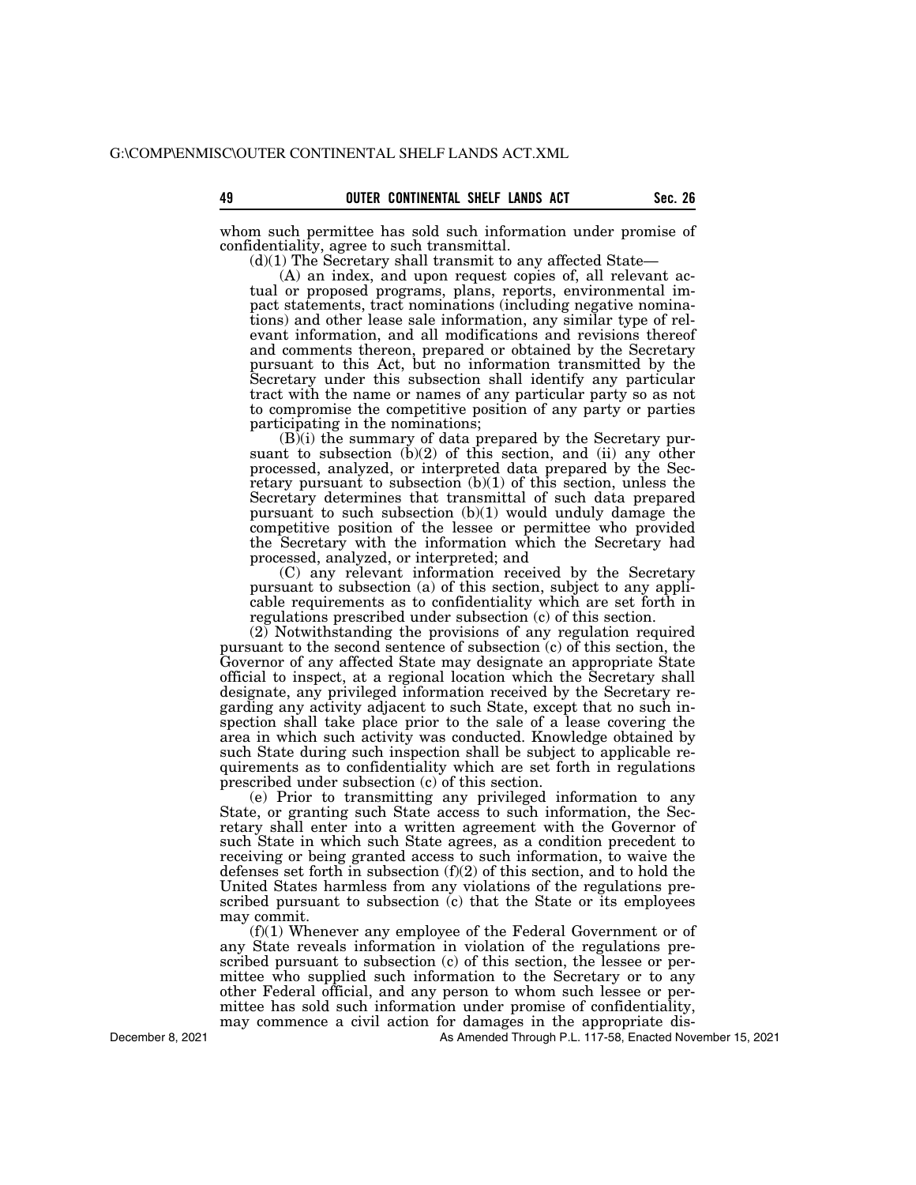whom such permittee has sold such information under promise of confidentiality, agree to such transmittal.

(d)(1) The Secretary shall transmit to any affected State—

(A) an index, and upon request copies of, all relevant actual or proposed programs, plans, reports, environmental impact statements, tract nominations (including negative nominations) and other lease sale information, any similar type of relevant information, and all modifications and revisions thereof and comments thereon, prepared or obtained by the Secretary pursuant to this Act, but no information transmitted by the Secretary under this subsection shall identify any particular tract with the name or names of any particular party so as not to compromise the competitive position of any party or parties participating in the nominations;

 $(B)(i)$  the summary of data prepared by the Secretary pursuant to subsection  $(b)(2)$  of this section, and (ii) any other processed, analyzed, or interpreted data prepared by the Secretary pursuant to subsection (b)(1) of this section, unless the Secretary determines that transmittal of such data prepared pursuant to such subsection  $(b)(1)$  would unduly damage the competitive position of the lessee or permittee who provided the Secretary with the information which the Secretary had processed, analyzed, or interpreted; and

(C) any relevant information received by the Secretary pursuant to subsection (a) of this section, subject to any applicable requirements as to confidentiality which are set forth in regulations prescribed under subsection (c) of this section.

(2) Notwithstanding the provisions of any regulation required pursuant to the second sentence of subsection (c) of this section, the Governor of any affected State may designate an appropriate State official to inspect, at a regional location which the Secretary shall designate, any privileged information received by the Secretary regarding any activity adjacent to such State, except that no such inspection shall take place prior to the sale of a lease covering the area in which such activity was conducted. Knowledge obtained by such State during such inspection shall be subject to applicable requirements as to confidentiality which are set forth in regulations prescribed under subsection (c) of this section.

(e) Prior to transmitting any privileged information to any State, or granting such State access to such information, the Secretary shall enter into a written agreement with the Governor of such State in which such State agrees, as a condition precedent to receiving or being granted access to such information, to waive the defenses set forth in subsection (f)(2) of this section, and to hold the United States harmless from any violations of the regulations prescribed pursuant to subsection (c) that the State or its employees may commit.

(f)(1) Whenever any employee of the Federal Government or of any State reveals information in violation of the regulations prescribed pursuant to subsection (c) of this section, the lessee or permittee who supplied such information to the Secretary or to any other Federal official, and any person to whom such lessee or permittee has sold such information under promise of confidentiality, may commence a civil action for damages in the appropriate dis-

As Amended Through P.L. 117-58, Enacted November 15, 2021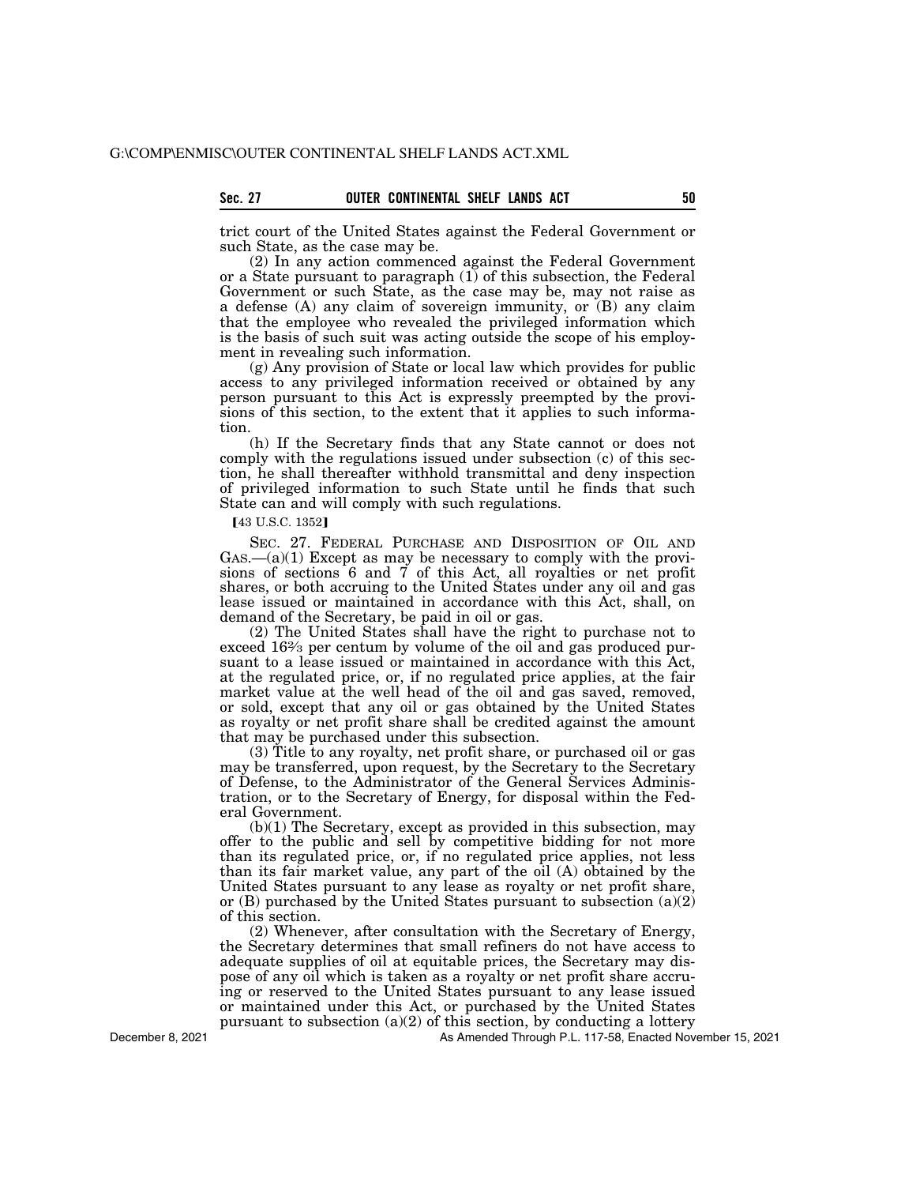## **Sec. 27 OUTER CONTINENTAL SHELF LANDS ACT 50**

trict court of the United States against the Federal Government or such State, as the case may be.

(2) In any action commenced against the Federal Government or a State pursuant to paragraph  $(1)$  of this subsection, the Federal Government or such State, as the case may be, may not raise as a defense (A) any claim of sovereign immunity, or (B) any claim that the employee who revealed the privileged information which is the basis of such suit was acting outside the scope of his employment in revealing such information.

(g) Any provision of State or local law which provides for public access to any privileged information received or obtained by any person pursuant to this Act is expressly preempted by the provisions of this section, to the extent that it applies to such information.

(h) If the Secretary finds that any State cannot or does not comply with the regulations issued under subsection (c) of this section, he shall thereafter withhold transmittal and deny inspection of privileged information to such State until he finds that such State can and will comply with such regulations.

**[43 U.S.C. 1352]** 

SEC. 27. FEDERAL PURCHASE AND DISPOSITION OF OIL AND GAS.—(a)(1) Except as may be necessary to comply with the provisions of sections 6 and 7 of this Act, all royalties or net profit shares, or both accruing to the United States under any oil and gas lease issued or maintained in accordance with this Act, shall, on demand of the Secretary, be paid in oil or gas.

(2) The United States shall have the right to purchase not to exceed 162⁄3 per centum by volume of the oil and gas produced pursuant to a lease issued or maintained in accordance with this Act, at the regulated price, or, if no regulated price applies, at the fair market value at the well head of the oil and gas saved, removed, or sold, except that any oil or gas obtained by the United States as royalty or net profit share shall be credited against the amount that may be purchased under this subsection.

(3) Title to any royalty, net profit share, or purchased oil or gas may be transferred, upon request, by the Secretary to the Secretary of Defense, to the Administrator of the General Services Administration, or to the Secretary of Energy, for disposal within the Federal Government.

(b)(1) The Secretary, except as provided in this subsection, may offer to the public and sell by competitive bidding for not more than its regulated price, or, if no regulated price applies, not less than its fair market value, any part of the oil (A) obtained by the United States pursuant to any lease as royalty or net profit share, or (B) purchased by the United States pursuant to subsection (a)(2) of this section.

(2) Whenever, after consultation with the Secretary of Energy, the Secretary determines that small refiners do not have access to adequate supplies of oil at equitable prices, the Secretary may dispose of any oil which is taken as a royalty or net profit share accruing or reserved to the United States pursuant to any lease issued or maintained under this Act, or purchased by the United States pursuant to subsection  $(a)(2)$  of this section, by conducting a lottery

As Amended Through P.L. 117-58, Enacted November 15, 2021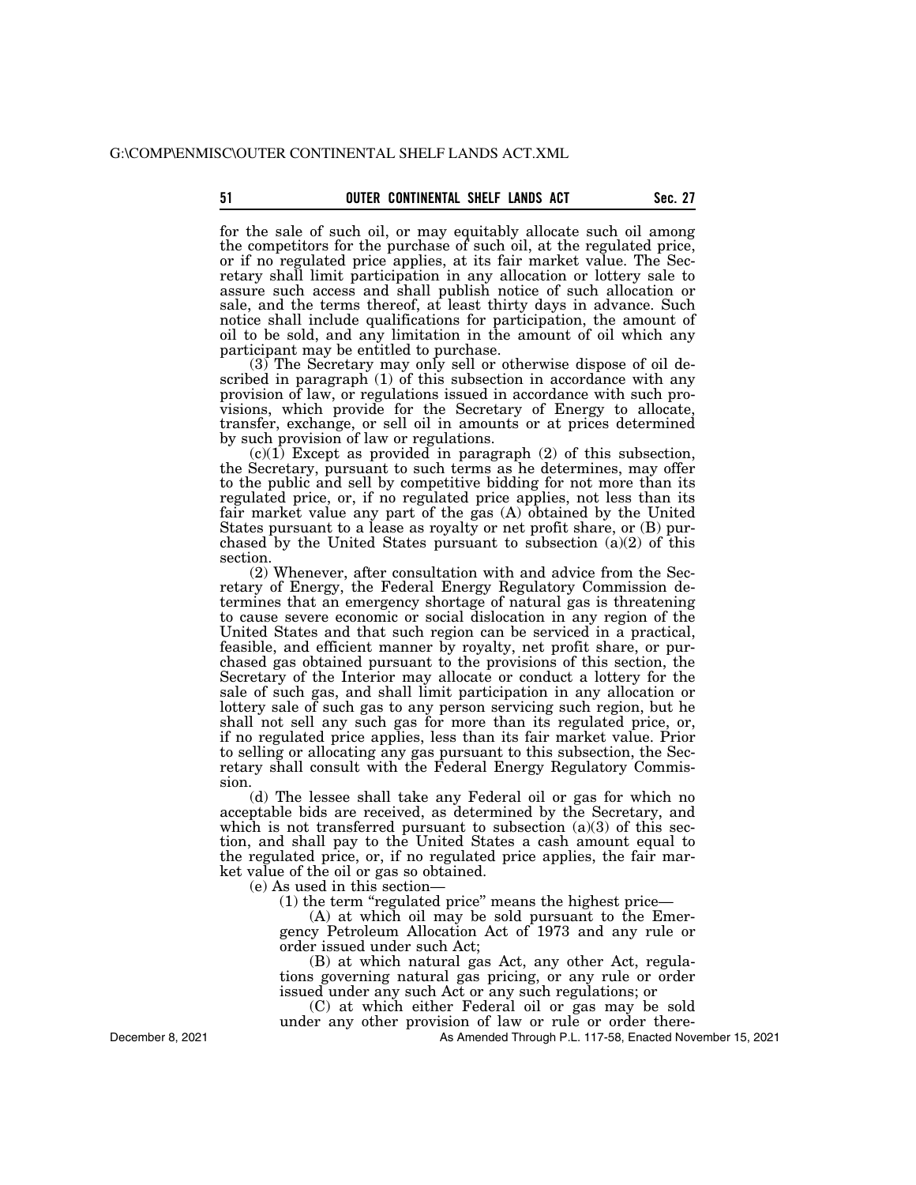for the sale of such oil, or may equitably allocate such oil among the competitors for the purchase of such oil, at the regulated price, or if no regulated price applies, at its fair market value. The Secretary shall limit participation in any allocation or lottery sale to assure such access and shall publish notice of such allocation or sale, and the terms thereof, at least thirty days in advance. Such notice shall include qualifications for participation, the amount of oil to be sold, and any limitation in the amount of oil which any participant may be entitled to purchase.

(3) The Secretary may only sell or otherwise dispose of oil described in paragraph (1) of this subsection in accordance with any provision of law, or regulations issued in accordance with such provisions, which provide for the Secretary of Energy to allocate, transfer, exchange, or sell oil in amounts or at prices determined by such provision of law or regulations.

 $(c)(1)$  Except as provided in paragraph  $(2)$  of this subsection, the Secretary, pursuant to such terms as he determines, may offer to the public and sell by competitive bidding for not more than its regulated price, or, if no regulated price applies, not less than its fair market value any part of the gas (A) obtained by the United States pursuant to a lease as royalty or net profit share, or (B) purchased by the United States pursuant to subsection  $(a)(2)$  of this section.

(2) Whenever, after consultation with and advice from the Secretary of Energy, the Federal Energy Regulatory Commission determines that an emergency shortage of natural gas is threatening to cause severe economic or social dislocation in any region of the United States and that such region can be serviced in a practical, feasible, and efficient manner by royalty, net profit share, or purchased gas obtained pursuant to the provisions of this section, the Secretary of the Interior may allocate or conduct a lottery for the sale of such gas, and shall limit participation in any allocation or lottery sale of such gas to any person servicing such region, but he shall not sell any such gas for more than its regulated price, or, if no regulated price applies, less than its fair market value. Prior to selling or allocating any gas pursuant to this subsection, the Secretary shall consult with the Federal Energy Regulatory Commission.

(d) The lessee shall take any Federal oil or gas for which no acceptable bids are received, as determined by the Secretary, and which is not transferred pursuant to subsection  $(a)(3)$  of this section, and shall pay to the United States a cash amount equal to the regulated price, or, if no regulated price applies, the fair market value of the oil or gas so obtained.

(e) As used in this section—

(1) the term ''regulated price'' means the highest price—

(A) at which oil may be sold pursuant to the Emergency Petroleum Allocation Act of 1973 and any rule or order issued under such Act;

(B) at which natural gas Act, any other Act, regulations governing natural gas pricing, or any rule or order issued under any such Act or any such regulations; or

(C) at which either Federal oil or gas may be sold under any other provision of law or rule or order there-

As Amended Through P.L. 117-58, Enacted November 15, 2021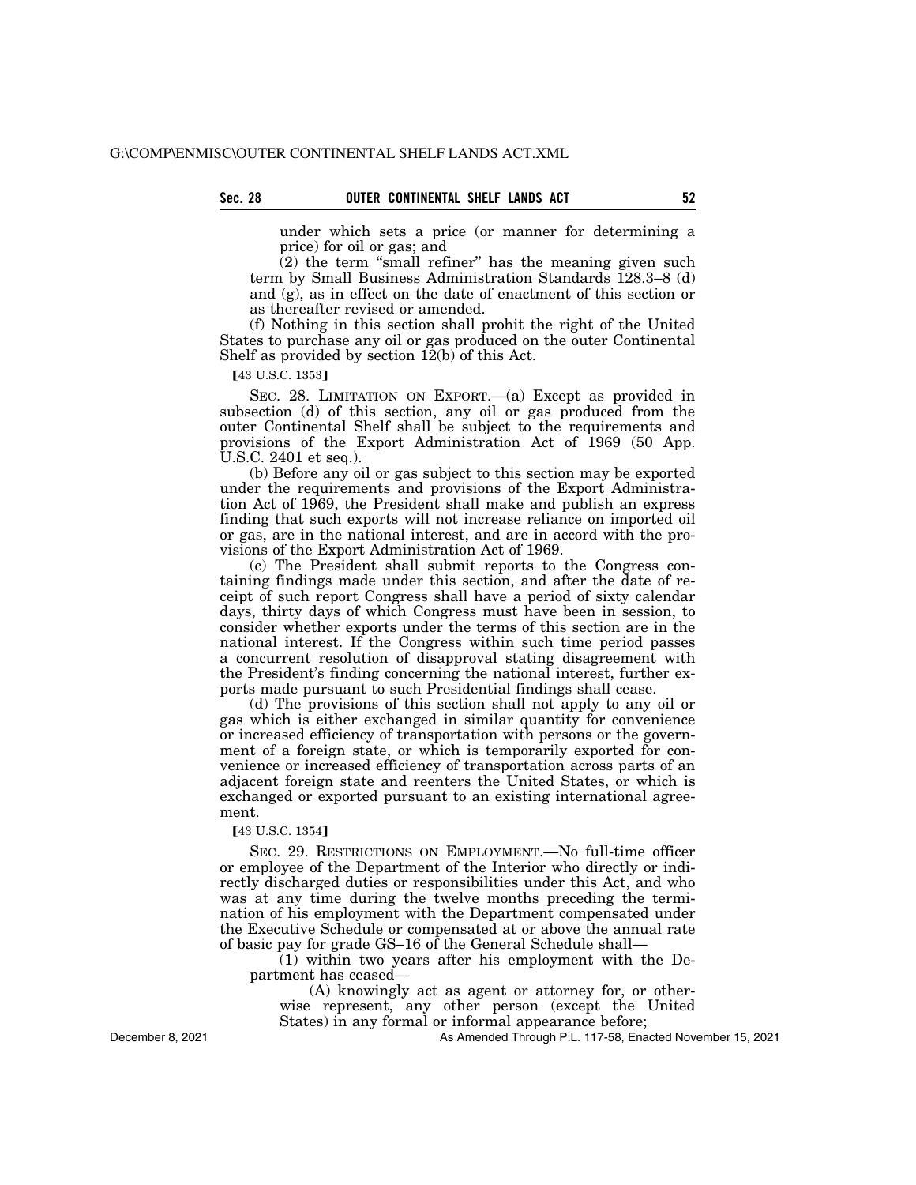| е. | ٠<br>п |
|----|--------|
|    |        |

under which sets a price (or manner for determining a price) for oil or gas; and

 $(2)$  the term "small refiner" has the meaning given such term by Small Business Administration Standards 128.3–8 (d) and (g), as in effect on the date of enactment of this section or as thereafter revised or amended.

(f) Nothing in this section shall prohit the right of the United States to purchase any oil or gas produced on the outer Continental Shelf as provided by section 12(b) of this Act.

**f43 U.S.C. 13531** 

SEC. 28. LIMITATION ON EXPORT.—(a) Except as provided in subsection (d) of this section, any oil or gas produced from the outer Continental Shelf shall be subject to the requirements and provisions of the Export Administration Act of 1969 (50 App. U.S.C. 2401 et seq.).

(b) Before any oil or gas subject to this section may be exported under the requirements and provisions of the Export Administration Act of 1969, the President shall make and publish an express finding that such exports will not increase reliance on imported oil or gas, are in the national interest, and are in accord with the provisions of the Export Administration Act of 1969.

(c) The President shall submit reports to the Congress containing findings made under this section, and after the date of receipt of such report Congress shall have a period of sixty calendar days, thirty days of which Congress must have been in session, to consider whether exports under the terms of this section are in the national interest. If the Congress within such time period passes a concurrent resolution of disapproval stating disagreement with the President's finding concerning the national interest, further exports made pursuant to such Presidential findings shall cease.

(d) The provisions of this section shall not apply to any oil or gas which is either exchanged in similar quantity for convenience or increased efficiency of transportation with persons or the government of a foreign state, or which is temporarily exported for convenience or increased efficiency of transportation across parts of an adjacent foreign state and reenters the United States, or which is exchanged or exported pursuant to an existing international agreement.

 $[43 \text{ U.S.C. } 1354]$ 

SEC. 29. RESTRICTIONS ON EMPLOYMENT.—No full-time officer or employee of the Department of the Interior who directly or indirectly discharged duties or responsibilities under this Act, and who was at any time during the twelve months preceding the termination of his employment with the Department compensated under the Executive Schedule or compensated at or above the annual rate of basic pay for grade GS–16 of the General Schedule shall—

(1) within two years after his employment with the Department has ceased—

(A) knowingly act as agent or attorney for, or otherwise represent, any other person (except the United

States) in any formal or informal appearance before;

As Amended Through P.L. 117-58, Enacted November 15, 2021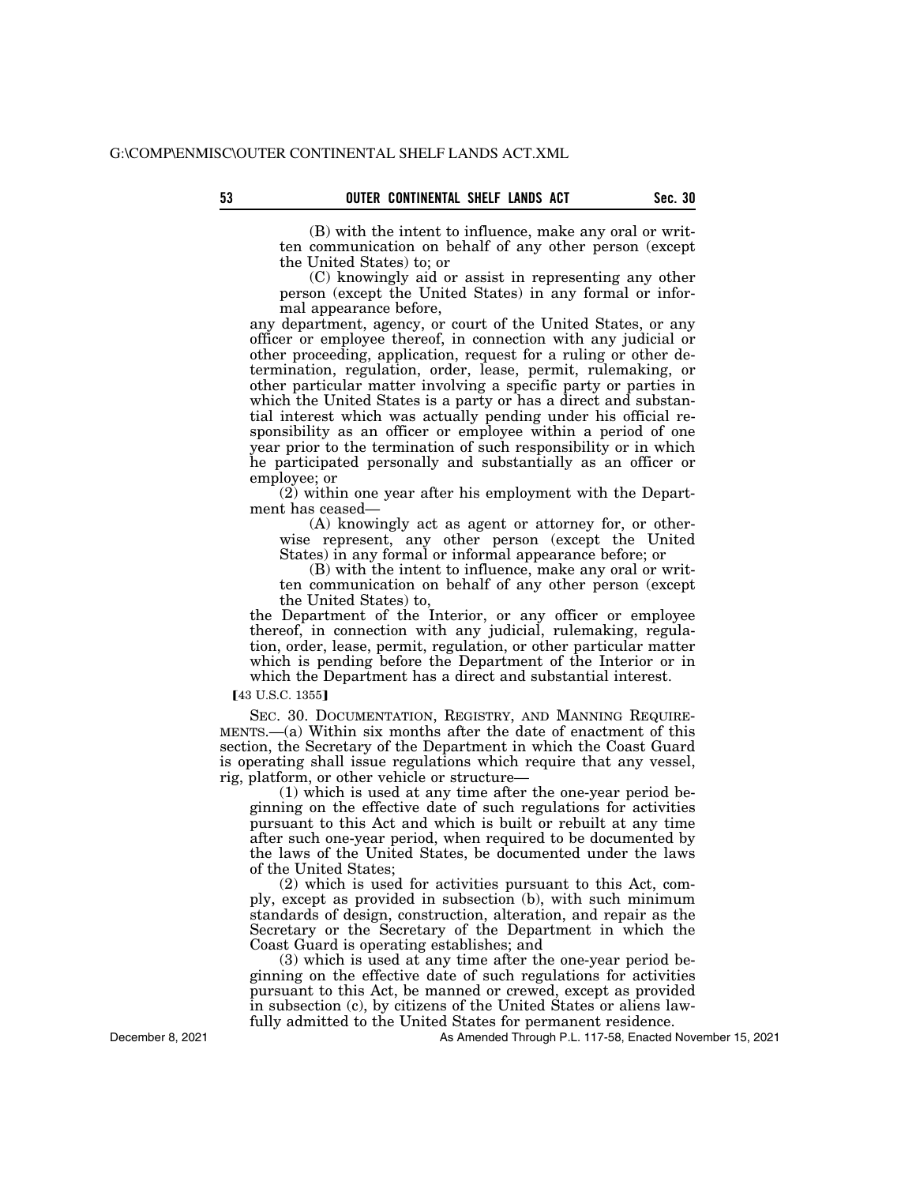(B) with the intent to influence, make any oral or written communication on behalf of any other person (except the United States) to; or

(C) knowingly aid or assist in representing any other person (except the United States) in any formal or informal appearance before,

any department, agency, or court of the United States, or any officer or employee thereof, in connection with any judicial or other proceeding, application, request for a ruling or other determination, regulation, order, lease, permit, rulemaking, or other particular matter involving a specific party or parties in which the United States is a party or has a direct and substantial interest which was actually pending under his official responsibility as an officer or employee within a period of one year prior to the termination of such responsibility or in which he participated personally and substantially as an officer or employee; or

(2) within one year after his employment with the Department has ceased—

(A) knowingly act as agent or attorney for, or otherwise represent, any other person (except the United States) in any formal or informal appearance before; or

(B) with the intent to influence, make any oral or written communication on behalf of any other person (except the United States) to,

the Department of the Interior, or any officer or employee thereof, in connection with any judicial, rulemaking, regulation, order, lease, permit, regulation, or other particular matter which is pending before the Department of the Interior or in which the Department has a direct and substantial interest.

**[43 U.S.C. 1355]** 

SEC. 30. DOCUMENTATION, REGISTRY, AND MANNING REQUIRE-MENTS.—(a) Within six months after the date of enactment of this section, the Secretary of the Department in which the Coast Guard is operating shall issue regulations which require that any vessel, rig, platform, or other vehicle or structure—

(1) which is used at any time after the one-year period beginning on the effective date of such regulations for activities pursuant to this Act and which is built or rebuilt at any time after such one-year period, when required to be documented by the laws of the United States, be documented under the laws of the United States;

(2) which is used for activities pursuant to this Act, comply, except as provided in subsection (b), with such minimum standards of design, construction, alteration, and repair as the Secretary or the Secretary of the Department in which the Coast Guard is operating establishes; and

(3) which is used at any time after the one-year period beginning on the effective date of such regulations for activities pursuant to this Act, be manned or crewed, except as provided in subsection (c), by citizens of the United States or aliens lawfully admitted to the United States for permanent residence.

As Amended Through P.L. 117-58, Enacted November 15, 2021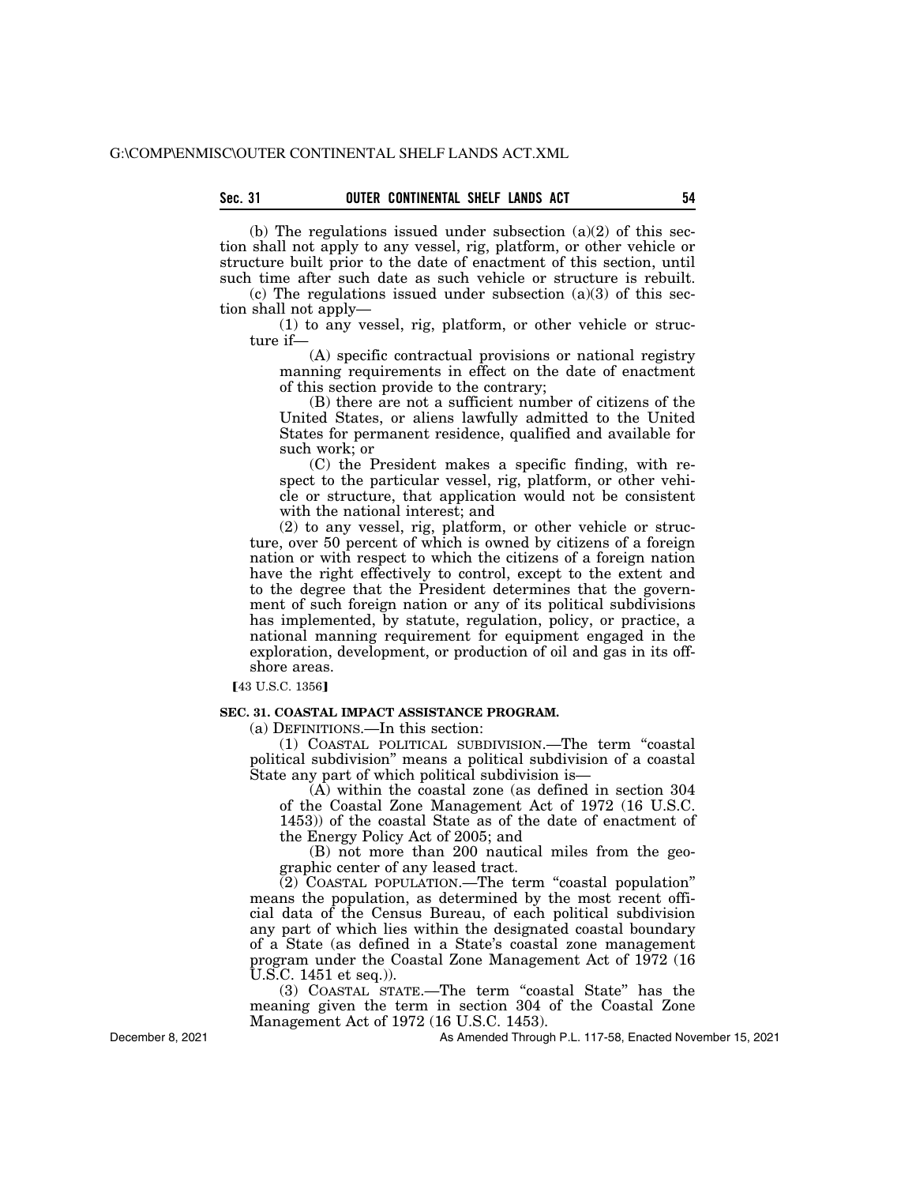(b) The regulations issued under subsection  $(a)(2)$  of this section shall not apply to any vessel, rig, platform, or other vehicle or structure built prior to the date of enactment of this section, until such time after such date as such vehicle or structure is rebuilt.

(c) The regulations issued under subsection  $(a)(3)$  of this section shall not apply—

(1) to any vessel, rig, platform, or other vehicle or structure if—

(A) specific contractual provisions or national registry manning requirements in effect on the date of enactment of this section provide to the contrary;

(B) there are not a sufficient number of citizens of the United States, or aliens lawfully admitted to the United States for permanent residence, qualified and available for such work; or

(C) the President makes a specific finding, with respect to the particular vessel, rig, platform, or other vehicle or structure, that application would not be consistent with the national interest; and

(2) to any vessel, rig, platform, or other vehicle or structure, over 50 percent of which is owned by citizens of a foreign nation or with respect to which the citizens of a foreign nation have the right effectively to control, except to the extent and to the degree that the President determines that the government of such foreign nation or any of its political subdivisions has implemented, by statute, regulation, policy, or practice, a national manning requirement for equipment engaged in the exploration, development, or production of oil and gas in its offshore areas.

**[43 U.S.C. 1356]** 

### **SEC. 31. COASTAL IMPACT ASSISTANCE PROGRAM.**

(a) DEFINITIONS.—In this section:

(1) COASTAL POLITICAL SUBDIVISION.—The term ''coastal political subdivision'' means a political subdivision of a coastal State any part of which political subdivision is—

(A) within the coastal zone (as defined in section 304 of the Coastal Zone Management Act of 1972 (16 U.S.C. 1453)) of the coastal State as of the date of enactment of the Energy Policy Act of 2005; and

(B) not more than 200 nautical miles from the geographic center of any leased tract.

 $(2)$  COASTAL POPULATION.—The term "coastal population" means the population, as determined by the most recent official data of the Census Bureau, of each political subdivision any part of which lies within the designated coastal boundary of a State (as defined in a State's coastal zone management program under the Coastal Zone Management Act of 1972 (16 U.S.C. 1451 et seq.)).

(3) COASTAL STATE.—The term ''coastal State'' has the meaning given the term in section 304 of the Coastal Zone Management Act of 1972 (16 U.S.C. 1453).

As Amended Through P.L. 117-58, Enacted November 15, 2021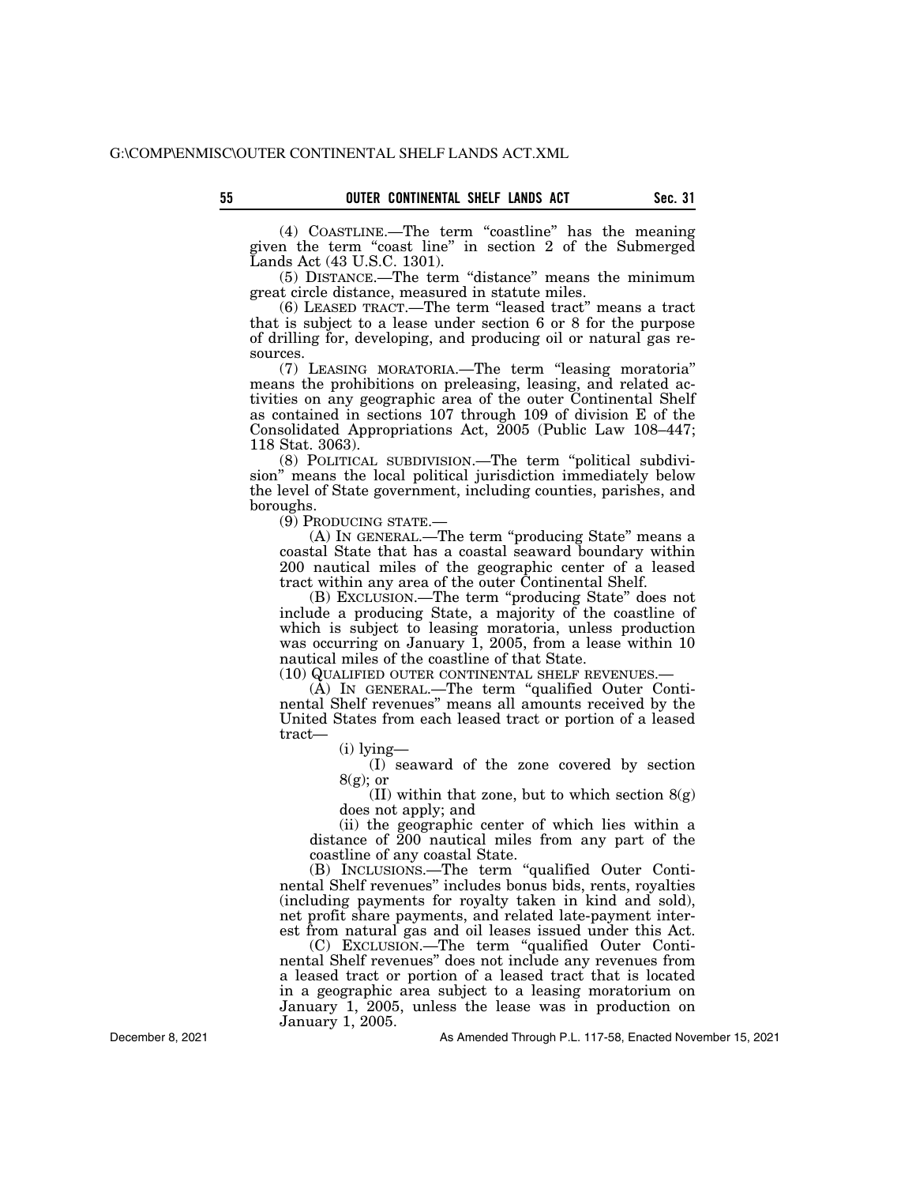(4) COASTLINE.—The term ''coastline'' has the meaning given the term "coast line" in section 2 of the Submerged Lands Act (43 U.S.C. 1301).

(5) DISTANCE.—The term ''distance'' means the minimum great circle distance, measured in statute miles.

(6) LEASED TRACT.—The term ''leased tract'' means a tract that is subject to a lease under section 6 or 8 for the purpose of drilling for, developing, and producing oil or natural gas resources.

(7) LEASING MORATORIA.—The term ''leasing moratoria'' means the prohibitions on preleasing, leasing, and related activities on any geographic area of the outer Continental Shelf as contained in sections 107 through 109 of division E of the Consolidated Appropriations Act, 2005 (Public Law 108–447; 118 Stat. 3063).

(8) POLITICAL SUBDIVISION.—The term ''political subdivision'' means the local political jurisdiction immediately below the level of State government, including counties, parishes, and boroughs.

(9) PRODUCING STATE.—

(A) IN GENERAL.—The term ''producing State'' means a coastal State that has a coastal seaward boundary within 200 nautical miles of the geographic center of a leased tract within any area of the outer Continental Shelf.

(B) EXCLUSION.—The term ''producing State'' does not include a producing State, a majority of the coastline of which is subject to leasing moratoria, unless production was occurring on January 1, 2005, from a lease within 10 nautical miles of the coastline of that State.

(10) QUALIFIED OUTER CONTINENTAL SHELF REVENUES.—

(A) IN GENERAL.—The term ''qualified Outer Continental Shelf revenues'' means all amounts received by the United States from each leased tract or portion of a leased tract—

(i) lying—

(I) seaward of the zone covered by section 8(g); or

(II) within that zone, but to which section  $8(g)$ does not apply; and

(ii) the geographic center of which lies within a distance of 200 nautical miles from any part of the coastline of any coastal State.

(B) INCLUSIONS.—The term ''qualified Outer Continental Shelf revenues'' includes bonus bids, rents, royalties (including payments for royalty taken in kind and sold), net profit share payments, and related late-payment interest from natural gas and oil leases issued under this Act.

(C) EXCLUSION.—The term ''qualified Outer Continental Shelf revenues'' does not include any revenues from a leased tract or portion of a leased tract that is located in a geographic area subject to a leasing moratorium on January 1, 2005, unless the lease was in production on January 1, 2005.

As Amended Through P.L. 117-58, Enacted November 15, 2021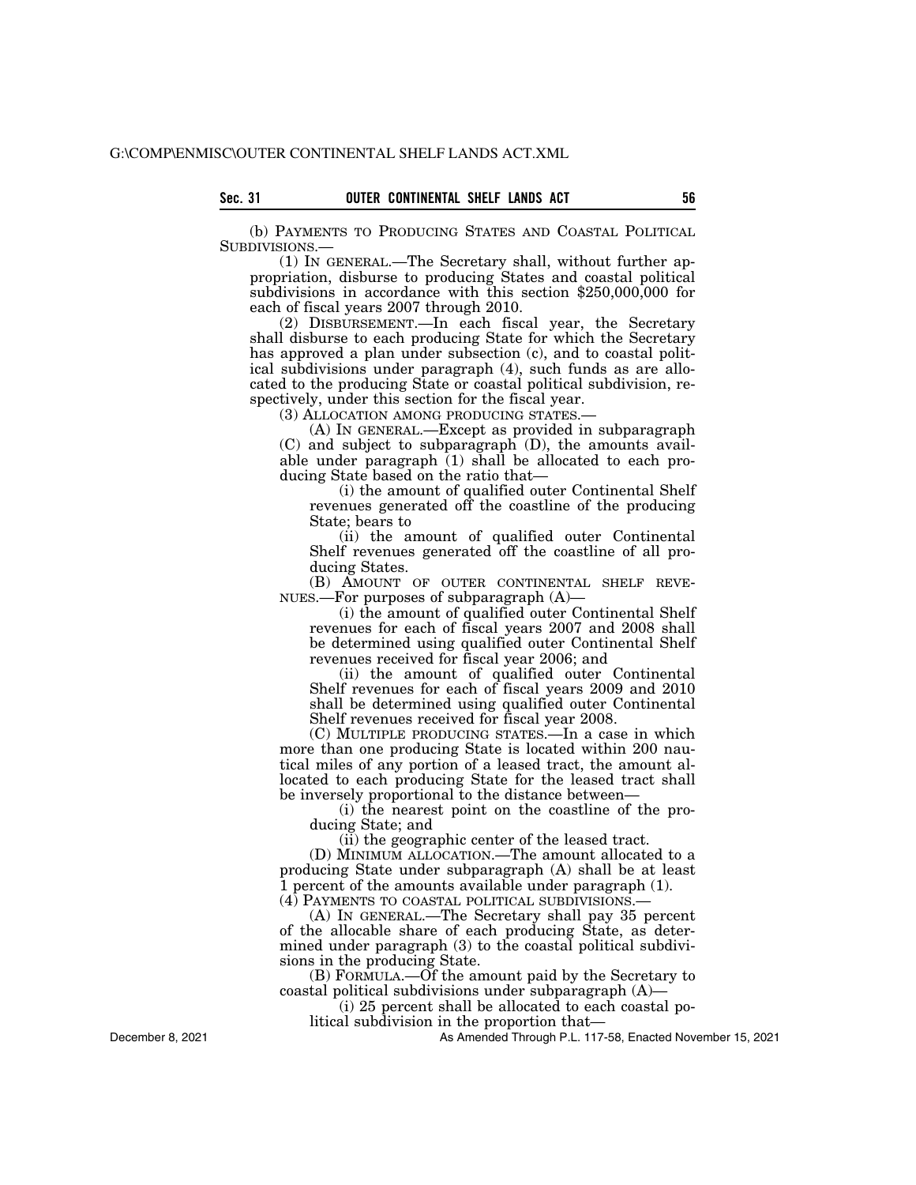(b) PAYMENTS TO PRODUCING STATES AND COASTAL POLITICAL SUBDIVISIONS.—

(1) IN GENERAL.—The Secretary shall, without further appropriation, disburse to producing States and coastal political subdivisions in accordance with this section \$250,000,000 for each of fiscal years 2007 through 2010.

(2) DISBURSEMENT.—In each fiscal year, the Secretary shall disburse to each producing State for which the Secretary has approved a plan under subsection (c), and to coastal political subdivisions under paragraph (4), such funds as are allocated to the producing State or coastal political subdivision, respectively, under this section for the fiscal year.

(3) ALLOCATION AMONG PRODUCING STATES.—

(A) IN GENERAL.—Except as provided in subparagraph (C) and subject to subparagraph (D), the amounts available under paragraph (1) shall be allocated to each producing State based on the ratio that—

(i) the amount of qualified outer Continental Shelf revenues generated off the coastline of the producing State; bears to

(ii) the amount of qualified outer Continental Shelf revenues generated off the coastline of all producing States.

(B) AMOUNT OF OUTER CONTINENTAL SHELF REVE-NUES.—For purposes of subparagraph (A)—

(i) the amount of qualified outer Continental Shelf revenues for each of fiscal years 2007 and 2008 shall be determined using qualified outer Continental Shelf revenues received for fiscal year 2006; and

(ii) the amount of qualified outer Continental Shelf revenues for each of fiscal years 2009 and 2010 shall be determined using qualified outer Continental Shelf revenues received for fiscal year 2008.

(C) MULTIPLE PRODUCING STATES.—In a case in which more than one producing State is located within 200 nautical miles of any portion of a leased tract, the amount allocated to each producing State for the leased tract shall be inversely proportional to the distance between—

(i) the nearest point on the coastline of the producing State; and

(ii) the geographic center of the leased tract.

(D) MINIMUM ALLOCATION.—The amount allocated to a producing State under subparagraph (A) shall be at least 1 percent of the amounts available under paragraph (1). (4) PAYMENTS TO COASTAL POLITICAL SUBDIVISIONS.—

(A) IN GENERAL.—The Secretary shall pay 35 percent

of the allocable share of each producing State, as determined under paragraph (3) to the coastal political subdivisions in the producing State.

(B) FORMULA.—Of the amount paid by the Secretary to coastal political subdivisions under subparagraph (A)—

(i) 25 percent shall be allocated to each coastal political subdivision in the proportion that—

As Amended Through P.L. 117-58, Enacted November 15, 2021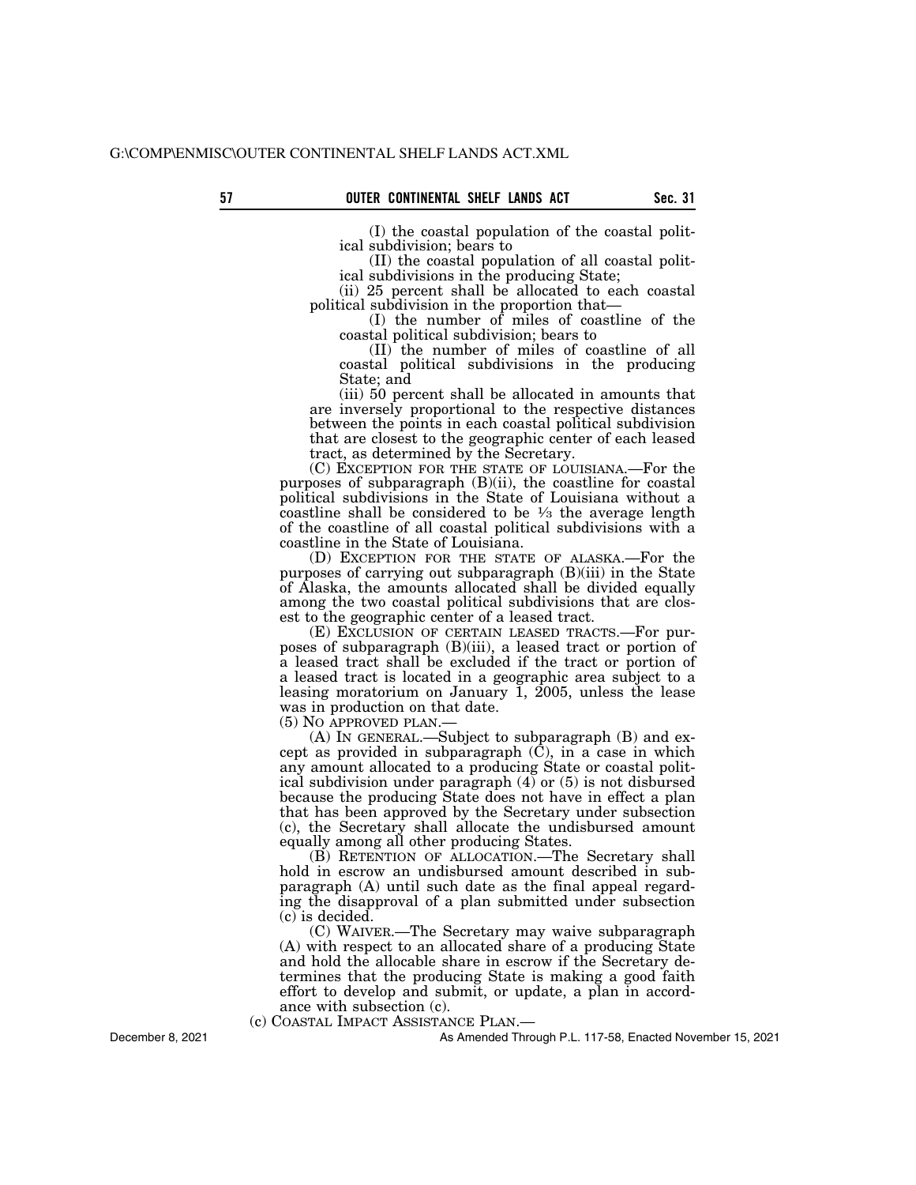(I) the coastal population of the coastal political subdivision; bears to

(II) the coastal population of all coastal political subdivisions in the producing State;

(ii) 25 percent shall be allocated to each coastal political subdivision in the proportion that—

(I) the number of miles of coastline of the coastal political subdivision; bears to

(II) the number of miles of coastline of all coastal political subdivisions in the producing State; and

(iii) 50 percent shall be allocated in amounts that are inversely proportional to the respective distances between the points in each coastal political subdivision that are closest to the geographic center of each leased tract, as determined by the Secretary.

(C) EXCEPTION FOR THE STATE OF LOUISIANA.—For the purposes of subparagraph (B)(ii), the coastline for coastal political subdivisions in the State of Louisiana without a coastline shall be considered to be  $\frac{1}{3}$  the average length of the coastline of all coastal political subdivisions with a coastline in the State of Louisiana.

(D) EXCEPTION FOR THE STATE OF ALASKA.—For the purposes of carrying out subparagraph (B)(iii) in the State of Alaska, the amounts allocated shall be divided equally among the two coastal political subdivisions that are closest to the geographic center of a leased tract.

(E) EXCLUSION OF CERTAIN LEASED TRACTS.—For purposes of subparagraph (B)(iii), a leased tract or portion of a leased tract shall be excluded if the tract or portion of a leased tract is located in a geographic area subject to a leasing moratorium on January  $\overline{1}$ ,  $\overline{2005}$ , unless the lease was in production on that date.

(5) NO APPROVED PLAN.—

(A) IN GENERAL.—Subject to subparagraph (B) and except as provided in subparagraph (C), in a case in which any amount allocated to a producing State or coastal political subdivision under paragraph  $(4)$  or  $(5)$  is not disbursed because the producing State does not have in effect a plan that has been approved by the Secretary under subsection (c), the Secretary shall allocate the undisbursed amount equally among all other producing States.

(B) RETENTION OF ALLOCATION.—The Secretary shall hold in escrow an undisbursed amount described in subparagraph (A) until such date as the final appeal regarding the disapproval of a plan submitted under subsection (c) is decided.

(C) WAIVER.—The Secretary may waive subparagraph (A) with respect to an allocated share of a producing State and hold the allocable share in escrow if the Secretary determines that the producing State is making a good faith effort to develop and submit, or update, a plan in accordance with subsection (c).

(c) COASTAL IMPACT ASSISTANCE PLAN.—

As Amended Through P.L. 117-58, Enacted November 15, 2021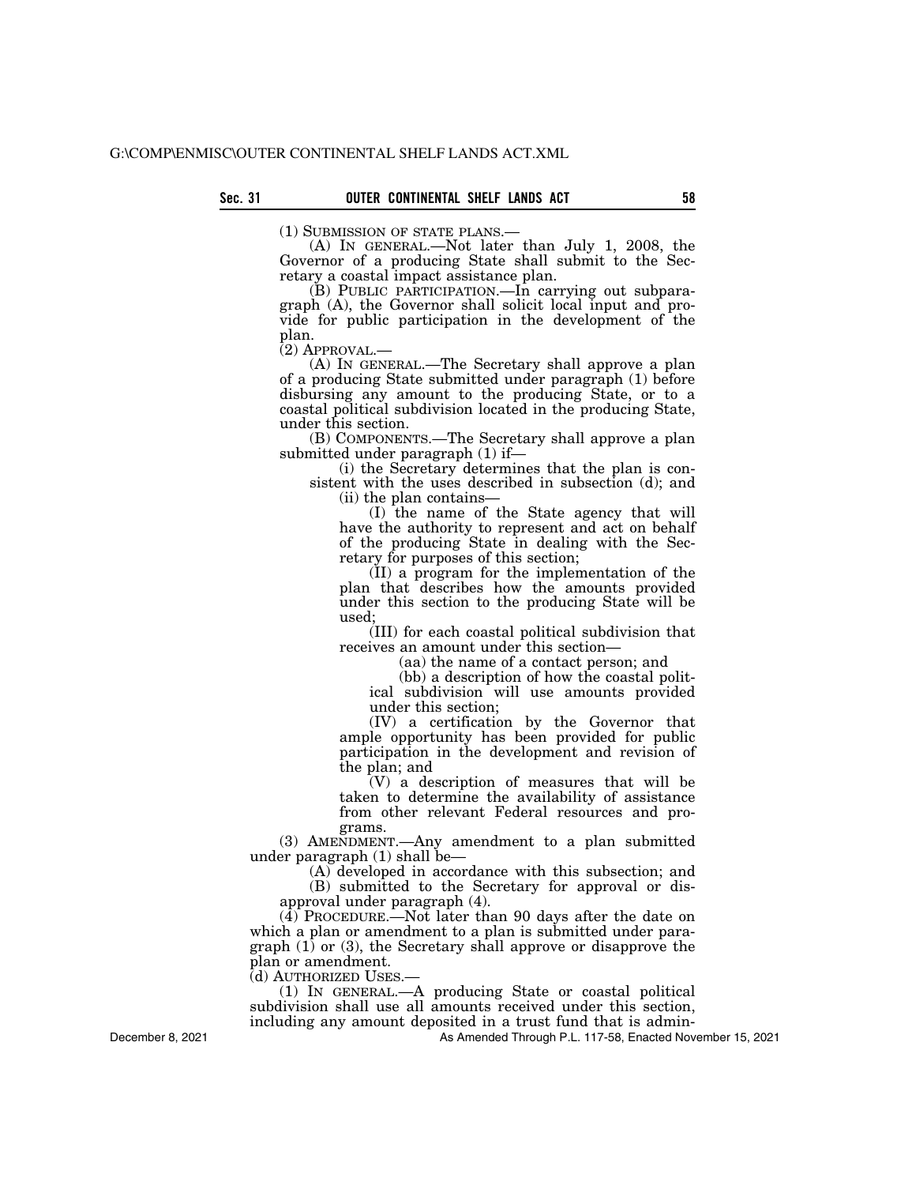(1) SUBMISSION OF STATE PLANS.— (A) IN GENERAL.—Not later than July 1, 2008, the Governor of a producing State shall submit to the Secretary a coastal impact assistance plan.

 $(B)$  PUBLIC PARTICIPATION.—In carrying out subparagraph (A), the Governor shall solicit local input and provide for public participation in the development of the plan.<br>(2) APPROVAL.—

 $(A)$  In GENERAL.—The Secretary shall approve a plan of a producing State submitted under paragraph (1) before disbursing any amount to the producing State, or to a coastal political subdivision located in the producing State, under this section.

(B) COMPONENTS.—The Secretary shall approve a plan submitted under paragraph (1) if—

(i) the Secretary determines that the plan is consistent with the uses described in subsection (d); and (ii) the plan contains—

(I) the name of the State agency that will have the authority to represent and act on behalf of the producing State in dealing with the Secretary for purposes of this section;

(II) a program for the implementation of the plan that describes how the amounts provided under this section to the producing State will be used;

(III) for each coastal political subdivision that receives an amount under this section—

(aa) the name of a contact person; and

(bb) a description of how the coastal political subdivision will use amounts provided under this section;

(IV) a certification by the Governor that ample opportunity has been provided for public participation in the development and revision of the plan; and

(V) a description of measures that will be taken to determine the availability of assistance from other relevant Federal resources and programs.

(3) AMENDMENT.—Any amendment to a plan submitted under paragraph (1) shall be—

(A) developed in accordance with this subsection; and (B) submitted to the Secretary for approval or disapproval under paragraph (4).

 $(\overline{4})$  PROCEDURE.—Not later than 90 days after the date on which a plan or amendment to a plan is submitted under paragraph  $(1)$  or  $(3)$ , the Secretary shall approve or disapprove the plan or amendment.

(d) AUTHORIZED USES.—

(1) IN GENERAL.—A producing State or coastal political subdivision shall use all amounts received under this section, including any amount deposited in a trust fund that is admin-

As Amended Through P.L. 117-58, Enacted November 15, 2021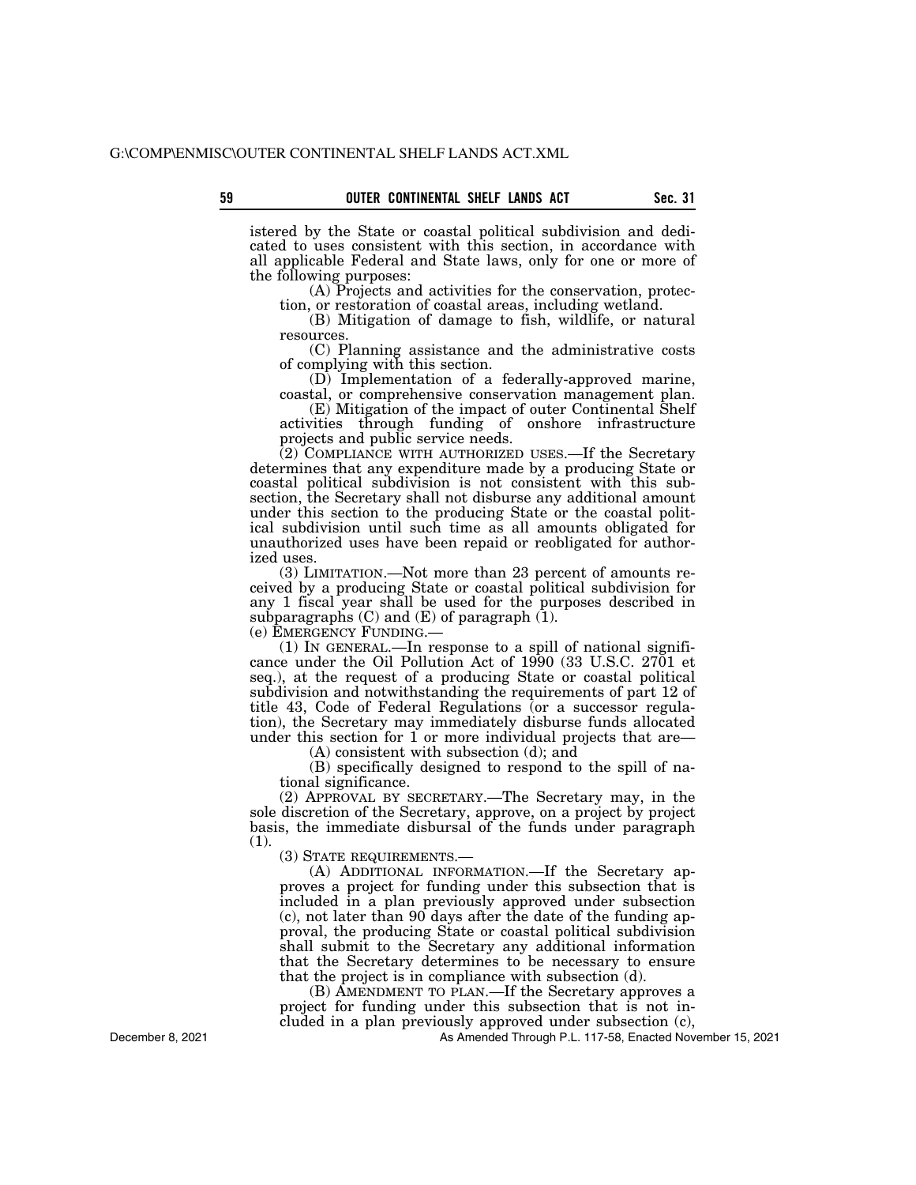istered by the State or coastal political subdivision and dedicated to uses consistent with this section, in accordance with all applicable Federal and State laws, only for one or more of the following purposes:

(A) Projects and activities for the conservation, protection, or restoration of coastal areas, including wetland.

(B) Mitigation of damage to fish, wildlife, or natural resources.

(C) Planning assistance and the administrative costs of complying with this section.

(D) Implementation of a federally-approved marine, coastal, or comprehensive conservation management plan.

(E) Mitigation of the impact of outer Continental Shelf activities through funding of onshore infrastructure projects and public service needs.

(2) COMPLIANCE WITH AUTHORIZED USES.—If the Secretary determines that any expenditure made by a producing State or coastal political subdivision is not consistent with this subsection, the Secretary shall not disburse any additional amount under this section to the producing State or the coastal political subdivision until such time as all amounts obligated for unauthorized uses have been repaid or reobligated for authorized uses.

(3) LIMITATION.—Not more than 23 percent of amounts received by a producing State or coastal political subdivision for any 1 fiscal year shall be used for the purposes described in subparagraphs  $(C)$  and  $(E)$  of paragraph  $(1)$ .<br>(e) EMERGENCY FUNDING.—

 $(1)$  In GENERAL.—In response to a spill of national significance under the Oil Pollution Act of 1990 (33 U.S.C. 2701 et seq.), at the request of a producing State or coastal political subdivision and notwithstanding the requirements of part 12 of title 43, Code of Federal Regulations (or a successor regulation), the Secretary may immediately disburse funds allocated under this section for 1 or more individual projects that are—

(A) consistent with subsection (d); and

(B) specifically designed to respond to the spill of national significance.

(2) APPROVAL BY SECRETARY.—The Secretary may, in the sole discretion of the Secretary, approve, on a project by project basis, the immediate disbursal of the funds under paragraph (1).

(3) STATE REQUIREMENTS.—

(A) ADDITIONAL INFORMATION.—If the Secretary approves a project for funding under this subsection that is included in a plan previously approved under subsection (c), not later than 90 days after the date of the funding approval, the producing State or coastal political subdivision shall submit to the Secretary any additional information that the Secretary determines to be necessary to ensure that the project is in compliance with subsection (d).

(B) AMENDMENT TO PLAN.—If the Secretary approves a project for funding under this subsection that is not included in a plan previously approved under subsection (c),

As Amended Through P.L. 117-58, Enacted November 15, 2021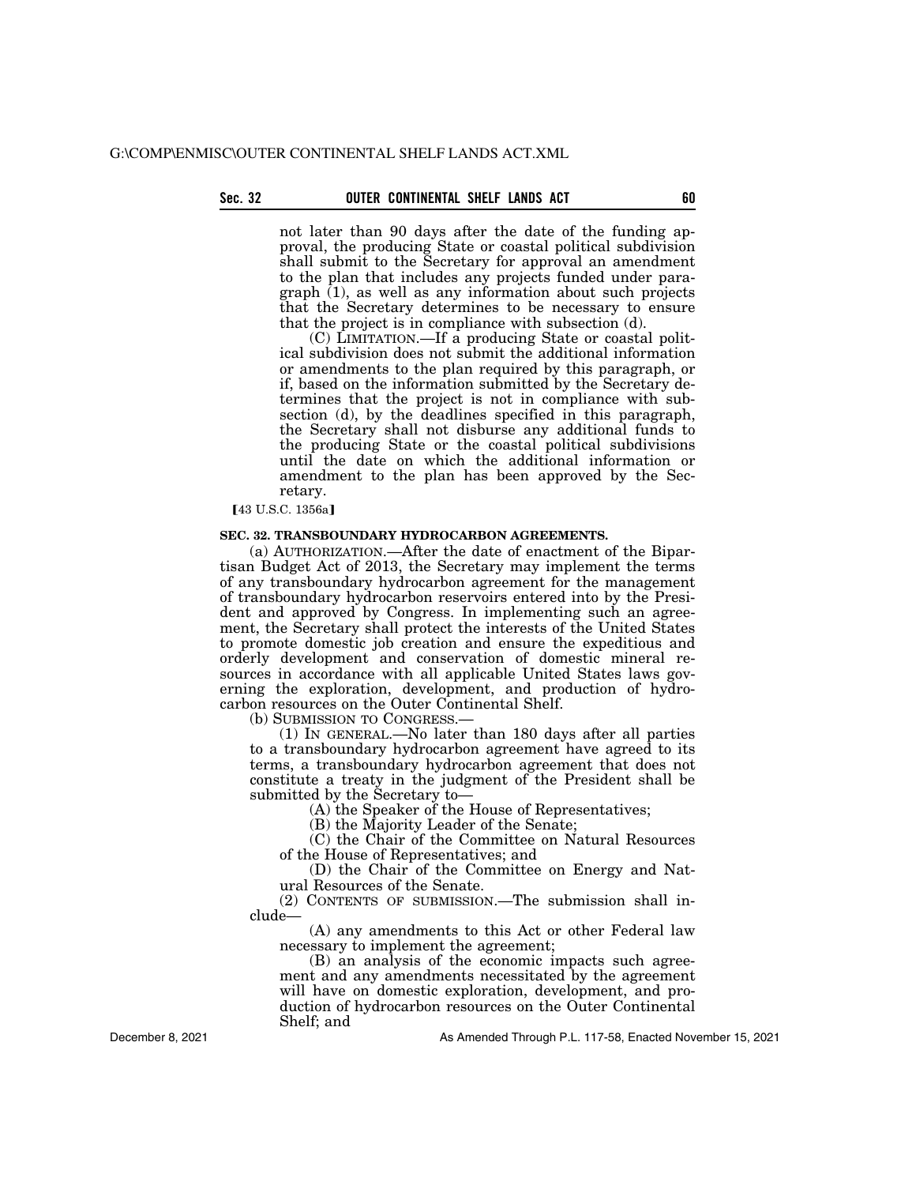not later than 90 days after the date of the funding approval, the producing State or coastal political subdivision shall submit to the Secretary for approval an amendment to the plan that includes any projects funded under paragraph  $(1)$ , as well as any information about such projects that the Secretary determines to be necessary to ensure that the project is in compliance with subsection (d).

(C) LIMITATION.—If a producing State or coastal political subdivision does not submit the additional information or amendments to the plan required by this paragraph, or if, based on the information submitted by the Secretary determines that the project is not in compliance with subsection (d), by the deadlines specified in this paragraph, the Secretary shall not disburse any additional funds to the producing State or the coastal political subdivisions until the date on which the additional information or amendment to the plan has been approved by the Secretary.

[43 U.S.C. 1356a]

## **SEC. 32. TRANSBOUNDARY HYDROCARBON AGREEMENTS.**

(a) AUTHORIZATION.—After the date of enactment of the Bipartisan Budget Act of 2013, the Secretary may implement the terms of any transboundary hydrocarbon agreement for the management of transboundary hydrocarbon reservoirs entered into by the President and approved by Congress. In implementing such an agreement, the Secretary shall protect the interests of the United States to promote domestic job creation and ensure the expeditious and orderly development and conservation of domestic mineral resources in accordance with all applicable United States laws governing the exploration, development, and production of hydrocarbon resources on the Outer Continental Shelf.

(b) SUBMISSION TO CONGRESS.—

(1) IN GENERAL.—No later than 180 days after all parties to a transboundary hydrocarbon agreement have agreed to its terms, a transboundary hydrocarbon agreement that does not constitute a treaty in the judgment of the President shall be submitted by the Secretary to—

(A) the Speaker of the House of Representatives;

(B) the Majority Leader of the Senate;

(C) the Chair of the Committee on Natural Resources of the House of Representatives; and

(D) the Chair of the Committee on Energy and Natural Resources of the Senate.

(2) CONTENTS OF SUBMISSION.—The submission shall include—

(A) any amendments to this Act or other Federal law necessary to implement the agreement;

(B) an analysis of the economic impacts such agreement and any amendments necessitated by the agreement will have on domestic exploration, development, and production of hydrocarbon resources on the Outer Continental Shelf; and

December 8, 2021